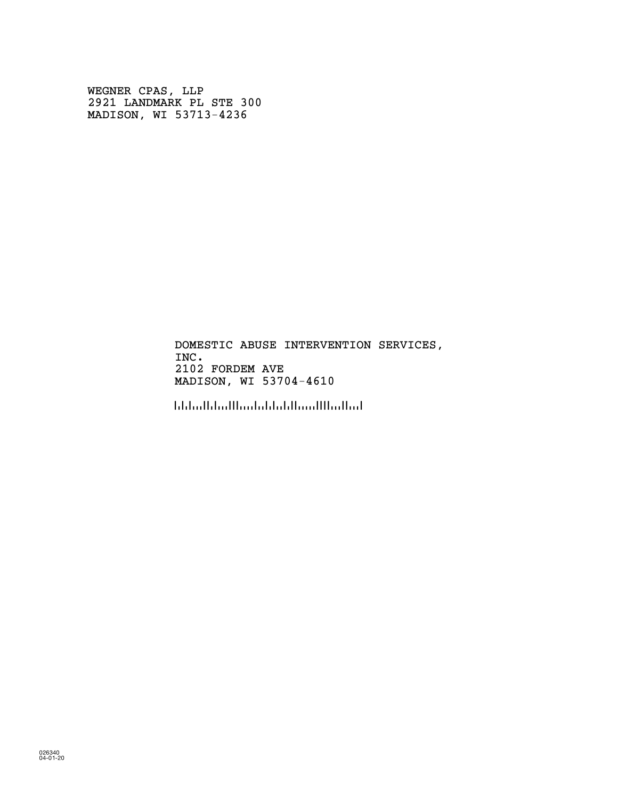WEGNER CPAS, LLP 2921 LANDMARK PL STE 300 MADISON, WI 53713-4236

> DOMESTIC ABUSE INTERVENTION SERVICES, INC. 2102 FORDEM AVE MADISON, WI 53704-4610

!5370446100!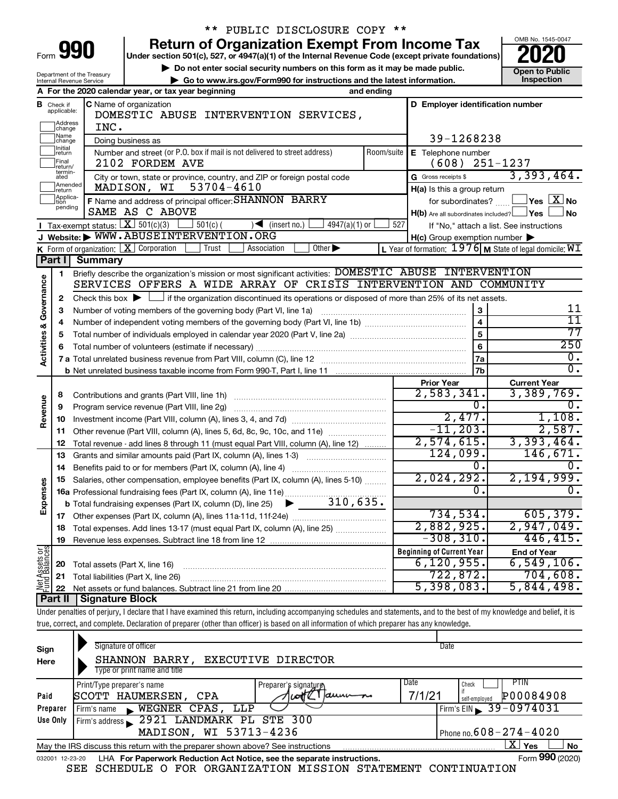| Form |  |  |
|------|--|--|
|      |  |  |

Department of the Treasury Internal Revenue Service

# \*\* PUBLIC DISCLOSURE COPY \*\*

**990** Return of Organization Exempt From Income Tax <br>
Under section 501(c), 527, or 4947(a)(1) of the Internal Revenue Code (except private foundations)<br> **PO20** 

**▶ Do not enter social security numbers on this form as it may be made public. Open to Public**<br>
inspection instructions and the latest information. Inspection **| Go to www.irs.gov/Form990 for instructions and the latest information. Inspection**



|                                    |                                       | A For the 2020 calendar year, or tax year beginning                                                                                         | and ending |                                                     |                                                         |  |  |  |  |
|------------------------------------|---------------------------------------|---------------------------------------------------------------------------------------------------------------------------------------------|------------|-----------------------------------------------------|---------------------------------------------------------|--|--|--|--|
|                                    | <b>B</b> Check if applicable:         | C Name of organization<br>DOMESTIC ABUSE INTERVENTION SERVICES,                                                                             |            | D Employer identification number                    |                                                         |  |  |  |  |
|                                    | Address<br> change                    | INC.                                                                                                                                        |            |                                                     |                                                         |  |  |  |  |
|                                    | Name<br>change                        | Doing business as                                                                                                                           |            | 39-1268238                                          |                                                         |  |  |  |  |
|                                    | Initial<br>return<br>Final<br>return/ | Number and street (or P.O. box if mail is not delivered to street address)<br>2102 FORDEM AVE                                               |            | Room/suite   E Telephone number<br>(608)            | $251 - 1237$                                            |  |  |  |  |
|                                    | termin-<br>ated                       | City or town, state or province, country, and ZIP or foreign postal code                                                                    |            | G Gross receipts \$                                 | 3,393,464.                                              |  |  |  |  |
|                                    | Amended<br>Ireturn                    | MADISON, WI 53704-4610                                                                                                                      |            | H(a) Is this a group return                         |                                                         |  |  |  |  |
|                                    | Applica-<br>tion                      | F Name and address of principal officer: SHANNON BARRY                                                                                      |            | for subordinates?                                   | $\sqrt{}$ Yes $\boxed{\text{X}}$ No                     |  |  |  |  |
|                                    | pending                               | SAME AS C ABOVE                                                                                                                             |            | $H(b)$ Are all subordinates included? $\Box$ Yes    | <b>No</b>                                               |  |  |  |  |
|                                    |                                       | <b>I</b> Tax-exempt status: $X \ 501(c)(3)$<br>$501(c)$ (<br>$4947(a)(1)$ or<br>$\sqrt{\frac{1}{1}}$ (insert no.)                           | 527        |                                                     | If "No," attach a list. See instructions                |  |  |  |  |
|                                    |                                       | J Website: WWW.ABUSEINTERVENTION.ORG                                                                                                        |            | $H(c)$ Group exemption number $\blacktriangleright$ |                                                         |  |  |  |  |
|                                    |                                       | K Form of organization: X Corporation<br>Other $\blacktriangleright$<br>Trust<br>Association                                                |            |                                                     | L Year of formation: 1976 M State of legal domicile: WI |  |  |  |  |
|                                    | Part I                                | <b>Summary</b>                                                                                                                              |            |                                                     |                                                         |  |  |  |  |
|                                    | $\mathbf{1}$                          | Briefly describe the organization's mission or most significant activities: DOMESTIC ABUSE INTERVENTION                                     |            |                                                     |                                                         |  |  |  |  |
| <b>Activities &amp; Governance</b> |                                       | SERVICES OFFERS A WIDE ARRAY OF CRISIS INTERVENTION AND COMMUNITY                                                                           |            |                                                     |                                                         |  |  |  |  |
|                                    | $\mathbf{2}$                          | Check this box $\blacktriangleright$ $\Box$ if the organization discontinued its operations or disposed of more than 25% of its net assets. |            |                                                     |                                                         |  |  |  |  |
|                                    | з                                     |                                                                                                                                             |            | 3                                                   | 11                                                      |  |  |  |  |
|                                    | 4                                     |                                                                                                                                             |            | $\overline{\mathbf{4}}$                             | 11                                                      |  |  |  |  |
|                                    | 5                                     |                                                                                                                                             |            | $\overline{5}$                                      | 77                                                      |  |  |  |  |
|                                    | 6                                     |                                                                                                                                             |            | 6                                                   | 250                                                     |  |  |  |  |
|                                    |                                       |                                                                                                                                             |            | 7a                                                  | σ.                                                      |  |  |  |  |
|                                    |                                       |                                                                                                                                             |            | 7 <sub>b</sub>                                      | $\overline{0}$ .                                        |  |  |  |  |
|                                    |                                       |                                                                                                                                             |            | <b>Prior Year</b>                                   | <b>Current Year</b>                                     |  |  |  |  |
|                                    | 8                                     |                                                                                                                                             |            | 2,583,341.                                          | 3,389,769.                                              |  |  |  |  |
|                                    | 9                                     | Program service revenue (Part VIII, line 2g)                                                                                                |            | 0.                                                  | Ο.                                                      |  |  |  |  |
| Revenue                            | 10                                    |                                                                                                                                             |            | 2,477.                                              | 1,108.                                                  |  |  |  |  |
|                                    | 11                                    | Other revenue (Part VIII, column (A), lines 5, 6d, 8c, 9c, 10c, and 11e)                                                                    |            | $-11, 203.$                                         | 2,587.                                                  |  |  |  |  |
|                                    | 12                                    | Total revenue - add lines 8 through 11 (must equal Part VIII, column (A), line 12)                                                          |            | 2,574,615.                                          | 3,393,464.                                              |  |  |  |  |
|                                    | 13                                    | Grants and similar amounts paid (Part IX, column (A), lines 1-3)                                                                            |            | 124,099.                                            | 146,671.                                                |  |  |  |  |
|                                    | 14                                    |                                                                                                                                             |            | 0.                                                  | ο.                                                      |  |  |  |  |
|                                    | 15                                    | Salaries, other compensation, employee benefits (Part IX, column (A), lines 5-10)                                                           |            | 2,024,292.                                          | 2,194,999.                                              |  |  |  |  |
| Expenses                           |                                       |                                                                                                                                             |            | 0.                                                  | $0$ .                                                   |  |  |  |  |
|                                    |                                       | 310,635.<br><b>b</b> Total fundraising expenses (Part IX, column (D), line 25)<br>▶                                                         |            |                                                     |                                                         |  |  |  |  |
|                                    | 17                                    |                                                                                                                                             |            | 734,534.                                            | 605, 379.                                               |  |  |  |  |
|                                    | 18                                    | Total expenses. Add lines 13-17 (must equal Part IX, column (A), line 25)                                                                   |            | 2,882,925.                                          | 2,947,049.                                              |  |  |  |  |
|                                    | 19                                    |                                                                                                                                             |            | $-308, 310.$                                        | 446, 415.                                               |  |  |  |  |
| Net Assets or                      |                                       |                                                                                                                                             |            | <b>Beginning of Current Year</b>                    | <b>End of Year</b>                                      |  |  |  |  |
|                                    | 20                                    | Total assets (Part X, line 16)                                                                                                              |            | 6, 120, 955.                                        | 6,549,106.                                              |  |  |  |  |
|                                    | 21                                    | Total liabilities (Part X, line 26)                                                                                                         |            | 722,872.                                            | 704,608.                                                |  |  |  |  |
|                                    | 22                                    |                                                                                                                                             |            | 5,398,083.                                          | 5,844,498.                                              |  |  |  |  |

**Part II Signature Block**

Under penalties of perjury, I declare that I have examined this return, including accompanying schedules and statements, and to the best of my knowledge and belief, it is true, correct, and complete. Declaration of preparer (other than officer) is based on all information of which preparer has any knowledge.

| Sign<br>Here     | Signature of officer<br>SHANNON BARRY, EXECUTIVE DIRECTOR<br>Type or print name and title                                                                 |                                                     | Date                                                                                   |  |  |  |  |  |  |
|------------------|-----------------------------------------------------------------------------------------------------------------------------------------------------------|-----------------------------------------------------|----------------------------------------------------------------------------------------|--|--|--|--|--|--|
| Paid<br>Preparer | Print/Type preparer's name<br>SCOTT HAUMERSEN,<br>CPA<br>WEGNER CPAS,<br>LLP<br>Firm's name<br>$\mathbf{r}$                                               | Preparer's signature<br>$a$ una $-a$<br><b>LOTE</b> | Date<br>PTIN<br>Check<br>P00084908<br>7/1/21<br>self-employed<br>Firm's EIN 39-0974031 |  |  |  |  |  |  |
| Use Only         | 2921 LANDMARK PL STE 300<br>Firm's address<br>MADISON, WI 53713-4236<br>Phone no. $608 - 274 - 4020$                                                      |                                                     |                                                                                        |  |  |  |  |  |  |
| 032001 12-23-20  | May the IRS discuss this return with the preparer shown above? See instructions<br>LHA For Paperwork Reduction Act Notice, see the separate instructions. |                                                     | x<br>No<br>Yes<br>Form 990 (2020)                                                      |  |  |  |  |  |  |
|                  | SCHEDULE O FOR ORGANIZATION MISSION STATEMENT CONTINUATION<br>SEE                                                                                         |                                                     |                                                                                        |  |  |  |  |  |  |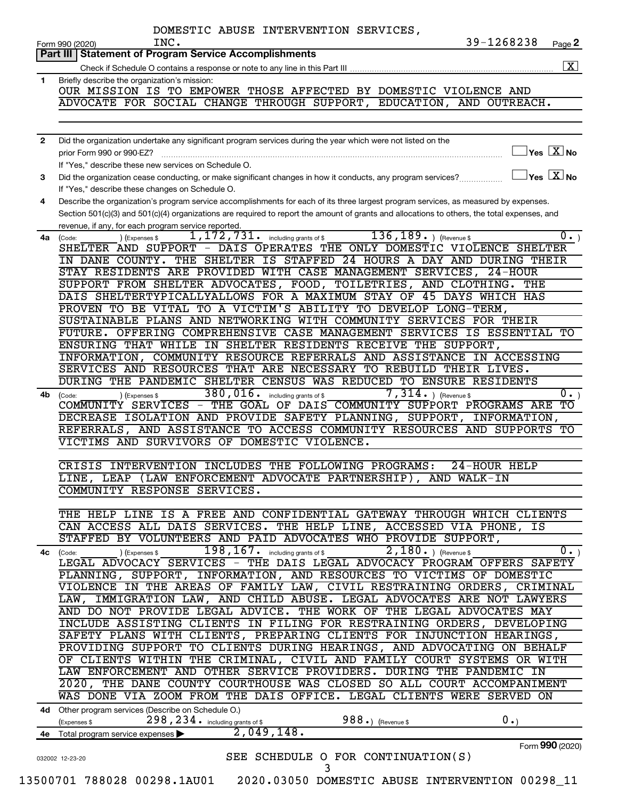| Briefly describe the organization's mission:<br>OUR MISSION IS TO EMPOWER THOSE AFFECTED BY DOMESTIC VIOLENCE AND<br>ADVOCATE FOR SOCIAL CHANGE THROUGH SUPPORT, EDUCATION, AND OUTREACH.<br>Did the organization undertake any significant program services during the year which were not listed on the<br>prior Form 990 or 990-EZ?<br>If "Yes." describe these new services on Schedule O.<br>Did the organization cease conducting, or make significant changes in how it conducts, any program services?<br>If "Yes," describe these changes on Schedule O.<br>Describe the organization's program service accomplishments for each of its three largest program services, as measured by expenses.<br>Section 501(c)(3) and 501(c)(4) organizations are required to report the amount of grants and allocations to others, the total expenses, and<br>revenue, if any, for each program service reported.<br>1,172,731.<br>$136, 189.$ (Revenue \$)<br>including grants of \$<br>4a (Code:<br>) (Expenses \$<br>SHELTER AND SUPPORT - DAIS OPERATES THE ONLY DOMESTIC VIOLENCE SHELTER<br>IN DANE COUNTY. THE SHELTER IS STAFFED 24 HOURS A DAY AND DURING THEIR<br>STAY RESIDENTS ARE PROVIDED WITH CASE MANAGEMENT SERVICES, 24-HOUR<br>SUPPORT FROM SHELTER ADVOCATES, FOOD, TOILETRIES, AND CLOTHING. THE<br>DAIS SHELTERTYPICALLYALLOWS FOR A MAXIMUM STAY OF 45 DAYS WHICH HAS<br>PROVEN TO BE VITAL TO A VICTIM'S ABILITY TO DEVELOP LONG-TERM,<br>SUSTAINABLE PLANS AND NETWORKING WITH COMMUNITY SERVICES FOR THEIR<br>ENSURING THAT WHILE IN SHELTER RESIDENTS RECEIVE THE SUPPORT,<br>SERVICES AND RESOURCES THAT ARE NECESSARY TO REBUILD THEIR LIVES.<br>DURING THE PANDEMIC SHELTER CENSUS WAS REDUCED TO ENSURE RESIDENTS<br>380,016. including grants of \$<br>$\overline{7,314.}$ ) (Revenue \$<br>(Code:<br>(Expenses \$<br>COMMUNITY SERVICES - THE GOAL OF DAIS COMMUNITY SUPPORT PROGRAMS ARE<br>DECREASE ISOLATION AND PROVIDE SAFETY PLANNING, SUPPORT, INFORMATION,<br>REFERRALS, AND ASSISTANCE TO ACCESS COMMUNITY RESOURCES AND SUPPORTS TO<br>VICTIMS AND SURVIVORS OF DOMESTIC VIOLENCE.<br>CRISIS INTERVENTION INCLUDES THE FOLLOWING PROGRAMS:<br>24-HOUR HELP<br>LINE, LEAP (LAW ENFORCEMENT ADVOCATE PARTNERSHIP)<br>AND WALK-IN<br>COMMUNITY RESPONSE SERVICES.<br>CAN ACCESS ALL DAIS SERVICES. THE HELP LINE, ACCESSED VIA PHONE, IS<br>STAFFED BY VOLUNTEERS AND PAID ADVOCATES WHO PROVIDE SUPPORT,<br>198, 167. including grants of \$<br>$2,180.$ ) (Revenue \$<br>) (Expenses \$<br>(Code:<br>PLANNING, SUPPORT, INFORMATION, AND RESOURCES TO VICTIMS OF DOMESTIC<br>AND DO NOT PROVIDE LEGAL ADVICE. THE WORK OF THE LEGAL ADVOCATES MAY<br>INCLUDE ASSISTING CLIENTS IN FILING FOR RESTRAINING ORDERS, DEVELOPING<br>SAFETY PLANS WITH CLIENTS, PREPARING CLIENTS FOR INJUNCTION HEARINGS,<br>PROVIDING SUPPORT TO CLIENTS DURING HEARINGS, AND ADVOCATING ON BEHALF<br>OF CLIENTS WITHIN THE CRIMINAL, CIVIL AND FAMILY COURT SYSTEMS OR WITH<br>LAW ENFORCEMENT AND OTHER SERVICE PROVIDERS. DURING THE PANDEMIC IN<br>2020, THE DANE COUNTY COURTHOUSE WAS CLOSED SO ALL COURT ACCOMPANIMENT<br>WAS DONE VIA ZOOM FROM THE DAIS OFFICE. LEGAL CLIENTS WERE SERVED ON<br>4d Other program services (Describe on Schedule O.)<br>298, 234. including grants of \$<br>988.) (Revenue \$<br>0.<br>(Expenses \$<br>2,049,148.<br>4e Total program service expenses |                | 39-1268238<br>INC.<br>Page 2<br>Form 990 (2020)<br>Part III   Statement of Program Service Accomplishments |
|---------------------------------------------------------------------------------------------------------------------------------------------------------------------------------------------------------------------------------------------------------------------------------------------------------------------------------------------------------------------------------------------------------------------------------------------------------------------------------------------------------------------------------------------------------------------------------------------------------------------------------------------------------------------------------------------------------------------------------------------------------------------------------------------------------------------------------------------------------------------------------------------------------------------------------------------------------------------------------------------------------------------------------------------------------------------------------------------------------------------------------------------------------------------------------------------------------------------------------------------------------------------------------------------------------------------------------------------------------------------------------------------------------------------------------------------------------------------------------------------------------------------------------------------------------------------------------------------------------------------------------------------------------------------------------------------------------------------------------------------------------------------------------------------------------------------------------------------------------------------------------------------------------------------------------------------------------------------------------------------------------------------------------------------------------------------------------------------------------------------------------------------------------------------------------------------------------------------------------------------------------------------------------------------------------------------------------------------------------------------------------------------------------------------------------------------------------------------------------------------------------------------------------------------------------------------------------------------------------------------------------------------------------------------------------------------------------------------------------------------------------------------------------------------------------------------------------------------------------------------------------------------------------------------------------------------------------------------------------------------------------------------------------------------------------------------------------------------------------------------------------------------------------------------------------------------------------------------------------------------------------------------------------------------------------------------------------------------------------------------------------------------------------------------|----------------|------------------------------------------------------------------------------------------------------------|
|                                                                                                                                                                                                                                                                                                                                                                                                                                                                                                                                                                                                                                                                                                                                                                                                                                                                                                                                                                                                                                                                                                                                                                                                                                                                                                                                                                                                                                                                                                                                                                                                                                                                                                                                                                                                                                                                                                                                                                                                                                                                                                                                                                                                                                                                                                                                                                                                                                                                                                                                                                                                                                                                                                                                                                                                                                                                                                                                                                                                                                                                                                                                                                                                                                                                                                                                                                                                                     |                |                                                                                                            |
|                                                                                                                                                                                                                                                                                                                                                                                                                                                                                                                                                                                                                                                                                                                                                                                                                                                                                                                                                                                                                                                                                                                                                                                                                                                                                                                                                                                                                                                                                                                                                                                                                                                                                                                                                                                                                                                                                                                                                                                                                                                                                                                                                                                                                                                                                                                                                                                                                                                                                                                                                                                                                                                                                                                                                                                                                                                                                                                                                                                                                                                                                                                                                                                                                                                                                                                                                                                                                     | 1              |                                                                                                            |
|                                                                                                                                                                                                                                                                                                                                                                                                                                                                                                                                                                                                                                                                                                                                                                                                                                                                                                                                                                                                                                                                                                                                                                                                                                                                                                                                                                                                                                                                                                                                                                                                                                                                                                                                                                                                                                                                                                                                                                                                                                                                                                                                                                                                                                                                                                                                                                                                                                                                                                                                                                                                                                                                                                                                                                                                                                                                                                                                                                                                                                                                                                                                                                                                                                                                                                                                                                                                                     |                |                                                                                                            |
|                                                                                                                                                                                                                                                                                                                                                                                                                                                                                                                                                                                                                                                                                                                                                                                                                                                                                                                                                                                                                                                                                                                                                                                                                                                                                                                                                                                                                                                                                                                                                                                                                                                                                                                                                                                                                                                                                                                                                                                                                                                                                                                                                                                                                                                                                                                                                                                                                                                                                                                                                                                                                                                                                                                                                                                                                                                                                                                                                                                                                                                                                                                                                                                                                                                                                                                                                                                                                     |                |                                                                                                            |
|                                                                                                                                                                                                                                                                                                                                                                                                                                                                                                                                                                                                                                                                                                                                                                                                                                                                                                                                                                                                                                                                                                                                                                                                                                                                                                                                                                                                                                                                                                                                                                                                                                                                                                                                                                                                                                                                                                                                                                                                                                                                                                                                                                                                                                                                                                                                                                                                                                                                                                                                                                                                                                                                                                                                                                                                                                                                                                                                                                                                                                                                                                                                                                                                                                                                                                                                                                                                                     |                |                                                                                                            |
|                                                                                                                                                                                                                                                                                                                                                                                                                                                                                                                                                                                                                                                                                                                                                                                                                                                                                                                                                                                                                                                                                                                                                                                                                                                                                                                                                                                                                                                                                                                                                                                                                                                                                                                                                                                                                                                                                                                                                                                                                                                                                                                                                                                                                                                                                                                                                                                                                                                                                                                                                                                                                                                                                                                                                                                                                                                                                                                                                                                                                                                                                                                                                                                                                                                                                                                                                                                                                     | $\overline{2}$ |                                                                                                            |
|                                                                                                                                                                                                                                                                                                                                                                                                                                                                                                                                                                                                                                                                                                                                                                                                                                                                                                                                                                                                                                                                                                                                                                                                                                                                                                                                                                                                                                                                                                                                                                                                                                                                                                                                                                                                                                                                                                                                                                                                                                                                                                                                                                                                                                                                                                                                                                                                                                                                                                                                                                                                                                                                                                                                                                                                                                                                                                                                                                                                                                                                                                                                                                                                                                                                                                                                                                                                                     |                | $\overline{\ }$ Yes $\overline{\rm X}$ No                                                                  |
|                                                                                                                                                                                                                                                                                                                                                                                                                                                                                                                                                                                                                                                                                                                                                                                                                                                                                                                                                                                                                                                                                                                                                                                                                                                                                                                                                                                                                                                                                                                                                                                                                                                                                                                                                                                                                                                                                                                                                                                                                                                                                                                                                                                                                                                                                                                                                                                                                                                                                                                                                                                                                                                                                                                                                                                                                                                                                                                                                                                                                                                                                                                                                                                                                                                                                                                                                                                                                     |                |                                                                                                            |
|                                                                                                                                                                                                                                                                                                                                                                                                                                                                                                                                                                                                                                                                                                                                                                                                                                                                                                                                                                                                                                                                                                                                                                                                                                                                                                                                                                                                                                                                                                                                                                                                                                                                                                                                                                                                                                                                                                                                                                                                                                                                                                                                                                                                                                                                                                                                                                                                                                                                                                                                                                                                                                                                                                                                                                                                                                                                                                                                                                                                                                                                                                                                                                                                                                                                                                                                                                                                                     | 3              | $\sqrt{}$ Yes $\sqrt{}\,\overline{\mathrm{X}}$ No                                                          |
|                                                                                                                                                                                                                                                                                                                                                                                                                                                                                                                                                                                                                                                                                                                                                                                                                                                                                                                                                                                                                                                                                                                                                                                                                                                                                                                                                                                                                                                                                                                                                                                                                                                                                                                                                                                                                                                                                                                                                                                                                                                                                                                                                                                                                                                                                                                                                                                                                                                                                                                                                                                                                                                                                                                                                                                                                                                                                                                                                                                                                                                                                                                                                                                                                                                                                                                                                                                                                     | 4              |                                                                                                            |
|                                                                                                                                                                                                                                                                                                                                                                                                                                                                                                                                                                                                                                                                                                                                                                                                                                                                                                                                                                                                                                                                                                                                                                                                                                                                                                                                                                                                                                                                                                                                                                                                                                                                                                                                                                                                                                                                                                                                                                                                                                                                                                                                                                                                                                                                                                                                                                                                                                                                                                                                                                                                                                                                                                                                                                                                                                                                                                                                                                                                                                                                                                                                                                                                                                                                                                                                                                                                                     |                |                                                                                                            |
|                                                                                                                                                                                                                                                                                                                                                                                                                                                                                                                                                                                                                                                                                                                                                                                                                                                                                                                                                                                                                                                                                                                                                                                                                                                                                                                                                                                                                                                                                                                                                                                                                                                                                                                                                                                                                                                                                                                                                                                                                                                                                                                                                                                                                                                                                                                                                                                                                                                                                                                                                                                                                                                                                                                                                                                                                                                                                                                                                                                                                                                                                                                                                                                                                                                                                                                                                                                                                     |                | $\overline{0}$ .)                                                                                          |
|                                                                                                                                                                                                                                                                                                                                                                                                                                                                                                                                                                                                                                                                                                                                                                                                                                                                                                                                                                                                                                                                                                                                                                                                                                                                                                                                                                                                                                                                                                                                                                                                                                                                                                                                                                                                                                                                                                                                                                                                                                                                                                                                                                                                                                                                                                                                                                                                                                                                                                                                                                                                                                                                                                                                                                                                                                                                                                                                                                                                                                                                                                                                                                                                                                                                                                                                                                                                                     |                |                                                                                                            |
|                                                                                                                                                                                                                                                                                                                                                                                                                                                                                                                                                                                                                                                                                                                                                                                                                                                                                                                                                                                                                                                                                                                                                                                                                                                                                                                                                                                                                                                                                                                                                                                                                                                                                                                                                                                                                                                                                                                                                                                                                                                                                                                                                                                                                                                                                                                                                                                                                                                                                                                                                                                                                                                                                                                                                                                                                                                                                                                                                                                                                                                                                                                                                                                                                                                                                                                                                                                                                     |                |                                                                                                            |
|                                                                                                                                                                                                                                                                                                                                                                                                                                                                                                                                                                                                                                                                                                                                                                                                                                                                                                                                                                                                                                                                                                                                                                                                                                                                                                                                                                                                                                                                                                                                                                                                                                                                                                                                                                                                                                                                                                                                                                                                                                                                                                                                                                                                                                                                                                                                                                                                                                                                                                                                                                                                                                                                                                                                                                                                                                                                                                                                                                                                                                                                                                                                                                                                                                                                                                                                                                                                                     |                |                                                                                                            |
|                                                                                                                                                                                                                                                                                                                                                                                                                                                                                                                                                                                                                                                                                                                                                                                                                                                                                                                                                                                                                                                                                                                                                                                                                                                                                                                                                                                                                                                                                                                                                                                                                                                                                                                                                                                                                                                                                                                                                                                                                                                                                                                                                                                                                                                                                                                                                                                                                                                                                                                                                                                                                                                                                                                                                                                                                                                                                                                                                                                                                                                                                                                                                                                                                                                                                                                                                                                                                     |                |                                                                                                            |
|                                                                                                                                                                                                                                                                                                                                                                                                                                                                                                                                                                                                                                                                                                                                                                                                                                                                                                                                                                                                                                                                                                                                                                                                                                                                                                                                                                                                                                                                                                                                                                                                                                                                                                                                                                                                                                                                                                                                                                                                                                                                                                                                                                                                                                                                                                                                                                                                                                                                                                                                                                                                                                                                                                                                                                                                                                                                                                                                                                                                                                                                                                                                                                                                                                                                                                                                                                                                                     |                |                                                                                                            |
|                                                                                                                                                                                                                                                                                                                                                                                                                                                                                                                                                                                                                                                                                                                                                                                                                                                                                                                                                                                                                                                                                                                                                                                                                                                                                                                                                                                                                                                                                                                                                                                                                                                                                                                                                                                                                                                                                                                                                                                                                                                                                                                                                                                                                                                                                                                                                                                                                                                                                                                                                                                                                                                                                                                                                                                                                                                                                                                                                                                                                                                                                                                                                                                                                                                                                                                                                                                                                     |                |                                                                                                            |
|                                                                                                                                                                                                                                                                                                                                                                                                                                                                                                                                                                                                                                                                                                                                                                                                                                                                                                                                                                                                                                                                                                                                                                                                                                                                                                                                                                                                                                                                                                                                                                                                                                                                                                                                                                                                                                                                                                                                                                                                                                                                                                                                                                                                                                                                                                                                                                                                                                                                                                                                                                                                                                                                                                                                                                                                                                                                                                                                                                                                                                                                                                                                                                                                                                                                                                                                                                                                                     |                |                                                                                                            |
|                                                                                                                                                                                                                                                                                                                                                                                                                                                                                                                                                                                                                                                                                                                                                                                                                                                                                                                                                                                                                                                                                                                                                                                                                                                                                                                                                                                                                                                                                                                                                                                                                                                                                                                                                                                                                                                                                                                                                                                                                                                                                                                                                                                                                                                                                                                                                                                                                                                                                                                                                                                                                                                                                                                                                                                                                                                                                                                                                                                                                                                                                                                                                                                                                                                                                                                                                                                                                     |                | FUTURE. OFFERING COMPREHENSIVE CASE MANAGEMENT SERVICES IS ESSENTIAL TO                                    |
|                                                                                                                                                                                                                                                                                                                                                                                                                                                                                                                                                                                                                                                                                                                                                                                                                                                                                                                                                                                                                                                                                                                                                                                                                                                                                                                                                                                                                                                                                                                                                                                                                                                                                                                                                                                                                                                                                                                                                                                                                                                                                                                                                                                                                                                                                                                                                                                                                                                                                                                                                                                                                                                                                                                                                                                                                                                                                                                                                                                                                                                                                                                                                                                                                                                                                                                                                                                                                     |                |                                                                                                            |
|                                                                                                                                                                                                                                                                                                                                                                                                                                                                                                                                                                                                                                                                                                                                                                                                                                                                                                                                                                                                                                                                                                                                                                                                                                                                                                                                                                                                                                                                                                                                                                                                                                                                                                                                                                                                                                                                                                                                                                                                                                                                                                                                                                                                                                                                                                                                                                                                                                                                                                                                                                                                                                                                                                                                                                                                                                                                                                                                                                                                                                                                                                                                                                                                                                                                                                                                                                                                                     |                | INFORMATION, COMMUNITY RESOURCE REFERRALS AND ASSISTANCE IN ACCESSING                                      |
|                                                                                                                                                                                                                                                                                                                                                                                                                                                                                                                                                                                                                                                                                                                                                                                                                                                                                                                                                                                                                                                                                                                                                                                                                                                                                                                                                                                                                                                                                                                                                                                                                                                                                                                                                                                                                                                                                                                                                                                                                                                                                                                                                                                                                                                                                                                                                                                                                                                                                                                                                                                                                                                                                                                                                                                                                                                                                                                                                                                                                                                                                                                                                                                                                                                                                                                                                                                                                     |                |                                                                                                            |
|                                                                                                                                                                                                                                                                                                                                                                                                                                                                                                                                                                                                                                                                                                                                                                                                                                                                                                                                                                                                                                                                                                                                                                                                                                                                                                                                                                                                                                                                                                                                                                                                                                                                                                                                                                                                                                                                                                                                                                                                                                                                                                                                                                                                                                                                                                                                                                                                                                                                                                                                                                                                                                                                                                                                                                                                                                                                                                                                                                                                                                                                                                                                                                                                                                                                                                                                                                                                                     |                |                                                                                                            |
|                                                                                                                                                                                                                                                                                                                                                                                                                                                                                                                                                                                                                                                                                                                                                                                                                                                                                                                                                                                                                                                                                                                                                                                                                                                                                                                                                                                                                                                                                                                                                                                                                                                                                                                                                                                                                                                                                                                                                                                                                                                                                                                                                                                                                                                                                                                                                                                                                                                                                                                                                                                                                                                                                                                                                                                                                                                                                                                                                                                                                                                                                                                                                                                                                                                                                                                                                                                                                     | 4b l           | $\overline{0}$ .)                                                                                          |
|                                                                                                                                                                                                                                                                                                                                                                                                                                                                                                                                                                                                                                                                                                                                                                                                                                                                                                                                                                                                                                                                                                                                                                                                                                                                                                                                                                                                                                                                                                                                                                                                                                                                                                                                                                                                                                                                                                                                                                                                                                                                                                                                                                                                                                                                                                                                                                                                                                                                                                                                                                                                                                                                                                                                                                                                                                                                                                                                                                                                                                                                                                                                                                                                                                                                                                                                                                                                                     |                | тo                                                                                                         |
|                                                                                                                                                                                                                                                                                                                                                                                                                                                                                                                                                                                                                                                                                                                                                                                                                                                                                                                                                                                                                                                                                                                                                                                                                                                                                                                                                                                                                                                                                                                                                                                                                                                                                                                                                                                                                                                                                                                                                                                                                                                                                                                                                                                                                                                                                                                                                                                                                                                                                                                                                                                                                                                                                                                                                                                                                                                                                                                                                                                                                                                                                                                                                                                                                                                                                                                                                                                                                     |                |                                                                                                            |
|                                                                                                                                                                                                                                                                                                                                                                                                                                                                                                                                                                                                                                                                                                                                                                                                                                                                                                                                                                                                                                                                                                                                                                                                                                                                                                                                                                                                                                                                                                                                                                                                                                                                                                                                                                                                                                                                                                                                                                                                                                                                                                                                                                                                                                                                                                                                                                                                                                                                                                                                                                                                                                                                                                                                                                                                                                                                                                                                                                                                                                                                                                                                                                                                                                                                                                                                                                                                                     |                |                                                                                                            |
|                                                                                                                                                                                                                                                                                                                                                                                                                                                                                                                                                                                                                                                                                                                                                                                                                                                                                                                                                                                                                                                                                                                                                                                                                                                                                                                                                                                                                                                                                                                                                                                                                                                                                                                                                                                                                                                                                                                                                                                                                                                                                                                                                                                                                                                                                                                                                                                                                                                                                                                                                                                                                                                                                                                                                                                                                                                                                                                                                                                                                                                                                                                                                                                                                                                                                                                                                                                                                     |                |                                                                                                            |
|                                                                                                                                                                                                                                                                                                                                                                                                                                                                                                                                                                                                                                                                                                                                                                                                                                                                                                                                                                                                                                                                                                                                                                                                                                                                                                                                                                                                                                                                                                                                                                                                                                                                                                                                                                                                                                                                                                                                                                                                                                                                                                                                                                                                                                                                                                                                                                                                                                                                                                                                                                                                                                                                                                                                                                                                                                                                                                                                                                                                                                                                                                                                                                                                                                                                                                                                                                                                                     |                |                                                                                                            |
|                                                                                                                                                                                                                                                                                                                                                                                                                                                                                                                                                                                                                                                                                                                                                                                                                                                                                                                                                                                                                                                                                                                                                                                                                                                                                                                                                                                                                                                                                                                                                                                                                                                                                                                                                                                                                                                                                                                                                                                                                                                                                                                                                                                                                                                                                                                                                                                                                                                                                                                                                                                                                                                                                                                                                                                                                                                                                                                                                                                                                                                                                                                                                                                                                                                                                                                                                                                                                     |                |                                                                                                            |
|                                                                                                                                                                                                                                                                                                                                                                                                                                                                                                                                                                                                                                                                                                                                                                                                                                                                                                                                                                                                                                                                                                                                                                                                                                                                                                                                                                                                                                                                                                                                                                                                                                                                                                                                                                                                                                                                                                                                                                                                                                                                                                                                                                                                                                                                                                                                                                                                                                                                                                                                                                                                                                                                                                                                                                                                                                                                                                                                                                                                                                                                                                                                                                                                                                                                                                                                                                                                                     |                |                                                                                                            |
|                                                                                                                                                                                                                                                                                                                                                                                                                                                                                                                                                                                                                                                                                                                                                                                                                                                                                                                                                                                                                                                                                                                                                                                                                                                                                                                                                                                                                                                                                                                                                                                                                                                                                                                                                                                                                                                                                                                                                                                                                                                                                                                                                                                                                                                                                                                                                                                                                                                                                                                                                                                                                                                                                                                                                                                                                                                                                                                                                                                                                                                                                                                                                                                                                                                                                                                                                                                                                     |                |                                                                                                            |
|                                                                                                                                                                                                                                                                                                                                                                                                                                                                                                                                                                                                                                                                                                                                                                                                                                                                                                                                                                                                                                                                                                                                                                                                                                                                                                                                                                                                                                                                                                                                                                                                                                                                                                                                                                                                                                                                                                                                                                                                                                                                                                                                                                                                                                                                                                                                                                                                                                                                                                                                                                                                                                                                                                                                                                                                                                                                                                                                                                                                                                                                                                                                                                                                                                                                                                                                                                                                                     |                | THE HELP LINE IS A FREE AND CONFIDENTIAL GATEWAY THROUGH WHICH CLIENTS                                     |
|                                                                                                                                                                                                                                                                                                                                                                                                                                                                                                                                                                                                                                                                                                                                                                                                                                                                                                                                                                                                                                                                                                                                                                                                                                                                                                                                                                                                                                                                                                                                                                                                                                                                                                                                                                                                                                                                                                                                                                                                                                                                                                                                                                                                                                                                                                                                                                                                                                                                                                                                                                                                                                                                                                                                                                                                                                                                                                                                                                                                                                                                                                                                                                                                                                                                                                                                                                                                                     |                |                                                                                                            |
|                                                                                                                                                                                                                                                                                                                                                                                                                                                                                                                                                                                                                                                                                                                                                                                                                                                                                                                                                                                                                                                                                                                                                                                                                                                                                                                                                                                                                                                                                                                                                                                                                                                                                                                                                                                                                                                                                                                                                                                                                                                                                                                                                                                                                                                                                                                                                                                                                                                                                                                                                                                                                                                                                                                                                                                                                                                                                                                                                                                                                                                                                                                                                                                                                                                                                                                                                                                                                     |                |                                                                                                            |
|                                                                                                                                                                                                                                                                                                                                                                                                                                                                                                                                                                                                                                                                                                                                                                                                                                                                                                                                                                                                                                                                                                                                                                                                                                                                                                                                                                                                                                                                                                                                                                                                                                                                                                                                                                                                                                                                                                                                                                                                                                                                                                                                                                                                                                                                                                                                                                                                                                                                                                                                                                                                                                                                                                                                                                                                                                                                                                                                                                                                                                                                                                                                                                                                                                                                                                                                                                                                                     | 4с             | $0 \cdot$ )                                                                                                |
|                                                                                                                                                                                                                                                                                                                                                                                                                                                                                                                                                                                                                                                                                                                                                                                                                                                                                                                                                                                                                                                                                                                                                                                                                                                                                                                                                                                                                                                                                                                                                                                                                                                                                                                                                                                                                                                                                                                                                                                                                                                                                                                                                                                                                                                                                                                                                                                                                                                                                                                                                                                                                                                                                                                                                                                                                                                                                                                                                                                                                                                                                                                                                                                                                                                                                                                                                                                                                     |                | LEGAL ADVOCACY SERVICES - THE DAIS LEGAL ADVOCACY PROGRAM OFFERS SAFETY                                    |
|                                                                                                                                                                                                                                                                                                                                                                                                                                                                                                                                                                                                                                                                                                                                                                                                                                                                                                                                                                                                                                                                                                                                                                                                                                                                                                                                                                                                                                                                                                                                                                                                                                                                                                                                                                                                                                                                                                                                                                                                                                                                                                                                                                                                                                                                                                                                                                                                                                                                                                                                                                                                                                                                                                                                                                                                                                                                                                                                                                                                                                                                                                                                                                                                                                                                                                                                                                                                                     |                |                                                                                                            |
|                                                                                                                                                                                                                                                                                                                                                                                                                                                                                                                                                                                                                                                                                                                                                                                                                                                                                                                                                                                                                                                                                                                                                                                                                                                                                                                                                                                                                                                                                                                                                                                                                                                                                                                                                                                                                                                                                                                                                                                                                                                                                                                                                                                                                                                                                                                                                                                                                                                                                                                                                                                                                                                                                                                                                                                                                                                                                                                                                                                                                                                                                                                                                                                                                                                                                                                                                                                                                     |                | VIOLENCE IN THE AREAS OF FAMILY LAW, CIVIL RESTRAINING ORDERS, CRIMINAL                                    |
|                                                                                                                                                                                                                                                                                                                                                                                                                                                                                                                                                                                                                                                                                                                                                                                                                                                                                                                                                                                                                                                                                                                                                                                                                                                                                                                                                                                                                                                                                                                                                                                                                                                                                                                                                                                                                                                                                                                                                                                                                                                                                                                                                                                                                                                                                                                                                                                                                                                                                                                                                                                                                                                                                                                                                                                                                                                                                                                                                                                                                                                                                                                                                                                                                                                                                                                                                                                                                     |                | LAW, IMMIGRATION LAW, AND CHILD ABUSE. LEGAL ADVOCATES ARE NOT LAWYERS                                     |
|                                                                                                                                                                                                                                                                                                                                                                                                                                                                                                                                                                                                                                                                                                                                                                                                                                                                                                                                                                                                                                                                                                                                                                                                                                                                                                                                                                                                                                                                                                                                                                                                                                                                                                                                                                                                                                                                                                                                                                                                                                                                                                                                                                                                                                                                                                                                                                                                                                                                                                                                                                                                                                                                                                                                                                                                                                                                                                                                                                                                                                                                                                                                                                                                                                                                                                                                                                                                                     |                |                                                                                                            |
|                                                                                                                                                                                                                                                                                                                                                                                                                                                                                                                                                                                                                                                                                                                                                                                                                                                                                                                                                                                                                                                                                                                                                                                                                                                                                                                                                                                                                                                                                                                                                                                                                                                                                                                                                                                                                                                                                                                                                                                                                                                                                                                                                                                                                                                                                                                                                                                                                                                                                                                                                                                                                                                                                                                                                                                                                                                                                                                                                                                                                                                                                                                                                                                                                                                                                                                                                                                                                     |                |                                                                                                            |
|                                                                                                                                                                                                                                                                                                                                                                                                                                                                                                                                                                                                                                                                                                                                                                                                                                                                                                                                                                                                                                                                                                                                                                                                                                                                                                                                                                                                                                                                                                                                                                                                                                                                                                                                                                                                                                                                                                                                                                                                                                                                                                                                                                                                                                                                                                                                                                                                                                                                                                                                                                                                                                                                                                                                                                                                                                                                                                                                                                                                                                                                                                                                                                                                                                                                                                                                                                                                                     |                |                                                                                                            |
|                                                                                                                                                                                                                                                                                                                                                                                                                                                                                                                                                                                                                                                                                                                                                                                                                                                                                                                                                                                                                                                                                                                                                                                                                                                                                                                                                                                                                                                                                                                                                                                                                                                                                                                                                                                                                                                                                                                                                                                                                                                                                                                                                                                                                                                                                                                                                                                                                                                                                                                                                                                                                                                                                                                                                                                                                                                                                                                                                                                                                                                                                                                                                                                                                                                                                                                                                                                                                     |                |                                                                                                            |
|                                                                                                                                                                                                                                                                                                                                                                                                                                                                                                                                                                                                                                                                                                                                                                                                                                                                                                                                                                                                                                                                                                                                                                                                                                                                                                                                                                                                                                                                                                                                                                                                                                                                                                                                                                                                                                                                                                                                                                                                                                                                                                                                                                                                                                                                                                                                                                                                                                                                                                                                                                                                                                                                                                                                                                                                                                                                                                                                                                                                                                                                                                                                                                                                                                                                                                                                                                                                                     |                |                                                                                                            |
|                                                                                                                                                                                                                                                                                                                                                                                                                                                                                                                                                                                                                                                                                                                                                                                                                                                                                                                                                                                                                                                                                                                                                                                                                                                                                                                                                                                                                                                                                                                                                                                                                                                                                                                                                                                                                                                                                                                                                                                                                                                                                                                                                                                                                                                                                                                                                                                                                                                                                                                                                                                                                                                                                                                                                                                                                                                                                                                                                                                                                                                                                                                                                                                                                                                                                                                                                                                                                     |                |                                                                                                            |
|                                                                                                                                                                                                                                                                                                                                                                                                                                                                                                                                                                                                                                                                                                                                                                                                                                                                                                                                                                                                                                                                                                                                                                                                                                                                                                                                                                                                                                                                                                                                                                                                                                                                                                                                                                                                                                                                                                                                                                                                                                                                                                                                                                                                                                                                                                                                                                                                                                                                                                                                                                                                                                                                                                                                                                                                                                                                                                                                                                                                                                                                                                                                                                                                                                                                                                                                                                                                                     |                |                                                                                                            |
|                                                                                                                                                                                                                                                                                                                                                                                                                                                                                                                                                                                                                                                                                                                                                                                                                                                                                                                                                                                                                                                                                                                                                                                                                                                                                                                                                                                                                                                                                                                                                                                                                                                                                                                                                                                                                                                                                                                                                                                                                                                                                                                                                                                                                                                                                                                                                                                                                                                                                                                                                                                                                                                                                                                                                                                                                                                                                                                                                                                                                                                                                                                                                                                                                                                                                                                                                                                                                     |                |                                                                                                            |
|                                                                                                                                                                                                                                                                                                                                                                                                                                                                                                                                                                                                                                                                                                                                                                                                                                                                                                                                                                                                                                                                                                                                                                                                                                                                                                                                                                                                                                                                                                                                                                                                                                                                                                                                                                                                                                                                                                                                                                                                                                                                                                                                                                                                                                                                                                                                                                                                                                                                                                                                                                                                                                                                                                                                                                                                                                                                                                                                                                                                                                                                                                                                                                                                                                                                                                                                                                                                                     |                |                                                                                                            |
|                                                                                                                                                                                                                                                                                                                                                                                                                                                                                                                                                                                                                                                                                                                                                                                                                                                                                                                                                                                                                                                                                                                                                                                                                                                                                                                                                                                                                                                                                                                                                                                                                                                                                                                                                                                                                                                                                                                                                                                                                                                                                                                                                                                                                                                                                                                                                                                                                                                                                                                                                                                                                                                                                                                                                                                                                                                                                                                                                                                                                                                                                                                                                                                                                                                                                                                                                                                                                     |                |                                                                                                            |
|                                                                                                                                                                                                                                                                                                                                                                                                                                                                                                                                                                                                                                                                                                                                                                                                                                                                                                                                                                                                                                                                                                                                                                                                                                                                                                                                                                                                                                                                                                                                                                                                                                                                                                                                                                                                                                                                                                                                                                                                                                                                                                                                                                                                                                                                                                                                                                                                                                                                                                                                                                                                                                                                                                                                                                                                                                                                                                                                                                                                                                                                                                                                                                                                                                                                                                                                                                                                                     |                | Form 990 (2020)                                                                                            |
| SEE SCHEDULE O FOR CONTINUATION(S)<br>032002 12-23-20<br>3                                                                                                                                                                                                                                                                                                                                                                                                                                                                                                                                                                                                                                                                                                                                                                                                                                                                                                                                                                                                                                                                                                                                                                                                                                                                                                                                                                                                                                                                                                                                                                                                                                                                                                                                                                                                                                                                                                                                                                                                                                                                                                                                                                                                                                                                                                                                                                                                                                                                                                                                                                                                                                                                                                                                                                                                                                                                                                                                                                                                                                                                                                                                                                                                                                                                                                                                                          |                |                                                                                                            |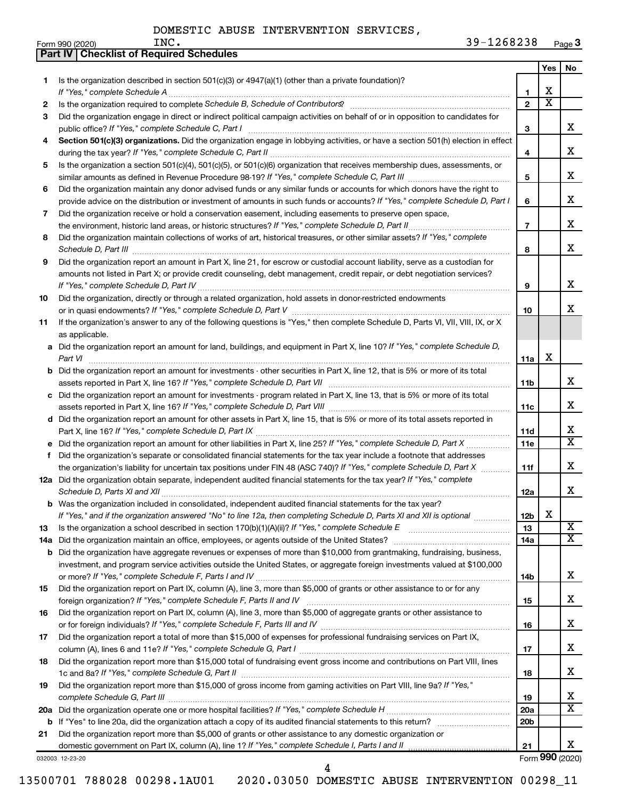|     | Part IV   Checklist of Required Schedules                                                                                                                                                                                                             |                               |                       |                       |
|-----|-------------------------------------------------------------------------------------------------------------------------------------------------------------------------------------------------------------------------------------------------------|-------------------------------|-----------------------|-----------------------|
|     |                                                                                                                                                                                                                                                       |                               | Yes                   | No.                   |
| 1.  | Is the organization described in section $501(c)(3)$ or $4947(a)(1)$ (other than a private foundation)?                                                                                                                                               |                               | х                     |                       |
|     |                                                                                                                                                                                                                                                       | 1<br>$\overline{2}$           | $\overline{\text{x}}$ |                       |
| 2   |                                                                                                                                                                                                                                                       |                               |                       |                       |
| 3   | Did the organization engage in direct or indirect political campaign activities on behalf of or in opposition to candidates for                                                                                                                       | 3                             |                       | x                     |
| 4   | Section 501(c)(3) organizations. Did the organization engage in lobbying activities, or have a section 501(h) election in effect                                                                                                                      |                               |                       | х                     |
| 5   | Is the organization a section 501(c)(4), 501(c)(5), or 501(c)(6) organization that receives membership dues, assessments, or                                                                                                                          | 4                             |                       |                       |
|     |                                                                                                                                                                                                                                                       | 5                             |                       | х                     |
| 6   | Did the organization maintain any donor advised funds or any similar funds or accounts for which donors have the right to                                                                                                                             |                               |                       |                       |
|     | provide advice on the distribution or investment of amounts in such funds or accounts? If "Yes," complete Schedule D, Part I                                                                                                                          | 6                             |                       | х                     |
| 7   | Did the organization receive or hold a conservation easement, including easements to preserve open space,<br>the environment, historic land areas, or historic structures? If "Yes," complete Schedule D, Part II                                     | $\overline{7}$                |                       | х                     |
| 8   | Did the organization maintain collections of works of art, historical treasures, or other similar assets? If "Yes," complete                                                                                                                          |                               |                       |                       |
|     |                                                                                                                                                                                                                                                       | 8                             |                       | x                     |
| 9   | Did the organization report an amount in Part X, line 21, for escrow or custodial account liability, serve as a custodian for                                                                                                                         |                               |                       |                       |
|     | amounts not listed in Part X; or provide credit counseling, debt management, credit repair, or debt negotiation services?                                                                                                                             | 9                             |                       | x                     |
| 10  | Did the organization, directly or through a related organization, hold assets in donor-restricted endowments                                                                                                                                          |                               |                       |                       |
|     |                                                                                                                                                                                                                                                       | 10                            |                       | x                     |
| 11  | If the organization's answer to any of the following questions is "Yes," then complete Schedule D, Parts VI, VII, VIII, IX, or X                                                                                                                      |                               |                       |                       |
|     | as applicable.                                                                                                                                                                                                                                        |                               |                       |                       |
|     | a Did the organization report an amount for land, buildings, and equipment in Part X, line 10? If "Yes," complete Schedule D,<br>Part VI                                                                                                              | 11a                           | х                     |                       |
|     | <b>b</b> Did the organization report an amount for investments - other securities in Part X, line 12, that is 5% or more of its total                                                                                                                 |                               |                       |                       |
|     |                                                                                                                                                                                                                                                       | 11b                           |                       | x                     |
|     | c Did the organization report an amount for investments - program related in Part X, line 13, that is 5% or more of its total                                                                                                                         |                               |                       |                       |
|     |                                                                                                                                                                                                                                                       | 11c                           |                       | x                     |
|     | d Did the organization report an amount for other assets in Part X, line 15, that is 5% or more of its total assets reported in                                                                                                                       | 11d                           |                       | х                     |
|     | Did the organization report an amount for other liabilities in Part X, line 25? If "Yes," complete Schedule D, Part X                                                                                                                                 | 11e                           |                       | $\overline{\text{X}}$ |
| f   | Did the organization's separate or consolidated financial statements for the tax year include a footnote that addresses                                                                                                                               |                               |                       |                       |
|     | the organization's liability for uncertain tax positions under FIN 48 (ASC 740)? If "Yes," complete Schedule D, Part X                                                                                                                                | 11f                           |                       | x                     |
|     | 12a Did the organization obtain separate, independent audited financial statements for the tax year? If "Yes," complete                                                                                                                               |                               |                       |                       |
|     |                                                                                                                                                                                                                                                       | 12a                           |                       | x.                    |
|     | b Was the organization included in consolidated, independent audited financial statements for the tax year?                                                                                                                                           |                               |                       |                       |
|     | If "Yes," and if the organization answered "No" to line 12a, then completing Schedule D, Parts XI and XII is optional                                                                                                                                 | 12b                           | х                     |                       |
| 13  |                                                                                                                                                                                                                                                       | 13                            |                       | X<br>X                |
| 14a | Did the organization maintain an office, employees, or agents outside of the United States?                                                                                                                                                           | 14a                           |                       |                       |
| b   | Did the organization have aggregate revenues or expenses of more than \$10,000 from grantmaking, fundraising, business,<br>investment, and program service activities outside the United States, or aggregate foreign investments valued at \$100,000 |                               |                       |                       |
|     |                                                                                                                                                                                                                                                       | 14b                           |                       | х                     |
| 15  | Did the organization report on Part IX, column (A), line 3, more than \$5,000 of grants or other assistance to or for any                                                                                                                             |                               |                       |                       |
|     |                                                                                                                                                                                                                                                       | 15                            |                       | x                     |
| 16  | Did the organization report on Part IX, column (A), line 3, more than \$5,000 of aggregate grants or other assistance to                                                                                                                              |                               |                       |                       |
| 17  | Did the organization report a total of more than \$15,000 of expenses for professional fundraising services on Part IX,                                                                                                                               | 16                            |                       | x                     |
|     |                                                                                                                                                                                                                                                       | 17                            |                       | x                     |
| 18  | Did the organization report more than \$15,000 total of fundraising event gross income and contributions on Part VIII, lines                                                                                                                          |                               |                       |                       |
|     |                                                                                                                                                                                                                                                       | 18                            |                       | x                     |
| 19  | Did the organization report more than \$15,000 of gross income from gaming activities on Part VIII, line 9a? If "Yes,"                                                                                                                                |                               |                       |                       |
|     |                                                                                                                                                                                                                                                       | 19                            |                       | x<br>X                |
|     |                                                                                                                                                                                                                                                       | <b>20a</b><br>20 <sub>b</sub> |                       |                       |
| 21  | Did the organization report more than \$5,000 of grants or other assistance to any domestic organization or                                                                                                                                           |                               |                       |                       |
|     | domestic government on Part IX, column (A), line 1? If "Yes," complete Schedule I, Parts I and II                                                                                                                                                     | 21                            |                       | x.                    |
|     | 032003 12-23-20                                                                                                                                                                                                                                       |                               |                       | Form 990 (2020)       |

4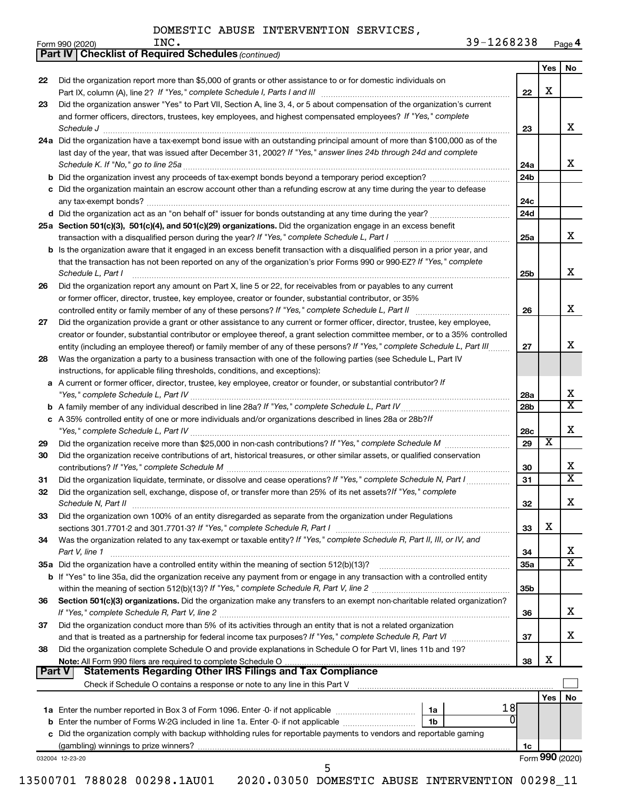|    |                                                                                                                                                                                                                                                                                                                        |                 | Yes                     | No                      |
|----|------------------------------------------------------------------------------------------------------------------------------------------------------------------------------------------------------------------------------------------------------------------------------------------------------------------------|-----------------|-------------------------|-------------------------|
| 22 | Did the organization report more than \$5,000 of grants or other assistance to or for domestic individuals on                                                                                                                                                                                                          | 22              | X                       |                         |
| 23 | Did the organization answer "Yes" to Part VII, Section A, line 3, 4, or 5 about compensation of the organization's current<br>and former officers, directors, trustees, key employees, and highest compensated employees? If "Yes," complete<br>Schedule J <b>www.communications.communications.communications.com</b> | 23              |                         | x                       |
|    | 24a Did the organization have a tax-exempt bond issue with an outstanding principal amount of more than \$100,000 as of the<br>last day of the year, that was issued after December 31, 2002? If "Yes," answer lines 24b through 24d and complete                                                                      |                 |                         |                         |
|    |                                                                                                                                                                                                                                                                                                                        | 24a             |                         | x                       |
|    |                                                                                                                                                                                                                                                                                                                        | 24 <sub>b</sub> |                         |                         |
|    | c Did the organization maintain an escrow account other than a refunding escrow at any time during the year to defease                                                                                                                                                                                                 | 24c             |                         |                         |
|    |                                                                                                                                                                                                                                                                                                                        | 24d             |                         |                         |
|    | 25a Section 501(c)(3), 501(c)(4), and 501(c)(29) organizations. Did the organization engage in an excess benefit                                                                                                                                                                                                       | 25a             |                         | x                       |
|    | <b>b</b> Is the organization aware that it engaged in an excess benefit transaction with a disqualified person in a prior year, and                                                                                                                                                                                    |                 |                         |                         |
|    | that the transaction has not been reported on any of the organization's prior Forms 990 or 990-EZ? If "Yes," complete<br>Schedule L, Part I                                                                                                                                                                            | 25 <sub>b</sub> |                         | x                       |
| 26 | Did the organization report any amount on Part X, line 5 or 22, for receivables from or payables to any current                                                                                                                                                                                                        |                 |                         |                         |
|    | or former officer, director, trustee, key employee, creator or founder, substantial contributor, or 35%                                                                                                                                                                                                                |                 |                         |                         |
|    |                                                                                                                                                                                                                                                                                                                        | 26              |                         | x                       |
| 27 | Did the organization provide a grant or other assistance to any current or former officer, director, trustee, key employee,                                                                                                                                                                                            |                 |                         |                         |
|    | creator or founder, substantial contributor or employee thereof, a grant selection committee member, or to a 35% controlled                                                                                                                                                                                            |                 |                         |                         |
|    | entity (including an employee thereof) or family member of any of these persons? If "Yes," complete Schedule L, Part III                                                                                                                                                                                               | 27              |                         | x                       |
| 28 | Was the organization a party to a business transaction with one of the following parties (see Schedule L, Part IV                                                                                                                                                                                                      |                 |                         |                         |
|    | instructions, for applicable filing thresholds, conditions, and exceptions):                                                                                                                                                                                                                                           |                 |                         |                         |
|    | a A current or former officer, director, trustee, key employee, creator or founder, or substantial contributor? If                                                                                                                                                                                                     |                 |                         | х                       |
|    |                                                                                                                                                                                                                                                                                                                        | 28a<br>28b      |                         | $\overline{\texttt{x}}$ |
|    | c A 35% controlled entity of one or more individuals and/or organizations described in lines 28a or 28b?/f                                                                                                                                                                                                             |                 |                         |                         |
|    |                                                                                                                                                                                                                                                                                                                        | 28c             |                         | X                       |
| 29 |                                                                                                                                                                                                                                                                                                                        | 29              | $\overline{\textbf{x}}$ |                         |
| 30 | Did the organization receive contributions of art, historical treasures, or other similar assets, or qualified conservation                                                                                                                                                                                            | 30              |                         | х                       |
| 31 | Did the organization liquidate, terminate, or dissolve and cease operations? If "Yes," complete Schedule N, Part I                                                                                                                                                                                                     | 31              |                         | $\overline{\textbf{x}}$ |
| 32 | Did the organization sell, exchange, dispose of, or transfer more than 25% of its net assets? If "Yes," complete                                                                                                                                                                                                       | 32              |                         | Χ                       |
| 33 | Did the organization own 100% of an entity disregarded as separate from the organization under Regulations                                                                                                                                                                                                             |                 | X                       |                         |
|    | Was the organization related to any tax-exempt or taxable entity? If "Yes," complete Schedule R, Part II, III, or IV, and                                                                                                                                                                                              | 33              |                         |                         |
| 34 | Part V, line 1                                                                                                                                                                                                                                                                                                         | 34              |                         | х                       |
|    |                                                                                                                                                                                                                                                                                                                        | <b>35a</b>      |                         | $\overline{\mathbf{X}}$ |
|    | b If "Yes" to line 35a, did the organization receive any payment from or engage in any transaction with a controlled entity                                                                                                                                                                                            |                 |                         |                         |
|    |                                                                                                                                                                                                                                                                                                                        | 35 <sub>b</sub> |                         |                         |
| 36 | Section 501(c)(3) organizations. Did the organization make any transfers to an exempt non-charitable related organization?                                                                                                                                                                                             | 36              |                         | x                       |
| 37 | Did the organization conduct more than 5% of its activities through an entity that is not a related organization                                                                                                                                                                                                       |                 |                         |                         |
|    |                                                                                                                                                                                                                                                                                                                        | 37              |                         | x                       |
| 38 | Did the organization complete Schedule O and provide explanations in Schedule O for Part VI, lines 11b and 19?                                                                                                                                                                                                         |                 |                         |                         |
|    |                                                                                                                                                                                                                                                                                                                        | 38              | X                       |                         |
|    | <b>Statements Regarding Other IRS Filings and Tax Compliance</b><br><b>Part V</b>                                                                                                                                                                                                                                      |                 |                         |                         |
|    |                                                                                                                                                                                                                                                                                                                        |                 | Yes                     | <b>No</b>               |
|    | 18                                                                                                                                                                                                                                                                                                                     |                 |                         |                         |
|    |                                                                                                                                                                                                                                                                                                                        |                 |                         |                         |
|    | c Did the organization comply with backup withholding rules for reportable payments to vendors and reportable gaming                                                                                                                                                                                                   |                 |                         |                         |
|    |                                                                                                                                                                                                                                                                                                                        |                 |                         |                         |
|    |                                                                                                                                                                                                                                                                                                                        | 1c              | Form 990 (2020)         |                         |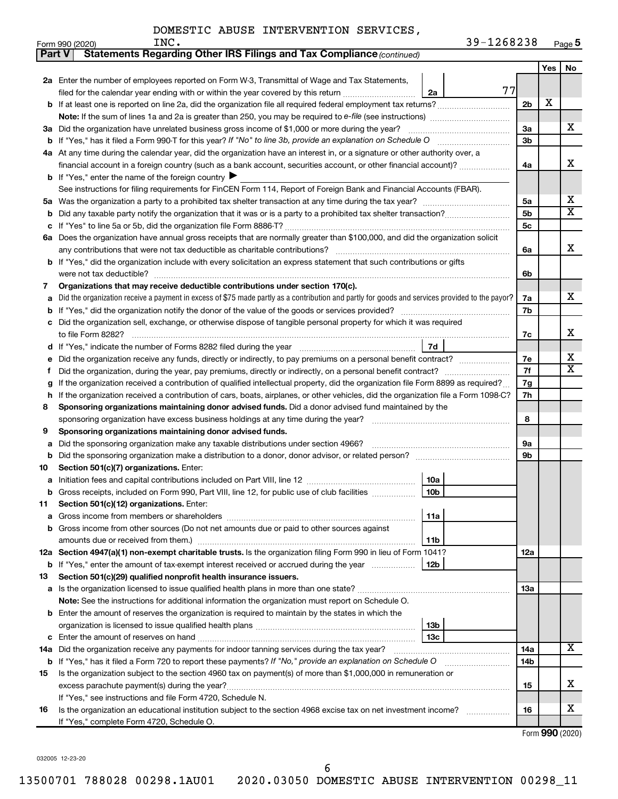| Part V | Statements Regarding Other IRS Filings and Tax Compliance (continued)                                                                           |                |     |                         |  |  |  |  |
|--------|-------------------------------------------------------------------------------------------------------------------------------------------------|----------------|-----|-------------------------|--|--|--|--|
|        |                                                                                                                                                 |                | Yes | No                      |  |  |  |  |
|        | 2a Enter the number of employees reported on Form W-3, Transmittal of Wage and Tax Statements,                                                  |                |     |                         |  |  |  |  |
|        | 77<br>filed for the calendar year ending with or within the year covered by this return<br>2a                                                   |                |     |                         |  |  |  |  |
|        | b If at least one is reported on line 2a, did the organization file all required federal employment tax returns?                                | 2 <sub>b</sub> | X   |                         |  |  |  |  |
|        | Note: If the sum of lines 1a and 2a is greater than 250, you may be required to e-file (see instructions) <i>marroummann</i>                    |                |     |                         |  |  |  |  |
|        | 3a Did the organization have unrelated business gross income of \$1,000 or more during the year?                                                | За             |     | х                       |  |  |  |  |
|        |                                                                                                                                                 | 3b             |     |                         |  |  |  |  |
|        | 4a At any time during the calendar year, did the organization have an interest in, or a signature or other authority over, a                    |                |     |                         |  |  |  |  |
|        | financial account in a foreign country (such as a bank account, securities account, or other financial account)?                                | 4a             |     | x                       |  |  |  |  |
|        | <b>b</b> If "Yes," enter the name of the foreign country                                                                                        |                |     |                         |  |  |  |  |
|        | See instructions for filing requirements for FinCEN Form 114, Report of Foreign Bank and Financial Accounts (FBAR).                             |                |     |                         |  |  |  |  |
|        |                                                                                                                                                 | 5a             |     | х                       |  |  |  |  |
| b      |                                                                                                                                                 | 5 <sub>b</sub> |     | $\overline{\textbf{X}}$ |  |  |  |  |
| с      |                                                                                                                                                 | 5 <sub>c</sub> |     |                         |  |  |  |  |
|        | 6a Does the organization have annual gross receipts that are normally greater than \$100,000, and did the organization solicit                  |                |     |                         |  |  |  |  |
|        |                                                                                                                                                 | 6a             |     | х                       |  |  |  |  |
|        | b If "Yes," did the organization include with every solicitation an express statement that such contributions or gifts                          |                |     |                         |  |  |  |  |
|        | were not tax deductible?                                                                                                                        | 6b             |     |                         |  |  |  |  |
| 7      | Organizations that may receive deductible contributions under section 170(c).                                                                   |                |     |                         |  |  |  |  |
| а      | Did the organization receive a payment in excess of \$75 made partly as a contribution and partly for goods and services provided to the payor? | 7a             |     | x                       |  |  |  |  |
| b      |                                                                                                                                                 | 7b             |     |                         |  |  |  |  |
|        | c Did the organization sell, exchange, or otherwise dispose of tangible personal property for which it was required                             |                |     |                         |  |  |  |  |
|        |                                                                                                                                                 | 7c             |     | x                       |  |  |  |  |
|        | 7d<br>d If "Yes," indicate the number of Forms 8282 filed during the year manufacture intervent contains the Net Step                           |                |     |                         |  |  |  |  |
| е      |                                                                                                                                                 | 7e             |     | х                       |  |  |  |  |
| f      |                                                                                                                                                 |                |     |                         |  |  |  |  |
| g      | If the organization received a contribution of qualified intellectual property, did the organization file Form 8899 as required?                |                |     |                         |  |  |  |  |
| h      | If the organization received a contribution of cars, boats, airplanes, or other vehicles, did the organization file a Form 1098-C?              |                |     |                         |  |  |  |  |
| 8      | Sponsoring organizations maintaining donor advised funds. Did a donor advised fund maintained by the                                            |                |     |                         |  |  |  |  |
|        |                                                                                                                                                 | 8              |     |                         |  |  |  |  |
| 9      | Sponsoring organizations maintaining donor advised funds.                                                                                       |                |     |                         |  |  |  |  |
| а      |                                                                                                                                                 | 9а             |     |                         |  |  |  |  |
| b      |                                                                                                                                                 | 9b             |     |                         |  |  |  |  |
| 10     | Section 501(c)(7) organizations. Enter:                                                                                                         |                |     |                         |  |  |  |  |
| а      | 10a                                                                                                                                             |                |     |                         |  |  |  |  |
| b      | 10 <sub>b</sub><br>Gross receipts, included on Form 990, Part VIII, line 12, for public use of club facilities <i>manameron</i>                 |                |     |                         |  |  |  |  |
| 11     | Section 501(c)(12) organizations. Enter:                                                                                                        |                |     |                         |  |  |  |  |
| а      | 11a                                                                                                                                             |                |     |                         |  |  |  |  |
| b      | Gross income from other sources (Do not net amounts due or paid to other sources against                                                        |                |     |                         |  |  |  |  |
|        | amounts due or received from them.)<br>11b                                                                                                      |                |     |                         |  |  |  |  |
|        | 12a Section 4947(a)(1) non-exempt charitable trusts. Is the organization filing Form 990 in lieu of Form 1041?                                  | 12a            |     |                         |  |  |  |  |
| b      | If "Yes," enter the amount of tax-exempt interest received or accrued during the year<br>12b                                                    |                |     |                         |  |  |  |  |
| 13     | Section 501(c)(29) qualified nonprofit health insurance issuers.                                                                                |                |     |                         |  |  |  |  |
| а      |                                                                                                                                                 | 1За            |     |                         |  |  |  |  |
|        | Note: See the instructions for additional information the organization must report on Schedule O.                                               |                |     |                         |  |  |  |  |
|        | <b>b</b> Enter the amount of reserves the organization is required to maintain by the states in which the                                       |                |     |                         |  |  |  |  |
|        | 13b                                                                                                                                             |                |     |                         |  |  |  |  |
| с      | 13c                                                                                                                                             |                |     |                         |  |  |  |  |
| 14a    | Did the organization receive any payments for indoor tanning services during the tax year?                                                      | 14a            |     | x                       |  |  |  |  |
| b      | If "Yes," has it filed a Form 720 to report these payments? If "No," provide an explanation on Schedule O                                       | 14b            |     |                         |  |  |  |  |
| 15     | Is the organization subject to the section 4960 tax on payment(s) of more than \$1,000,000 in remuneration or                                   |                |     |                         |  |  |  |  |
|        |                                                                                                                                                 | 15             |     | x                       |  |  |  |  |
|        | If "Yes," see instructions and file Form 4720, Schedule N.                                                                                      |                |     |                         |  |  |  |  |
| 16     | Is the organization an educational institution subject to the section 4968 excise tax on net investment income?                                 | 16             |     | х                       |  |  |  |  |
|        | If "Yes," complete Form 4720, Schedule O.                                                                                                       |                |     |                         |  |  |  |  |

Form (2020) **990**

032005 12-23-20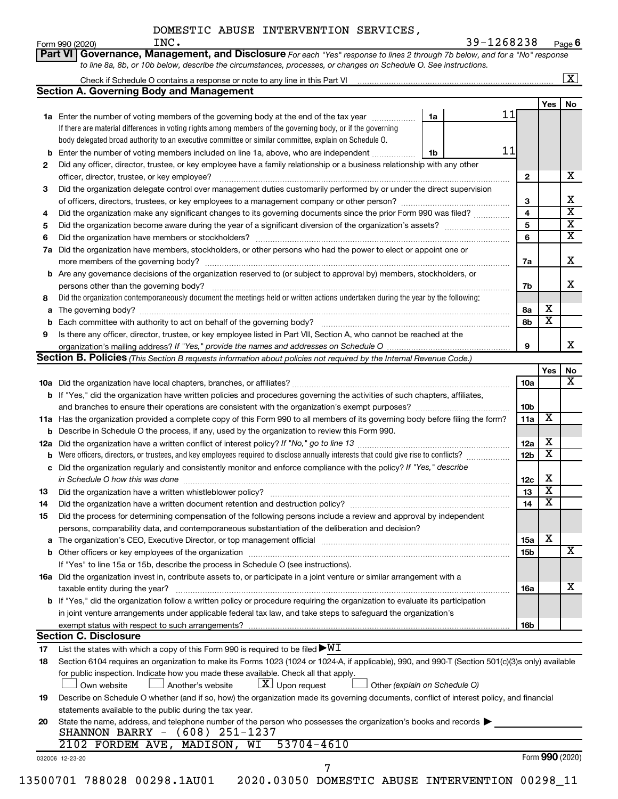|        | INC.<br>Form 990 (2020)                                                                                                                                                                                                        | 39-1268238                    |                               |                                                    | Page 6                  |
|--------|--------------------------------------------------------------------------------------------------------------------------------------------------------------------------------------------------------------------------------|-------------------------------|-------------------------------|----------------------------------------------------|-------------------------|
|        | Governance, Management, and Disclosure For each "Yes" response to lines 2 through 7b below, and for a "No" response<br>Part VI                                                                                                 |                               |                               |                                                    |                         |
|        | to line 8a, 8b, or 10b below, describe the circumstances, processes, or changes on Schedule O. See instructions.                                                                                                               |                               |                               |                                                    |                         |
|        |                                                                                                                                                                                                                                |                               |                               |                                                    | $\overline{\mathbf{x}}$ |
|        | <b>Section A. Governing Body and Management</b>                                                                                                                                                                                |                               |                               | <b>Yes</b>                                         | No                      |
|        | <b>1a</b> Enter the number of voting members of the governing body at the end of the tax year                                                                                                                                  | 1a                            | 11                            |                                                    |                         |
|        | If there are material differences in voting rights among members of the governing body, or if the governing                                                                                                                    |                               |                               |                                                    |                         |
|        | body delegated broad authority to an executive committee or similar committee, explain on Schedule O.                                                                                                                          |                               |                               |                                                    |                         |
| b      | Enter the number of voting members included on line 1a, above, who are independent                                                                                                                                             | 1b                            | 11                            |                                                    |                         |
| 2      | Did any officer, director, trustee, or key employee have a family relationship or a business relationship with any other                                                                                                       |                               |                               |                                                    |                         |
|        | officer, director, trustee, or key employee?                                                                                                                                                                                   |                               | $\mathbf{2}$                  |                                                    | х                       |
| 3      | Did the organization delegate control over management duties customarily performed by or under the direct supervision                                                                                                          |                               |                               |                                                    |                         |
|        |                                                                                                                                                                                                                                |                               | 3                             |                                                    | х                       |
| 4      | Did the organization make any significant changes to its governing documents since the prior Form 990 was filed?                                                                                                               |                               | 4                             |                                                    | $\overline{\mathbf{X}}$ |
| 5      |                                                                                                                                                                                                                                |                               | 5                             |                                                    | $\overline{\mathbf{X}}$ |
| 6      |                                                                                                                                                                                                                                |                               | 6                             |                                                    | $\overline{\mathbf{X}}$ |
| 7a     | Did the organization have members, stockholders, or other persons who had the power to elect or appoint one or                                                                                                                 |                               |                               |                                                    |                         |
|        |                                                                                                                                                                                                                                |                               | 7a                            |                                                    | х                       |
| b      | Are any governance decisions of the organization reserved to (or subject to approval by) members, stockholders, or                                                                                                             |                               |                               |                                                    |                         |
|        |                                                                                                                                                                                                                                |                               | 7b                            |                                                    | X.                      |
| 8      | Did the organization contemporaneously document the meetings held or written actions undertaken during the year by the following:                                                                                              |                               |                               | х                                                  |                         |
| а      |                                                                                                                                                                                                                                |                               | 8а                            | х                                                  |                         |
| b<br>9 | Is there any officer, director, trustee, or key employee listed in Part VII, Section A, who cannot be reached at the                                                                                                           |                               | 8b                            |                                                    |                         |
|        |                                                                                                                                                                                                                                |                               | 9                             |                                                    | x                       |
|        | <b>Section B. Policies</b> (This Section B requests information about policies not required by the Internal Revenue Code.)                                                                                                     |                               |                               |                                                    |                         |
|        |                                                                                                                                                                                                                                |                               |                               | Yes                                                | No                      |
|        |                                                                                                                                                                                                                                |                               | 10a                           |                                                    | x                       |
|        | <b>b</b> If "Yes," did the organization have written policies and procedures governing the activities of such chapters, affiliates,                                                                                            |                               |                               |                                                    |                         |
|        |                                                                                                                                                                                                                                |                               | 10b                           |                                                    |                         |
|        | 11a Has the organization provided a complete copy of this Form 990 to all members of its governing body before filing the form?                                                                                                |                               | 11a                           | X                                                  |                         |
|        | <b>b</b> Describe in Schedule O the process, if any, used by the organization to review this Form 990.                                                                                                                         |                               |                               |                                                    |                         |
|        |                                                                                                                                                                                                                                |                               | 12a                           | х                                                  |                         |
| b      | Were officers, directors, or trustees, and key employees required to disclose annually interests that could give rise to conflicts?                                                                                            |                               | 12 <sub>b</sub>               | X                                                  |                         |
|        | c Did the organization regularly and consistently monitor and enforce compliance with the policy? If "Yes," describe                                                                                                           |                               |                               |                                                    |                         |
|        | in Schedule O how this was done continuous continuous continuous contract of the schedule O how this was done                                                                                                                  |                               | 12c                           | х                                                  |                         |
|        |                                                                                                                                                                                                                                |                               | 13                            | $\overline{\texttt{x}}$<br>$\overline{\textbf{x}}$ |                         |
| 14     | Did the organization have a written document retention and destruction policy? [11] manufaction in the organization have a written document retention and destruction policy?                                                  |                               | 14                            |                                                    |                         |
| 15     | Did the process for determining compensation of the following persons include a review and approval by independent                                                                                                             |                               |                               |                                                    |                         |
|        | persons, comparability data, and contemporaneous substantiation of the deliberation and decision?                                                                                                                              |                               |                               | х                                                  |                         |
| а      | The organization's CEO, Executive Director, or top management official manufactured content of the organization's CEO, Executive Director, or top management official manufactured content of the organization's CEO, Executiv |                               | <b>15a</b><br>15 <sub>b</sub> |                                                    | х                       |
| b      | If "Yes" to line 15a or 15b, describe the process in Schedule O (see instructions).                                                                                                                                            |                               |                               |                                                    |                         |
|        | 16a Did the organization invest in, contribute assets to, or participate in a joint venture or similar arrangement with a                                                                                                      |                               |                               |                                                    |                         |
|        | taxable entity during the year?                                                                                                                                                                                                |                               | 16a                           |                                                    | x                       |
|        | b If "Yes," did the organization follow a written policy or procedure requiring the organization to evaluate its participation                                                                                                 |                               |                               |                                                    |                         |
|        | in joint venture arrangements under applicable federal tax law, and take steps to safeguard the organization's                                                                                                                 |                               |                               |                                                    |                         |
|        | exempt status with respect to such arrangements?                                                                                                                                                                               |                               | 16b                           |                                                    |                         |
|        | <b>Section C. Disclosure</b>                                                                                                                                                                                                   |                               |                               |                                                    |                         |
| 17     | List the states with which a copy of this Form 990 is required to be filed $\blacktriangleright\texttt{WI}$                                                                                                                    |                               |                               |                                                    |                         |
| 18     | Section 6104 requires an organization to make its Forms 1023 (1024 or 1024-A, if applicable), 990, and 990-T (Section 501(c)(3)s only) available                                                                               |                               |                               |                                                    |                         |
|        | for public inspection. Indicate how you made these available. Check all that apply.                                                                                                                                            |                               |                               |                                                    |                         |
|        | $\lfloor x \rfloor$ Upon request<br>Another's website<br>Own website                                                                                                                                                           | Other (explain on Schedule O) |                               |                                                    |                         |
| 19     | Describe on Schedule O whether (and if so, how) the organization made its governing documents, conflict of interest policy, and financial                                                                                      |                               |                               |                                                    |                         |
|        | statements available to the public during the tax year.                                                                                                                                                                        |                               |                               |                                                    |                         |
| 20     | State the name, address, and telephone number of the person who possesses the organization's books and records $\blacktriangleright$                                                                                           |                               |                               |                                                    |                         |
|        | SHANNON BARRY - (608) 251-1237                                                                                                                                                                                                 |                               |                               |                                                    |                         |
|        | 2102 FORDEM AVE, MADISON, WI<br>$53704 - 4610$                                                                                                                                                                                 |                               |                               |                                                    |                         |
|        | 032006 12-23-20                                                                                                                                                                                                                |                               |                               | Form 990 (2020)                                    |                         |
|        | 7<br>13500701 788028 00298.1AU01<br>2020.03050 DOMESTIC ABUSE INTERVENTION 00298_11                                                                                                                                            |                               |                               |                                                    |                         |
|        |                                                                                                                                                                                                                                |                               |                               |                                                    |                         |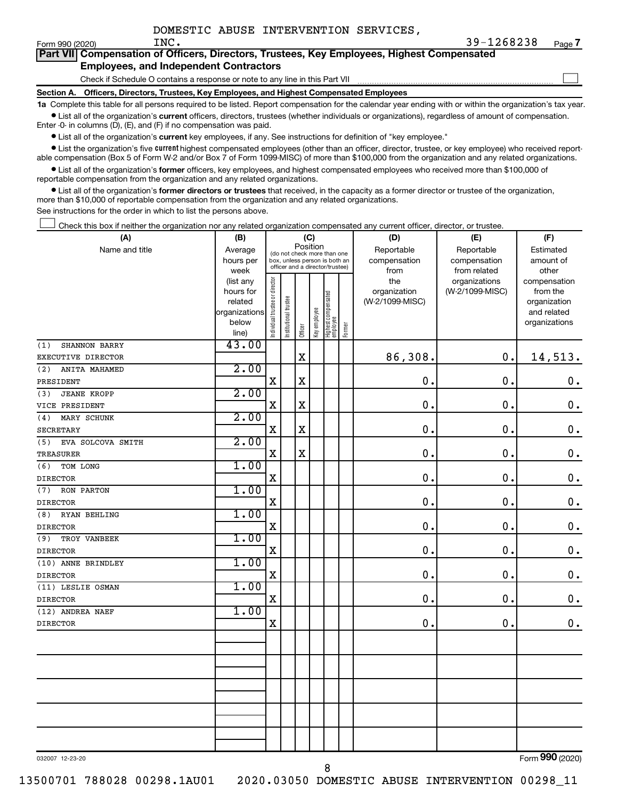$\Box$ 

| Part VII Compensation of Officers, Directors, Trustees, Key Employees, Highest Compensated |
|--------------------------------------------------------------------------------------------|
| <b>Employees, and Independent Contractors</b>                                              |

Check if Schedule O contains a response or note to any line in this Part VII

**Section A. Officers, Directors, Trustees, Key Employees, and Highest Compensated Employees**

**1a**  Complete this table for all persons required to be listed. Report compensation for the calendar year ending with or within the organization's tax year.  $\bullet$  List all of the organization's current officers, directors, trustees (whether individuals or organizations), regardless of amount of compensation.

Enter -0- in columns (D), (E), and (F) if no compensation was paid.

**•** List all of the organization's current key employees, if any. See instructions for definition of "key employee."

• List the organization's five *current* highest compensated employees (other than an officer, director, trustee, or key employee) who received reportable compensation (Box 5 of Form W-2 and/or Box 7 of Form 1099-MISC) of more than \$100,000 from the organization and any related organizations.

 $\bullet$  List all of the organization's former officers, key employees, and highest compensated employees who received more than \$100,000 of reportable compensation from the organization and any related organizations.

**•** List all of the organization's former directors or trustees that received, in the capacity as a former director or trustee of the organization, more than \$10,000 of reportable compensation from the organization and any related organizations.

See instructions for the order in which to list the persons above.

Check this box if neither the organization nor any related organization compensated any current officer, director, or trustee.  $\Box$ 

| (A)                        | (B)                    |                                |                       |             | (C)                                                              |                                 |        | (D)                 | (E)                              | (F)                      |
|----------------------------|------------------------|--------------------------------|-----------------------|-------------|------------------------------------------------------------------|---------------------------------|--------|---------------------|----------------------------------|--------------------------|
| Name and title             | Average                |                                |                       | Position    |                                                                  | (do not check more than one     |        | Reportable          | Reportable                       | Estimated                |
|                            | hours per              |                                |                       |             | box, unless person is both an<br>officer and a director/trustee) |                                 |        | compensation        | compensation                     | amount of                |
|                            | week                   |                                |                       |             |                                                                  |                                 |        | from                | from related                     | other                    |
|                            | (list any<br>hours for |                                |                       |             |                                                                  |                                 |        | the<br>organization | organizations<br>(W-2/1099-MISC) | compensation<br>from the |
|                            | related                |                                |                       |             |                                                                  |                                 |        | (W-2/1099-MISC)     |                                  | organization             |
|                            | organizations          | Individual trustee or director | Institutional trustee |             |                                                                  | Highest compensated<br>employee |        |                     |                                  | and related              |
|                            | below                  |                                |                       |             | Key employee                                                     |                                 |        |                     |                                  | organizations            |
|                            | line)                  |                                |                       | Officer     |                                                                  |                                 | Former |                     |                                  |                          |
| SHANNON BARRY<br>(1)       | 43.00                  |                                |                       |             |                                                                  |                                 |        |                     |                                  |                          |
| EXECUTIVE DIRECTOR         |                        |                                |                       | $\mathbf X$ |                                                                  |                                 |        | 86,308.             | 0.                               | 14,513.                  |
| (2)<br>ANITA MAHAMED       | 2.00                   |                                |                       |             |                                                                  |                                 |        |                     |                                  |                          |
| PRESIDENT                  |                        | $\mathbf X$                    |                       | $\rm X$     |                                                                  |                                 |        | $\mathbf 0$ .       | $\mathbf 0$ .                    | 0.                       |
| <b>JEANE KROPP</b><br>(3)  | 2.00                   |                                |                       |             |                                                                  |                                 |        |                     |                                  |                          |
| VICE PRESIDENT             |                        | $\mathbf X$                    |                       | $\mathbf X$ |                                                                  |                                 |        | 0.                  | $\mathbf 0$ .                    | $\mathbf 0$ .            |
| (4)<br>MARY SCHUNK         | 2.00                   |                                |                       |             |                                                                  |                                 |        |                     |                                  |                          |
| <b>SECRETARY</b>           |                        | X                              |                       | $\mathbf X$ |                                                                  |                                 |        | 0.                  | $\mathbf 0$ .                    | $\mathbf 0$ .            |
| EVA SOLCOVA SMITH<br>(5)   | 2.00                   |                                |                       |             |                                                                  |                                 |        |                     |                                  |                          |
| <b>TREASURER</b>           |                        | $\mathbf X$                    |                       | $\mathbf X$ |                                                                  |                                 |        | 0                   | $\mathbf 0$ .                    | 0.                       |
| TOM LONG<br>(6)            | 1.00                   |                                |                       |             |                                                                  |                                 |        |                     |                                  |                          |
| <b>DIRECTOR</b>            |                        | X                              |                       |             |                                                                  |                                 |        | $\mathbf 0$ .       | $\mathbf 0$ .                    | $\mathbf 0$ .            |
| RON PARTON<br>(7)          | 1.00                   |                                |                       |             |                                                                  |                                 |        |                     |                                  |                          |
| <b>DIRECTOR</b>            |                        | X                              |                       |             |                                                                  |                                 |        | $\mathbf 0$         | $\mathbf 0$ .                    | $\mathbf 0$ .            |
| (8)<br><b>RYAN BEHLING</b> | 1.00                   |                                |                       |             |                                                                  |                                 |        |                     |                                  |                          |
| <b>DIRECTOR</b>            |                        | X                              |                       |             |                                                                  |                                 |        | $\mathbf 0$         | $\mathbf 0$ .                    | 0.                       |
| (9)<br>TROY VANBEEK        | 1.00                   |                                |                       |             |                                                                  |                                 |        |                     |                                  |                          |
| <b>DIRECTOR</b>            |                        | $\mathbf X$                    |                       |             |                                                                  |                                 |        | 0.                  | 0.                               | $\mathbf 0$ .            |
| (10) ANNE BRINDLEY         | 1.00                   |                                |                       |             |                                                                  |                                 |        |                     |                                  |                          |
| <b>DIRECTOR</b>            |                        | $\mathbf X$                    |                       |             |                                                                  |                                 |        | 0.                  | 0.                               | $\mathbf 0$ .            |
| (11) LESLIE OSMAN          | 1.00                   |                                |                       |             |                                                                  |                                 |        |                     |                                  |                          |
| <b>DIRECTOR</b>            |                        | $\mathbf X$                    |                       |             |                                                                  |                                 |        | $\mathbf 0$         | $\mathbf 0$                      | $\mathbf 0$ .            |
| (12) ANDREA NAEF           | 1.00                   |                                |                       |             |                                                                  |                                 |        |                     |                                  |                          |
| <b>DIRECTOR</b>            |                        | X                              |                       |             |                                                                  |                                 |        | 0                   | 0.                               | $\mathbf 0$ .            |
|                            |                        |                                |                       |             |                                                                  |                                 |        |                     |                                  |                          |
|                            |                        |                                |                       |             |                                                                  |                                 |        |                     |                                  |                          |
|                            |                        |                                |                       |             |                                                                  |                                 |        |                     |                                  |                          |
|                            |                        |                                |                       |             |                                                                  |                                 |        |                     |                                  |                          |
|                            |                        |                                |                       |             |                                                                  |                                 |        |                     |                                  |                          |
|                            |                        |                                |                       |             |                                                                  |                                 |        |                     |                                  |                          |
|                            |                        |                                |                       |             |                                                                  |                                 |        |                     |                                  |                          |
|                            |                        |                                |                       |             |                                                                  |                                 |        |                     |                                  |                          |
|                            |                        |                                |                       |             |                                                                  |                                 |        |                     |                                  |                          |
|                            |                        |                                |                       |             |                                                                  |                                 |        |                     |                                  |                          |
| 032007 12-23-20            |                        |                                |                       |             |                                                                  |                                 |        |                     |                                  | Form 990 (2020)          |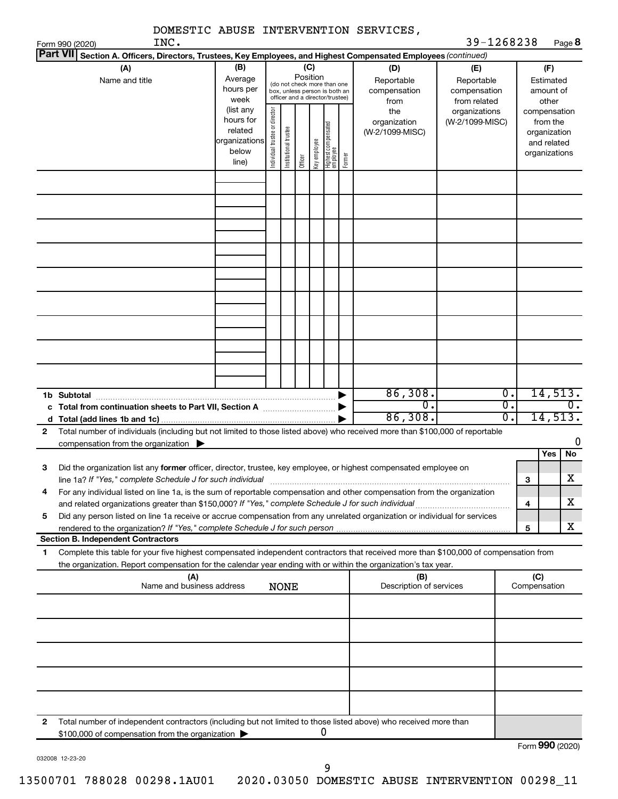| Part VII     | INC.<br>Form 990 (2020)                                                                                                                                                                                                                                |                                                                                                                                                           |  |                                                                                                                                 |  |                                           |                                                   |                                        |                                                                                                        | 39-1268238                                                               |        |                     |                                      |
|--------------|--------------------------------------------------------------------------------------------------------------------------------------------------------------------------------------------------------------------------------------------------------|-----------------------------------------------------------------------------------------------------------------------------------------------------------|--|---------------------------------------------------------------------------------------------------------------------------------|--|-------------------------------------------|---------------------------------------------------|----------------------------------------|--------------------------------------------------------------------------------------------------------|--------------------------------------------------------------------------|--------|---------------------|--------------------------------------|
|              |                                                                                                                                                                                                                                                        |                                                                                                                                                           |  |                                                                                                                                 |  |                                           |                                                   |                                        |                                                                                                        |                                                                          |        |                     | Page 8                               |
|              |                                                                                                                                                                                                                                                        |                                                                                                                                                           |  |                                                                                                                                 |  |                                           |                                                   |                                        | Section A. Officers, Directors, Trustees, Key Employees, and Highest Compensated Employees (continued) |                                                                          |        |                     |                                      |
|              | (A)<br>Name and title                                                                                                                                                                                                                                  | (B)<br>(C)<br>Position<br>Average<br>(do not check more than one<br>hours per<br>box, unless person is both an<br>officer and a director/trustee)<br>week |  |                                                                                                                                 |  | (D)<br>Reportable<br>compensation<br>from | (E)<br>Reportable<br>compensation<br>from related | (F)<br>Estimated<br>amount of<br>other |                                                                                                        |                                                                          |        |                     |                                      |
|              |                                                                                                                                                                                                                                                        | (list any<br>hours for<br>related<br>organizations<br>below<br>line)                                                                                      |  | Individual trustee or director<br>Highest compensated<br>employee<br>Institutional trustee<br>Key employee<br>Former<br>Officer |  | the<br>organization<br>(W-2/1099-MISC)    | organizations<br>(W-2/1099-MISC)                  |                                        |                                                                                                        | compensation<br>from the<br>organization<br>and related<br>organizations |        |                     |                                      |
|              |                                                                                                                                                                                                                                                        |                                                                                                                                                           |  |                                                                                                                                 |  |                                           |                                                   |                                        |                                                                                                        |                                                                          |        |                     |                                      |
|              |                                                                                                                                                                                                                                                        |                                                                                                                                                           |  |                                                                                                                                 |  |                                           |                                                   |                                        |                                                                                                        |                                                                          |        |                     |                                      |
|              |                                                                                                                                                                                                                                                        |                                                                                                                                                           |  |                                                                                                                                 |  |                                           |                                                   |                                        |                                                                                                        |                                                                          |        |                     |                                      |
|              |                                                                                                                                                                                                                                                        |                                                                                                                                                           |  |                                                                                                                                 |  |                                           |                                                   |                                        |                                                                                                        |                                                                          |        |                     |                                      |
|              |                                                                                                                                                                                                                                                        |                                                                                                                                                           |  |                                                                                                                                 |  |                                           |                                                   |                                        |                                                                                                        |                                                                          |        |                     |                                      |
|              | 1b Subtotal<br>c Total from continuation sheets to Part VII, Section A <b>Constitution</b>                                                                                                                                                             |                                                                                                                                                           |  |                                                                                                                                 |  |                                           |                                                   |                                        | 86,308.<br>$\overline{0}$ .<br>86,308.                                                                 | 0.<br>$\overline{0}$ .<br>σ.                                             |        |                     | 14,513.<br>$\mathbf{0}$ .<br>14,513. |
| $\mathbf{2}$ | Total number of individuals (including but not limited to those listed above) who received more than \$100,000 of reportable<br>compensation from the organization $\blacktriangleright$                                                               |                                                                                                                                                           |  |                                                                                                                                 |  |                                           |                                                   |                                        |                                                                                                        |                                                                          |        |                     | 0                                    |
| З            | Did the organization list any former officer, director, trustee, key employee, or highest compensated employee on<br>line 1a? If "Yes," complete Schedule J for such individual                                                                        |                                                                                                                                                           |  |                                                                                                                                 |  |                                           |                                                   |                                        |                                                                                                        |                                                                          |        | Yes                 | No<br>$\overline{\textbf{X}}$        |
| 4            | For any individual listed on line 1a, is the sum of reportable compensation and other compensation from the organization                                                                                                                               |                                                                                                                                                           |  |                                                                                                                                 |  |                                           |                                                   |                                        |                                                                                                        |                                                                          | з<br>4 |                     | х                                    |
| 5            | Did any person listed on line 1a receive or accrue compensation from any unrelated organization or individual for services<br>rendered to the organization? If "Yes," complete Schedule J for such person.                                             |                                                                                                                                                           |  |                                                                                                                                 |  |                                           |                                                   |                                        |                                                                                                        |                                                                          | 5      |                     | х                                    |
|              | <b>Section B. Independent Contractors</b>                                                                                                                                                                                                              |                                                                                                                                                           |  |                                                                                                                                 |  |                                           |                                                   |                                        |                                                                                                        |                                                                          |        |                     |                                      |
| 1            | Complete this table for your five highest compensated independent contractors that received more than \$100,000 of compensation from<br>the organization. Report compensation for the calendar year ending with or within the organization's tax year. |                                                                                                                                                           |  |                                                                                                                                 |  |                                           |                                                   |                                        |                                                                                                        |                                                                          |        |                     |                                      |
|              | (A)<br>Name and business address                                                                                                                                                                                                                       |                                                                                                                                                           |  | <b>NONE</b>                                                                                                                     |  |                                           |                                                   |                                        | (B)<br>Description of services                                                                         |                                                                          |        | (C)<br>Compensation |                                      |
|              |                                                                                                                                                                                                                                                        |                                                                                                                                                           |  |                                                                                                                                 |  |                                           |                                                   |                                        |                                                                                                        |                                                                          |        |                     |                                      |
|              |                                                                                                                                                                                                                                                        |                                                                                                                                                           |  |                                                                                                                                 |  |                                           |                                                   |                                        |                                                                                                        |                                                                          |        |                     |                                      |
|              |                                                                                                                                                                                                                                                        |                                                                                                                                                           |  |                                                                                                                                 |  |                                           |                                                   |                                        |                                                                                                        |                                                                          |        |                     |                                      |
| 2            | Total number of independent contractors (including but not limited to those listed above) who received more than<br>\$100,000 of compensation from the organization                                                                                    |                                                                                                                                                           |  |                                                                                                                                 |  |                                           | 0                                                 |                                        |                                                                                                        |                                                                          |        |                     | Form 990 (2020)                      |

032008 12-23-20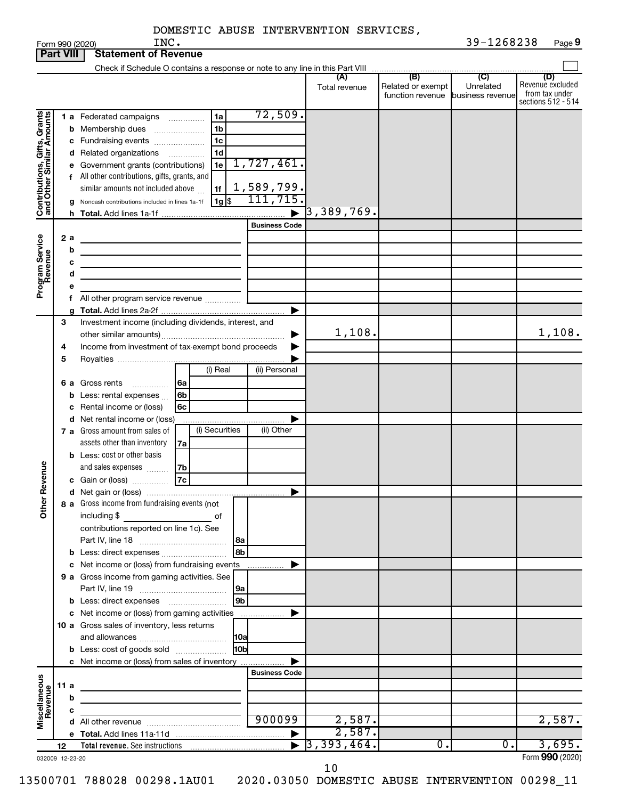|  | DOMESTIC ABUSE INTERVENTION SERVICES, |  |
|--|---------------------------------------|--|

|                                                           |      |                                                       | INC.<br>Form 990 (2020)                                                     |    |    |                |                      |                      |                          |                                              | 39-1268238                           |                                                                 | Page 9 |
|-----------------------------------------------------------|------|-------------------------------------------------------|-----------------------------------------------------------------------------|----|----|----------------|----------------------|----------------------|--------------------------|----------------------------------------------|--------------------------------------|-----------------------------------------------------------------|--------|
| <b>Part VIII</b>                                          |      |                                                       | <b>Statement of Revenue</b>                                                 |    |    |                |                      |                      |                          |                                              |                                      |                                                                 |        |
|                                                           |      |                                                       |                                                                             |    |    |                |                      |                      |                          |                                              |                                      |                                                                 |        |
|                                                           |      |                                                       |                                                                             |    |    |                |                      |                      | (A)<br>Total revenue     | (B)<br>Related or exempt<br>function revenue | (C)<br>Unrelated<br>business revenue | (D)<br>Revenue excluded<br>from tax under<br>sections 512 - 514 |        |
|                                                           |      |                                                       | 1 a Federated campaigns                                                     |    |    | 1a             |                      | 72,509.              |                          |                                              |                                      |                                                                 |        |
| Contributions, Gifts, Grants<br>and Other Similar Amounts |      |                                                       | <b>b</b> Membership dues                                                    |    |    | 1 <sub>b</sub> |                      |                      |                          |                                              |                                      |                                                                 |        |
|                                                           |      |                                                       |                                                                             |    |    | 1 <sub>c</sub> |                      |                      |                          |                                              |                                      |                                                                 |        |
|                                                           |      |                                                       | c Fundraising events                                                        |    |    | 1 <sub>d</sub> |                      |                      |                          |                                              |                                      |                                                                 |        |
|                                                           |      |                                                       | d Related organizations<br>e Government grants (contributions)              |    |    | 1e             |                      | 1,727,461.           |                          |                                              |                                      |                                                                 |        |
|                                                           |      |                                                       | f All other contributions, gifts, grants, and                               |    |    |                |                      |                      |                          |                                              |                                      |                                                                 |        |
|                                                           |      |                                                       | similar amounts not included above                                          |    |    | 1f             |                      | 1,589,799.           |                          |                                              |                                      |                                                                 |        |
|                                                           |      |                                                       | g Noncash contributions included in lines 1a-1f                             |    |    | $ 1g $ \$      |                      | 111, 715.            |                          |                                              |                                      |                                                                 |        |
|                                                           |      |                                                       |                                                                             |    |    |                |                      |                      | $\sqrt{3}$ , 389, 769.   |                                              |                                      |                                                                 |        |
|                                                           |      |                                                       |                                                                             |    |    |                |                      | <b>Business Code</b> |                          |                                              |                                      |                                                                 |        |
|                                                           |      | 2 a                                                   |                                                                             |    |    |                |                      |                      |                          |                                              |                                      |                                                                 |        |
| Program Service<br>Revenue                                |      | b                                                     |                                                                             |    |    |                |                      |                      |                          |                                              |                                      |                                                                 |        |
|                                                           |      | с                                                     | <u> 1980 - John Barnett, fransk politiker (d. 1980)</u>                     |    |    |                |                      |                      |                          |                                              |                                      |                                                                 |        |
|                                                           |      | d                                                     |                                                                             |    |    |                |                      |                      |                          |                                              |                                      |                                                                 |        |
|                                                           |      | е                                                     |                                                                             |    |    |                |                      |                      |                          |                                              |                                      |                                                                 |        |
|                                                           |      |                                                       | All other program service revenue                                           |    |    |                |                      |                      |                          |                                              |                                      |                                                                 |        |
|                                                           |      |                                                       |                                                                             |    |    |                |                      |                      |                          |                                              |                                      |                                                                 |        |
|                                                           | 3    |                                                       |                                                                             |    |    |                |                      |                      |                          |                                              |                                      |                                                                 |        |
|                                                           |      | Investment income (including dividends, interest, and |                                                                             |    |    |                | 1,108.               |                      |                          | 1,108.                                       |                                      |                                                                 |        |
|                                                           | 4    |                                                       | Income from investment of tax-exempt bond proceeds                          |    |    |                |                      |                      |                          |                                              |                                      |                                                                 |        |
|                                                           | 5    |                                                       |                                                                             |    |    |                |                      |                      |                          |                                              |                                      |                                                                 |        |
|                                                           |      |                                                       |                                                                             |    |    | (i) Real       |                      | (ii) Personal        |                          |                                              |                                      |                                                                 |        |
|                                                           |      |                                                       | <b>6 a</b> Gross rents                                                      | 6a |    |                |                      |                      |                          |                                              |                                      |                                                                 |        |
|                                                           |      |                                                       | <b>b</b> Less: rental expenses $\ldots$                                     | 6b |    |                |                      |                      |                          |                                              |                                      |                                                                 |        |
|                                                           |      |                                                       | c Rental income or (loss)                                                   | 6c |    |                |                      |                      |                          |                                              |                                      |                                                                 |        |
|                                                           |      |                                                       | d Net rental income or (loss)                                               |    |    |                |                      |                      |                          |                                              |                                      |                                                                 |        |
|                                                           |      |                                                       | 7 a Gross amount from sales of                                              |    |    | (i) Securities |                      | (ii) Other           |                          |                                              |                                      |                                                                 |        |
|                                                           |      |                                                       | assets other than inventory                                                 |    | 7a |                |                      |                      |                          |                                              |                                      |                                                                 |        |
|                                                           |      |                                                       | <b>b</b> Less: cost or other basis                                          |    |    |                |                      |                      |                          |                                              |                                      |                                                                 |        |
| evenue                                                    |      |                                                       | and sales expenses                                                          | 7b |    |                |                      |                      |                          |                                              |                                      |                                                                 |        |
|                                                           |      |                                                       | c Gain or (loss)                                                            | 7c |    |                |                      |                      |                          |                                              |                                      |                                                                 |        |
| č                                                         |      |                                                       |                                                                             |    |    |                |                      |                      |                          |                                              |                                      |                                                                 |        |
| Other                                                     |      |                                                       | 8 a Gross income from fundraising events (not                               |    |    |                |                      |                      |                          |                                              |                                      |                                                                 |        |
|                                                           |      |                                                       | including \$<br><u>na sa sa sa salala sa salala di</u>                      |    |    |                |                      |                      |                          |                                              |                                      |                                                                 |        |
|                                                           |      |                                                       | contributions reported on line 1c). See                                     |    |    |                |                      |                      |                          |                                              |                                      |                                                                 |        |
|                                                           |      |                                                       |                                                                             |    |    |                |                      |                      |                          |                                              |                                      |                                                                 |        |
|                                                           |      |                                                       | <b>b</b> Less: direct expenses <b>contained b</b> Less: direct expenses     |    |    |                | 8b                   |                      |                          |                                              |                                      |                                                                 |        |
|                                                           |      |                                                       | c Net income or (loss) from fundraising events                              |    |    |                |                      | .                    |                          |                                              |                                      |                                                                 |        |
|                                                           |      |                                                       | 9 a Gross income from gaming activities. See                                |    |    |                |                      |                      |                          |                                              |                                      |                                                                 |        |
|                                                           |      |                                                       |                                                                             |    |    |                | 9a<br>9 <sub>b</sub> |                      |                          |                                              |                                      |                                                                 |        |
|                                                           |      |                                                       |                                                                             |    |    |                |                      |                      |                          |                                              |                                      |                                                                 |        |
|                                                           |      |                                                       | c Net income or (loss) from gaming activities                               |    |    |                |                      |                      |                          |                                              |                                      |                                                                 |        |
|                                                           |      |                                                       | 10 a Gross sales of inventory, less returns                                 |    |    |                |                      |                      |                          |                                              |                                      |                                                                 |        |
|                                                           |      |                                                       | <b>b</b> Less: cost of goods sold                                           |    |    |                | 10b                  |                      |                          |                                              |                                      |                                                                 |        |
|                                                           |      |                                                       | c Net income or (loss) from sales of inventory                              |    |    |                |                      |                      |                          |                                              |                                      |                                                                 |        |
|                                                           |      |                                                       |                                                                             |    |    |                |                      | <b>Business Code</b> |                          |                                              |                                      |                                                                 |        |
| Miscellaneous<br>Revenue                                  | 11 a |                                                       |                                                                             |    |    |                |                      |                      |                          |                                              |                                      |                                                                 |        |
|                                                           |      | b                                                     |                                                                             |    |    |                |                      |                      |                          |                                              |                                      |                                                                 |        |
|                                                           |      | с                                                     |                                                                             |    |    |                |                      |                      |                          |                                              |                                      |                                                                 |        |
|                                                           |      |                                                       |                                                                             |    |    |                |                      | 900099               | 2,587.                   |                                              |                                      | 2,587.                                                          |        |
|                                                           |      |                                                       |                                                                             |    |    |                |                      |                      | 2,587.                   |                                              |                                      |                                                                 |        |
|                                                           | 12   |                                                       | Total revenue. See instructions [101] [101] Total revenue. See instructions |    |    |                |                      |                      | $\overline{3, 393, 464}$ | $\overline{0}$ .                             | Ο.                                   | 3,695.                                                          |        |
| 032009 12-23-20                                           |      |                                                       |                                                                             |    |    |                |                      |                      |                          |                                              |                                      | Form 990 (2020)                                                 |        |

10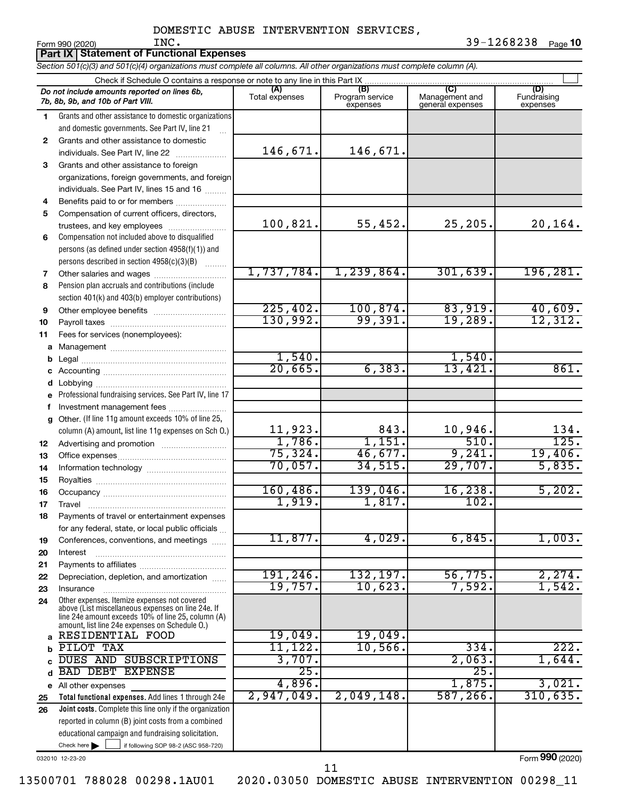*Section 501(c)(3) and 501(c)(4) organizations must complete all columns. All other organizations must complete column (A).* **Part IX | Statement of Functional Expenses** 

|              | Check if Schedule O contains a response or note to any line in this Part IX.                                                                                                                               |                        |                                    |                                    |                                |
|--------------|------------------------------------------------------------------------------------------------------------------------------------------------------------------------------------------------------------|------------------------|------------------------------------|------------------------------------|--------------------------------|
|              | Do not include amounts reported on lines 6b,<br>7b, 8b, 9b, and 10b of Part VIII.                                                                                                                          | (A)<br>Total expenses  | (B)<br>Program service<br>expenses | Management and<br>general expenses | (D)<br>Fundraising<br>expenses |
| 1.           | Grants and other assistance to domestic organizations                                                                                                                                                      |                        |                                    |                                    |                                |
|              | and domestic governments. See Part IV, line 21                                                                                                                                                             |                        |                                    |                                    |                                |
| $\mathbf{2}$ | Grants and other assistance to domestic                                                                                                                                                                    |                        |                                    |                                    |                                |
|              | individuals. See Part IV, line 22                                                                                                                                                                          | 146,671.               | 146,671.                           |                                    |                                |
| 3            | Grants and other assistance to foreign                                                                                                                                                                     |                        |                                    |                                    |                                |
|              | organizations, foreign governments, and foreign                                                                                                                                                            |                        |                                    |                                    |                                |
|              | individuals. See Part IV, lines 15 and 16                                                                                                                                                                  |                        |                                    |                                    |                                |
| 4            | Benefits paid to or for members                                                                                                                                                                            |                        |                                    |                                    |                                |
| 5            | Compensation of current officers, directors,                                                                                                                                                               |                        |                                    |                                    |                                |
|              | trustees, and key employees                                                                                                                                                                                | 100,821.               | 55,452.                            | 25,205.                            | 20,164.                        |
| 6            | Compensation not included above to disqualified                                                                                                                                                            |                        |                                    |                                    |                                |
|              | persons (as defined under section 4958(f)(1)) and                                                                                                                                                          |                        |                                    |                                    |                                |
|              | persons described in section 4958(c)(3)(B)                                                                                                                                                                 |                        |                                    |                                    |                                |
| 7            | Other salaries and wages                                                                                                                                                                                   | 1,737,784.             | 1, 239, 864.                       | 301,639.                           | 196, 281.                      |
| 8            | Pension plan accruals and contributions (include                                                                                                                                                           |                        |                                    |                                    |                                |
|              | section 401(k) and 403(b) employer contributions)                                                                                                                                                          | 225,402.               | 100, 874.                          | 83,919.                            |                                |
| 9            | Other employee benefits                                                                                                                                                                                    | 130,992.               | 99,391.                            | 19,289.                            | $\frac{40,609}{12,312}$        |
| 10           |                                                                                                                                                                                                            |                        |                                    |                                    |                                |
| 11<br>a      | Fees for services (nonemployees):                                                                                                                                                                          |                        |                                    |                                    |                                |
| b            |                                                                                                                                                                                                            | 1,540.                 |                                    | 1,540.                             |                                |
| c            |                                                                                                                                                                                                            | 20,665.                | 6, 383.                            | 13,421.                            | 861.                           |
| d            |                                                                                                                                                                                                            |                        |                                    |                                    |                                |
| e            | Professional fundraising services. See Part IV, line 17                                                                                                                                                    |                        |                                    |                                    |                                |
| f            | Investment management fees                                                                                                                                                                                 |                        |                                    |                                    |                                |
| a            | Other. (If line 11g amount exceeds 10% of line 25,                                                                                                                                                         |                        |                                    |                                    |                                |
|              | column (A) amount, list line 11g expenses on Sch O.)                                                                                                                                                       |                        | 843.                               | 10,946.                            |                                |
| 12           |                                                                                                                                                                                                            | $\frac{11,923}{1,786}$ | 1,151.                             | 510.                               | $\frac{134}{125}$ .            |
| 13           |                                                                                                                                                                                                            | 75, 324.               | 46,677.                            | 9,241.                             | 19,406.                        |
| 14           |                                                                                                                                                                                                            | 70,057.                | 34,515.                            | 29,707.                            | 5,835.                         |
| 15           |                                                                                                                                                                                                            |                        |                                    |                                    |                                |
| 16           |                                                                                                                                                                                                            | 160, 486.              | 139,046.                           | 16, 238.                           | 5,202.                         |
| 17           |                                                                                                                                                                                                            | 1,919.                 | 1,817.                             | 102.                               |                                |
| 18           | Payments of travel or entertainment expenses                                                                                                                                                               |                        |                                    |                                    |                                |
|              | for any federal, state, or local public officials                                                                                                                                                          |                        |                                    |                                    |                                |
| 19           | Conferences, conventions, and meetings                                                                                                                                                                     | 11,877.                | 4,029.                             | 6,845.                             | 1,003.                         |
| 20           | Interest                                                                                                                                                                                                   |                        |                                    |                                    |                                |
| 21           |                                                                                                                                                                                                            |                        |                                    |                                    |                                |
| 22           | Depreciation, depletion, and amortization                                                                                                                                                                  | 191,246.               | 132,197.<br>10,623.                | 56,775.                            | 2,274.                         |
| 23           | Insurance                                                                                                                                                                                                  | 19,757.                |                                    | 7,592.                             | 1,542.                         |
| 24           | Other expenses. Itemize expenses not covered<br>above (List miscellaneous expenses on line 24e. If<br>line 24e amount exceeds 10% of line 25, column (A)<br>amount, list line 24e expenses on Schedule O.) |                        |                                    |                                    |                                |
| a            | RESIDENTIAL FOOD                                                                                                                                                                                           | 19,049 <b>.</b>        | 19,049.                            |                                    |                                |
| b            | PILOT TAX                                                                                                                                                                                                  | 11,122.                | 10,566.                            | 334.                               | 222.                           |
|              | DUES AND SUBSCRIPTIONS                                                                                                                                                                                     | 3,707.                 |                                    | 2,063.                             | 1,644.                         |
| d            | <b>BAD DEBT</b><br><b>EXPENSE</b>                                                                                                                                                                          | 25.                    |                                    | 25.                                |                                |
| e            | All other expenses                                                                                                                                                                                         | 4,896.                 |                                    | 1,875.                             | 3,021.                         |
| 25           | Total functional expenses. Add lines 1 through 24e                                                                                                                                                         | 2,947,049.             | 2,049,148.                         | 587, 266.                          | 310,635.                       |
| 26           | Joint costs. Complete this line only if the organization                                                                                                                                                   |                        |                                    |                                    |                                |
|              | reported in column (B) joint costs from a combined                                                                                                                                                         |                        |                                    |                                    |                                |
|              | educational campaign and fundraising solicitation.                                                                                                                                                         |                        |                                    |                                    |                                |
|              | Check here $\blacktriangleright$<br>if following SOP 98-2 (ASC 958-720)                                                                                                                                    |                        |                                    |                                    | $000 \approx$                  |

032010 12-23-20

13500701 788028 00298.1AU01 2020.03050 DOMESTIC ABUSE INTERVENTION 00298\_11

11

Form (2020) **990**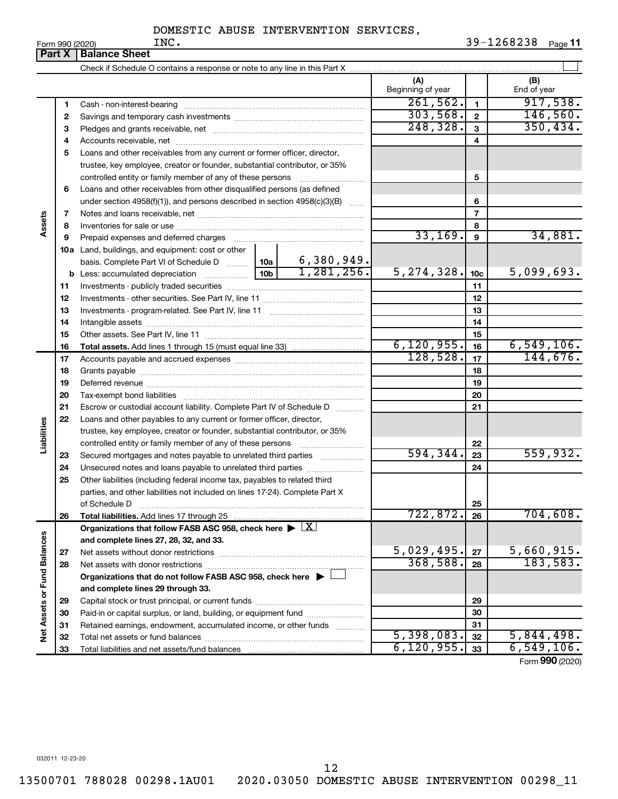**11**

 $\overline{5,398,083.}$   $\overline{32}$   $\overline{5,844,498.}$  $6,120,955.$   $33$  6,549,106.

Form (2020) **990**

|                             | Form 990 (2020) | INC.                                                                                                                                                                                                                           |                          |                 | 39-1268238<br>Page 11 |
|-----------------------------|-----------------|--------------------------------------------------------------------------------------------------------------------------------------------------------------------------------------------------------------------------------|--------------------------|-----------------|-----------------------|
|                             | <b>Part X</b>   | <b>Balance Sheet</b>                                                                                                                                                                                                           |                          |                 |                       |
|                             |                 |                                                                                                                                                                                                                                |                          |                 |                       |
|                             |                 |                                                                                                                                                                                                                                | (A)<br>Beginning of year |                 | (B)<br>End of year    |
|                             | 1               | Cash - non-interest-bearing                                                                                                                                                                                                    | 261,562.                 | $\mathbf{1}$    | 917,538.              |
|                             | 2               |                                                                                                                                                                                                                                | 303,568.                 | $\mathbf{2}$    | 146,560.              |
|                             | З               |                                                                                                                                                                                                                                | 248, 328.                | 3               | 350, 434.             |
|                             | 4               |                                                                                                                                                                                                                                |                          | 4               |                       |
|                             | 5               | Loans and other receivables from any current or former officer, director,                                                                                                                                                      |                          |                 |                       |
|                             |                 | trustee, key employee, creator or founder, substantial contributor, or 35%                                                                                                                                                     |                          |                 |                       |
|                             |                 | controlled entity or family member of any of these persons                                                                                                                                                                     |                          | 5               |                       |
|                             | 6               | Loans and other receivables from other disqualified persons (as defined                                                                                                                                                        |                          |                 |                       |
|                             |                 | under section 4958(f)(1)), and persons described in section 4958(c)(3)(B)                                                                                                                                                      |                          | 6               |                       |
|                             | 7               |                                                                                                                                                                                                                                |                          | $\overline{7}$  |                       |
| Assets                      | 8               |                                                                                                                                                                                                                                |                          | 8               |                       |
|                             | 9               | Prepaid expenses and deferred charges [11] [11] prepaid expenses and deferred charges [11] [11] presummation and the Prepaid expenses and deferred charges [11] and an amount of Prepaid experiment and the Prepaid experiment | 33,169.                  | 9               | 34,881.               |
|                             |                 | 10a Land, buildings, and equipment: cost or other                                                                                                                                                                              |                          |                 |                       |
|                             |                 | basis. Complete Part VI of Schedule D    10a   6, 380, 949.                                                                                                                                                                    |                          |                 |                       |
|                             |                 | 1,281,256.<br>10 <sub>b</sub>                                                                                                                                                                                                  | 5, 274, 328.             | 10 <sub>c</sub> | 5,099,693.            |
|                             | 11              |                                                                                                                                                                                                                                |                          | 11              |                       |
|                             | 12              |                                                                                                                                                                                                                                |                          | 12              |                       |
|                             | 13              |                                                                                                                                                                                                                                |                          | 13              |                       |
|                             | 14              |                                                                                                                                                                                                                                |                          | 14              |                       |
|                             | 15              |                                                                                                                                                                                                                                |                          | 15              |                       |
|                             | 16              |                                                                                                                                                                                                                                | 6, 120, 955.             | 16              | 6,549,106.            |
|                             | 17              |                                                                                                                                                                                                                                | 128,528.                 | 17              | 144,676.              |
|                             | 18              |                                                                                                                                                                                                                                |                          | 18              |                       |
|                             | 19              |                                                                                                                                                                                                                                |                          | 19              |                       |
|                             | 20              |                                                                                                                                                                                                                                |                          | 20              |                       |
|                             | 21              | Escrow or custodial account liability. Complete Part IV of Schedule D                                                                                                                                                          |                          | 21              |                       |
|                             | 22              | Loans and other payables to any current or former officer, director,                                                                                                                                                           |                          |                 |                       |
|                             |                 | trustee, key employee, creator or founder, substantial contributor, or 35%                                                                                                                                                     |                          |                 |                       |
| Liabilities                 |                 | controlled entity or family member of any of these persons [                                                                                                                                                                   |                          | 22              |                       |
|                             | 23              | Secured mortgages and notes payable to unrelated third parties                                                                                                                                                                 | 594, 344.                | 23              | 559,932.              |
|                             | 24              | Unsecured notes and loans payable to unrelated third parties                                                                                                                                                                   |                          | 24              |                       |
|                             | 25              | Other liabilities (including federal income tax, payables to related third                                                                                                                                                     |                          |                 |                       |
|                             |                 | parties, and other liabilities not included on lines 17-24). Complete Part X                                                                                                                                                   |                          |                 |                       |
|                             |                 | of Schedule D                                                                                                                                                                                                                  |                          | 25              |                       |
|                             | 26              | Total liabilities. Add lines 17 through 25                                                                                                                                                                                     | 722,872.                 | 26              | 704,608.              |
|                             |                 | Organizations that follow FASB ASC 958, check here $\blacktriangleright \lfloor \underline{X} \rfloor$                                                                                                                         |                          |                 |                       |
|                             |                 | and complete lines 27, 28, 32, and 33.                                                                                                                                                                                         |                          |                 |                       |
|                             | 27              | Net assets without donor restrictions                                                                                                                                                                                          | 5,029,495.               | 27              | 5,660,915.            |
|                             | 28              |                                                                                                                                                                                                                                | 368,588.                 | 28              | 183,583.              |
| Net Assets or Fund Balances |                 | Organizations that do not follow FASB ASC 958, check here $\blacktriangleright$ [                                                                                                                                              |                          |                 |                       |
|                             |                 | and complete lines 29 through 33.                                                                                                                                                                                              |                          |                 |                       |
|                             | 29              |                                                                                                                                                                                                                                |                          | 29              |                       |
|                             | 30              | Paid-in or capital surplus, or land, building, or equipment fund                                                                                                                                                               |                          | 30              |                       |
|                             | 31              | Retained earnings, endowment, accumulated income, or other funds<br>.                                                                                                                                                          |                          | 31              |                       |
|                             | 32              | Total net assets or fund balances                                                                                                                                                                                              | 5,398,083.               | 32              | 5,844,498.            |

032011 12-23-20

12

Capital stock or trust principal, or current funds ~~~~~~~~~~~~~~~ Paid-in or capital surplus, or land, building, or equipment fund ....................... Retained earnings, endowment, accumulated income, or other funds ............ Total net assets or fund balances ~~~~~~~~~~~~~~~~~~~~~~

Total liabilities and net assets/fund balances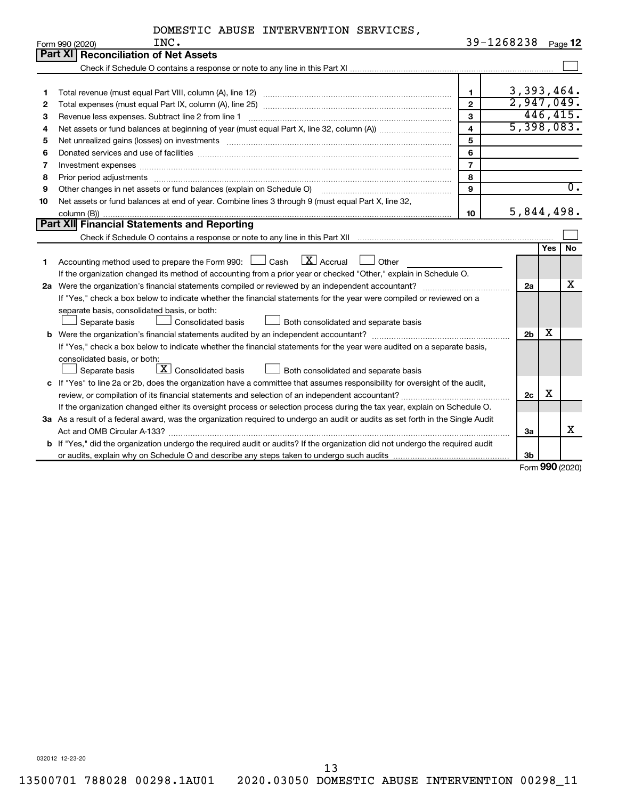|            | DOMESTIC ABUSE INTERVENTION SERVICES, |                |
|------------|---------------------------------------|----------------|
| <b>TNC</b> |                                       | $39 - 1268238$ |

|    | Form 990 (2020)<br>INC.                                                                                                                                                                                                        |                         | 39-1268238     |            | Page 12                   |
|----|--------------------------------------------------------------------------------------------------------------------------------------------------------------------------------------------------------------------------------|-------------------------|----------------|------------|---------------------------|
|    | <b>Part XI Reconciliation of Net Assets</b>                                                                                                                                                                                    |                         |                |            |                           |
|    |                                                                                                                                                                                                                                |                         |                |            |                           |
|    |                                                                                                                                                                                                                                |                         |                |            |                           |
| 1  |                                                                                                                                                                                                                                | $\mathbf{1}$            | 3,393,464.     |            |                           |
| 2  |                                                                                                                                                                                                                                | $\mathbf{2}$            | 2,947,049.     |            |                           |
| з  | Revenue less expenses. Subtract line 2 from line 1                                                                                                                                                                             | $\mathbf{3}$            | 446, 415.      |            |                           |
| 4  |                                                                                                                                                                                                                                | $\overline{\mathbf{4}}$ | 5,398,083.     |            |                           |
| 5  | Net unrealized gains (losses) on investments [111] www.marting.com/marting.com/marting.com/marting.com/marting.                                                                                                                | 5                       |                |            |                           |
| 6  |                                                                                                                                                                                                                                | 6                       |                |            |                           |
| 7  | Investment expenses www.communication.communication.com/interaction.com/interaction.com/interaction.com/interaction.com/interaction.com/interaction.com/interaction.com/interaction.com/interaction.com/interaction.com/intera | $\overline{7}$          |                |            |                           |
| 8  | Prior period adjustments www.communication.communication.communication.com                                                                                                                                                     | 8                       |                |            |                           |
| 9  | Other changes in net assets or fund balances (explain on Schedule O)                                                                                                                                                           | $\mathbf{q}$            |                |            | $\overline{\mathbf{0}}$ . |
| 10 | Net assets or fund balances at end of year. Combine lines 3 through 9 (must equal Part X, line 32,                                                                                                                             |                         |                |            |                           |
|    |                                                                                                                                                                                                                                | 10                      | 5,844,498.     |            |                           |
|    | Part XII Financial Statements and Reporting                                                                                                                                                                                    |                         |                |            |                           |
|    |                                                                                                                                                                                                                                |                         |                |            |                           |
|    |                                                                                                                                                                                                                                |                         |                | <b>Yes</b> | <b>No</b>                 |
| 1. | $\lfloor$ X $\rfloor$ Accrual<br>Accounting method used to prepare the Form 990: [130] Cash<br>  Other                                                                                                                         |                         |                |            |                           |
|    | If the organization changed its method of accounting from a prior year or checked "Other," explain in Schedule O.                                                                                                              |                         |                |            |                           |
|    |                                                                                                                                                                                                                                |                         | 2a             |            | х                         |
|    | If "Yes," check a box below to indicate whether the financial statements for the year were compiled or reviewed on a                                                                                                           |                         |                |            |                           |
|    | separate basis, consolidated basis, or both:                                                                                                                                                                                   |                         |                |            |                           |
|    | Both consolidated and separate basis<br>Separate basis<br>Consolidated basis                                                                                                                                                   |                         |                |            |                           |
|    | <b>b</b> Were the organization's financial statements audited by an independent accountant?                                                                                                                                    |                         | 2 <sub>b</sub> | x          |                           |
|    | If "Yes," check a box below to indicate whether the financial statements for the year were audited on a separate basis,                                                                                                        |                         |                |            |                           |
|    | consolidated basis, or both:                                                                                                                                                                                                   |                         |                |            |                           |
|    | $\lfloor \mathbf{X} \rfloor$ Consolidated basis<br>Separate basis<br>Both consolidated and separate basis                                                                                                                      |                         |                |            |                           |
|    | c If "Yes" to line 2a or 2b, does the organization have a committee that assumes responsibility for oversight of the audit,                                                                                                    |                         |                |            |                           |
|    | review, or compilation of its financial statements and selection of an independent accountant?                                                                                                                                 |                         | 2c             | х          |                           |
|    | If the organization changed either its oversight process or selection process during the tax year, explain on Schedule O.                                                                                                      |                         |                |            |                           |
|    | 3a As a result of a federal award, was the organization required to undergo an audit or audits as set forth in the Single Audit                                                                                                |                         |                |            |                           |
|    |                                                                                                                                                                                                                                |                         | За             |            | x                         |
|    | b If "Yes," did the organization undergo the required audit or audits? If the organization did not undergo the required audit                                                                                                  |                         |                |            |                           |
|    |                                                                                                                                                                                                                                |                         | 3b             |            |                           |

Form (2020) **990**

032012 12-23-20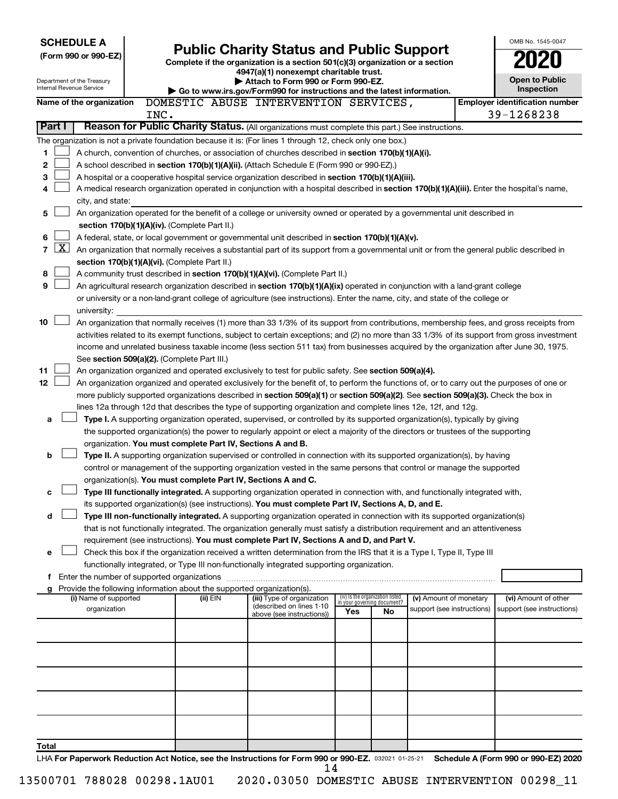| <b>SCHEDULE A</b>                                                                                         |      |                                                               |                                                                                                                                                                                                                                                                                  |     |                                                                |                            | OMB No. 1545-0047                     |
|-----------------------------------------------------------------------------------------------------------|------|---------------------------------------------------------------|----------------------------------------------------------------------------------------------------------------------------------------------------------------------------------------------------------------------------------------------------------------------------------|-----|----------------------------------------------------------------|----------------------------|---------------------------------------|
| (Form 990 or 990-EZ)                                                                                      |      |                                                               | <b>Public Charity Status and Public Support</b>                                                                                                                                                                                                                                  |     |                                                                |                            |                                       |
|                                                                                                           |      |                                                               | Complete if the organization is a section 501(c)(3) organization or a section<br>4947(a)(1) nonexempt charitable trust.                                                                                                                                                          |     |                                                                |                            |                                       |
| Department of the Treasury                                                                                |      |                                                               | Attach to Form 990 or Form 990-EZ.                                                                                                                                                                                                                                               |     |                                                                |                            | <b>Open to Public</b>                 |
| Internal Revenue Service                                                                                  |      |                                                               | Go to www.irs.gov/Form990 for instructions and the latest information.                                                                                                                                                                                                           |     |                                                                |                            | Inspection                            |
| Name of the organization                                                                                  |      |                                                               | DOMESTIC ABUSE INTERVENTION SERVICES,                                                                                                                                                                                                                                            |     |                                                                |                            | <b>Employer identification number</b> |
|                                                                                                           | INC. |                                                               |                                                                                                                                                                                                                                                                                  |     |                                                                |                            | 39-1268238                            |
| Part I                                                                                                    |      |                                                               | Reason for Public Charity Status. (All organizations must complete this part.) See instructions.                                                                                                                                                                                 |     |                                                                |                            |                                       |
| The organization is not a private foundation because it is: (For lines 1 through 12, check only one box.) |      |                                                               |                                                                                                                                                                                                                                                                                  |     |                                                                |                            |                                       |
| 1                                                                                                         |      |                                                               | A church, convention of churches, or association of churches described in <b>section 170(b)(1)(A)(i).</b>                                                                                                                                                                        |     |                                                                |                            |                                       |
| 2                                                                                                         |      |                                                               | A school described in section 170(b)(1)(A)(ii). (Attach Schedule E (Form 990 or 990-EZ).)                                                                                                                                                                                        |     |                                                                |                            |                                       |
| 3<br>4                                                                                                    |      |                                                               | A hospital or a cooperative hospital service organization described in section 170(b)(1)(A)(iii).<br>A medical research organization operated in conjunction with a hospital described in section 170(b)(1)(A)(iii). Enter the hospital's name,                                  |     |                                                                |                            |                                       |
| city, and state:                                                                                          |      |                                                               |                                                                                                                                                                                                                                                                                  |     |                                                                |                            |                                       |
| 5                                                                                                         |      |                                                               | An organization operated for the benefit of a college or university owned or operated by a governmental unit described in                                                                                                                                                        |     |                                                                |                            |                                       |
|                                                                                                           |      | section 170(b)(1)(A)(iv). (Complete Part II.)                 |                                                                                                                                                                                                                                                                                  |     |                                                                |                            |                                       |
| 6                                                                                                         |      |                                                               | A federal, state, or local government or governmental unit described in section 170(b)(1)(A)(v).                                                                                                                                                                                 |     |                                                                |                            |                                       |
| $\mathbf{X}$<br>7                                                                                         |      |                                                               | An organization that normally receives a substantial part of its support from a governmental unit or from the general public described in                                                                                                                                        |     |                                                                |                            |                                       |
|                                                                                                           |      | section 170(b)(1)(A)(vi). (Complete Part II.)                 |                                                                                                                                                                                                                                                                                  |     |                                                                |                            |                                       |
| 8                                                                                                         |      |                                                               | A community trust described in section 170(b)(1)(A)(vi). (Complete Part II.)                                                                                                                                                                                                     |     |                                                                |                            |                                       |
| 9                                                                                                         |      |                                                               | An agricultural research organization described in section 170(b)(1)(A)(ix) operated in conjunction with a land-grant college                                                                                                                                                    |     |                                                                |                            |                                       |
|                                                                                                           |      |                                                               | or university or a non-land-grant college of agriculture (see instructions). Enter the name, city, and state of the college or                                                                                                                                                   |     |                                                                |                            |                                       |
| university:                                                                                               |      |                                                               |                                                                                                                                                                                                                                                                                  |     |                                                                |                            |                                       |
| 10                                                                                                        |      |                                                               | An organization that normally receives (1) more than 33 1/3% of its support from contributions, membership fees, and gross receipts from                                                                                                                                         |     |                                                                |                            |                                       |
|                                                                                                           |      |                                                               | activities related to its exempt functions, subject to certain exceptions; and (2) no more than 33 1/3% of its support from gross investment                                                                                                                                     |     |                                                                |                            |                                       |
|                                                                                                           |      |                                                               | income and unrelated business taxable income (less section 511 tax) from businesses acquired by the organization after June 30, 1975.                                                                                                                                            |     |                                                                |                            |                                       |
|                                                                                                           |      | See section 509(a)(2). (Complete Part III.)                   |                                                                                                                                                                                                                                                                                  |     |                                                                |                            |                                       |
| 11<br>12                                                                                                  |      |                                                               | An organization organized and operated exclusively to test for public safety. See section 509(a)(4).                                                                                                                                                                             |     |                                                                |                            |                                       |
|                                                                                                           |      |                                                               | An organization organized and operated exclusively for the benefit of, to perform the functions of, or to carry out the purposes of one or<br>more publicly supported organizations described in section 509(a)(1) or section 509(a)(2). See section 509(a)(3). Check the box in |     |                                                                |                            |                                       |
|                                                                                                           |      |                                                               | lines 12a through 12d that describes the type of supporting organization and complete lines 12e, 12f, and 12g.                                                                                                                                                                   |     |                                                                |                            |                                       |
| a                                                                                                         |      |                                                               | Type I. A supporting organization operated, supervised, or controlled by its supported organization(s), typically by giving                                                                                                                                                      |     |                                                                |                            |                                       |
|                                                                                                           |      |                                                               | the supported organization(s) the power to regularly appoint or elect a majority of the directors or trustees of the supporting                                                                                                                                                  |     |                                                                |                            |                                       |
|                                                                                                           |      | organization. You must complete Part IV, Sections A and B.    |                                                                                                                                                                                                                                                                                  |     |                                                                |                            |                                       |
| b                                                                                                         |      |                                                               | Type II. A supporting organization supervised or controlled in connection with its supported organization(s), by having                                                                                                                                                          |     |                                                                |                            |                                       |
|                                                                                                           |      |                                                               | control or management of the supporting organization vested in the same persons that control or manage the supported                                                                                                                                                             |     |                                                                |                            |                                       |
|                                                                                                           |      | organization(s). You must complete Part IV, Sections A and C. |                                                                                                                                                                                                                                                                                  |     |                                                                |                            |                                       |
| с                                                                                                         |      |                                                               | Type III functionally integrated. A supporting organization operated in connection with, and functionally integrated with,                                                                                                                                                       |     |                                                                |                            |                                       |
|                                                                                                           |      |                                                               | its supported organization(s) (see instructions). You must complete Part IV, Sections A, D, and E.                                                                                                                                                                               |     |                                                                |                            |                                       |
| d                                                                                                         |      |                                                               | Type III non-functionally integrated. A supporting organization operated in connection with its supported organization(s)                                                                                                                                                        |     |                                                                |                            |                                       |
|                                                                                                           |      |                                                               | that is not functionally integrated. The organization generally must satisfy a distribution requirement and an attentiveness                                                                                                                                                     |     |                                                                |                            |                                       |
|                                                                                                           |      |                                                               | requirement (see instructions). You must complete Part IV, Sections A and D, and Part V.                                                                                                                                                                                         |     |                                                                |                            |                                       |
| е                                                                                                         |      |                                                               | Check this box if the organization received a written determination from the IRS that it is a Type I, Type II, Type III                                                                                                                                                          |     |                                                                |                            |                                       |
| f Enter the number of supported organizations                                                             |      |                                                               | functionally integrated, or Type III non-functionally integrated supporting organization.                                                                                                                                                                                        |     |                                                                |                            |                                       |
| g Provide the following information about the supported organization(s).                                  |      |                                                               |                                                                                                                                                                                                                                                                                  |     |                                                                |                            |                                       |
| (i) Name of supported                                                                                     |      | (ii) EIN                                                      | (iii) Type of organization                                                                                                                                                                                                                                                       |     | (iv) Is the organization listed<br>in your governing document? | (v) Amount of monetary     | (vi) Amount of other                  |
| organization                                                                                              |      |                                                               | (described on lines 1-10<br>above (see instructions))                                                                                                                                                                                                                            | Yes | No                                                             | support (see instructions) | support (see instructions)            |
|                                                                                                           |      |                                                               |                                                                                                                                                                                                                                                                                  |     |                                                                |                            |                                       |
|                                                                                                           |      |                                                               |                                                                                                                                                                                                                                                                                  |     |                                                                |                            |                                       |
|                                                                                                           |      |                                                               |                                                                                                                                                                                                                                                                                  |     |                                                                |                            |                                       |
|                                                                                                           |      |                                                               |                                                                                                                                                                                                                                                                                  |     |                                                                |                            |                                       |
|                                                                                                           |      |                                                               |                                                                                                                                                                                                                                                                                  |     |                                                                |                            |                                       |
|                                                                                                           |      |                                                               |                                                                                                                                                                                                                                                                                  |     |                                                                |                            |                                       |
|                                                                                                           |      |                                                               |                                                                                                                                                                                                                                                                                  |     |                                                                |                            |                                       |
|                                                                                                           |      |                                                               |                                                                                                                                                                                                                                                                                  |     |                                                                |                            |                                       |
|                                                                                                           |      |                                                               |                                                                                                                                                                                                                                                                                  |     |                                                                |                            |                                       |
| Total                                                                                                     |      |                                                               |                                                                                                                                                                                                                                                                                  |     |                                                                |                            |                                       |
|                                                                                                           |      |                                                               | LHA For Paperwork Reduction Act Notice, see the Instructions for Form 990 or 990-EZ. 032021 01-25-21 Schedule A (Form 990 or 990-EZ) 2020                                                                                                                                        |     |                                                                |                            |                                       |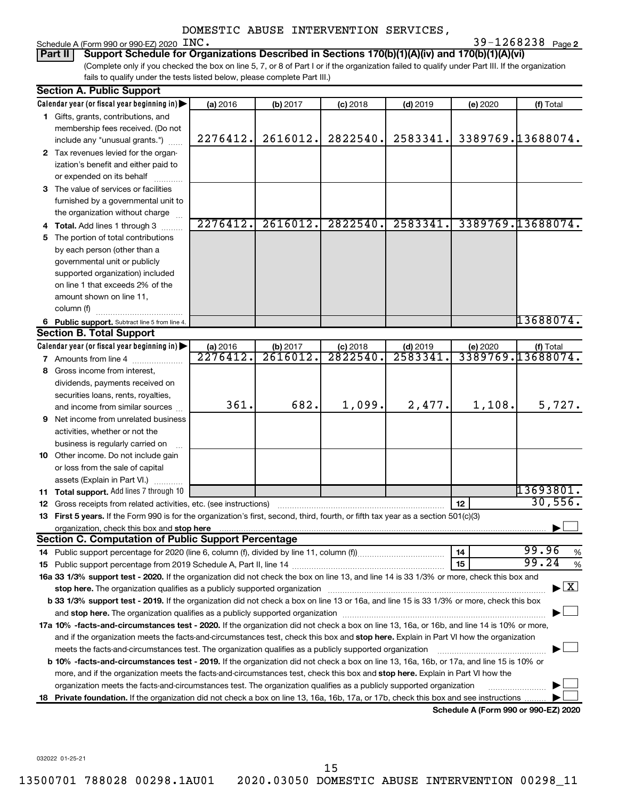# Schedule A (Form 990 or 990-EZ)  $2020$   $N$ C.

**2** INC. 39-1268238 Page 2

(Complete only if you checked the box on line 5, 7, or 8 of Part I or if the organization failed to qualify under Part III. If the organization fails to qualify under the tests listed below, please complete Part III.) **Part II Support Schedule for Organizations Described in Sections 170(b)(1)(A)(iv) and 170(b)(1)(A)(vi)**

| Calendar year (or fiscal year beginning in)<br>(a) 2016<br>(b) 2017<br>$(c)$ 2018<br>$(d)$ 2019<br>(e) 2020<br>1 Gifts, grants, contributions, and<br>membership fees received. (Do not<br>2616012.<br>3389769.13688074.<br>2822540.<br>2583341.<br>2276412.<br>include any "unusual grants.")<br>2 Tax revenues levied for the organ-<br>ization's benefit and either paid to<br>or expended on its behalf<br>3 The value of services or facilities<br>furnished by a governmental unit to<br>the organization without charge<br>3389769.13688074.<br>2276412.<br>2616012.<br>2822540.<br>2583341<br>4 Total. Add lines 1 through 3<br>5 The portion of total contributions<br>by each person (other than a<br>governmental unit or publicly<br>supported organization) included<br>on line 1 that exceeds 2% of the<br>amount shown on line 11,<br>column (f)<br>6 Public support. Subtract line 5 from line 4.<br><b>Section B. Total Support</b><br>Calendar year (or fiscal year beginning in)<br>(a) 2016<br>(b) 2017<br>$(d)$ 2019<br>(e) 2020<br>$(c)$ 2018<br>3389769.13688074.<br>2276412.<br>2616012.<br>2822540<br>2583341<br><b>7</b> Amounts from line 4<br>8 Gross income from interest,<br>dividends, payments received on<br>securities loans, rents, royalties,<br>361.<br>682.<br>1,099.<br>2,477.<br>1,108.<br>and income from similar sources<br><b>9</b> Net income from unrelated business<br>activities, whether or not the<br>business is regularly carried on<br>10 Other income. Do not include gain<br>or loss from the sale of capital<br>assets (Explain in Part VI.)<br>11 Total support. Add lines 7 through 10<br>12<br><b>12</b> Gross receipts from related activities, etc. (see instructions)<br>13 First 5 years. If the Form 990 is for the organization's first, second, third, fourth, or fifth tax year as a section 501(c)(3) | (f) Total                          |
|--------------------------------------------------------------------------------------------------------------------------------------------------------------------------------------------------------------------------------------------------------------------------------------------------------------------------------------------------------------------------------------------------------------------------------------------------------------------------------------------------------------------------------------------------------------------------------------------------------------------------------------------------------------------------------------------------------------------------------------------------------------------------------------------------------------------------------------------------------------------------------------------------------------------------------------------------------------------------------------------------------------------------------------------------------------------------------------------------------------------------------------------------------------------------------------------------------------------------------------------------------------------------------------------------------------------------------------------------------------------------------------------------------------------------------------------------------------------------------------------------------------------------------------------------------------------------------------------------------------------------------------------------------------------------------------------------------------------------------------------------------------------------------------------------------------------------------------------------------------------------|------------------------------------|
|                                                                                                                                                                                                                                                                                                                                                                                                                                                                                                                                                                                                                                                                                                                                                                                                                                                                                                                                                                                                                                                                                                                                                                                                                                                                                                                                                                                                                                                                                                                                                                                                                                                                                                                                                                                                                                                                          |                                    |
|                                                                                                                                                                                                                                                                                                                                                                                                                                                                                                                                                                                                                                                                                                                                                                                                                                                                                                                                                                                                                                                                                                                                                                                                                                                                                                                                                                                                                                                                                                                                                                                                                                                                                                                                                                                                                                                                          |                                    |
|                                                                                                                                                                                                                                                                                                                                                                                                                                                                                                                                                                                                                                                                                                                                                                                                                                                                                                                                                                                                                                                                                                                                                                                                                                                                                                                                                                                                                                                                                                                                                                                                                                                                                                                                                                                                                                                                          |                                    |
|                                                                                                                                                                                                                                                                                                                                                                                                                                                                                                                                                                                                                                                                                                                                                                                                                                                                                                                                                                                                                                                                                                                                                                                                                                                                                                                                                                                                                                                                                                                                                                                                                                                                                                                                                                                                                                                                          |                                    |
|                                                                                                                                                                                                                                                                                                                                                                                                                                                                                                                                                                                                                                                                                                                                                                                                                                                                                                                                                                                                                                                                                                                                                                                                                                                                                                                                                                                                                                                                                                                                                                                                                                                                                                                                                                                                                                                                          |                                    |
|                                                                                                                                                                                                                                                                                                                                                                                                                                                                                                                                                                                                                                                                                                                                                                                                                                                                                                                                                                                                                                                                                                                                                                                                                                                                                                                                                                                                                                                                                                                                                                                                                                                                                                                                                                                                                                                                          |                                    |
|                                                                                                                                                                                                                                                                                                                                                                                                                                                                                                                                                                                                                                                                                                                                                                                                                                                                                                                                                                                                                                                                                                                                                                                                                                                                                                                                                                                                                                                                                                                                                                                                                                                                                                                                                                                                                                                                          |                                    |
|                                                                                                                                                                                                                                                                                                                                                                                                                                                                                                                                                                                                                                                                                                                                                                                                                                                                                                                                                                                                                                                                                                                                                                                                                                                                                                                                                                                                                                                                                                                                                                                                                                                                                                                                                                                                                                                                          |                                    |
|                                                                                                                                                                                                                                                                                                                                                                                                                                                                                                                                                                                                                                                                                                                                                                                                                                                                                                                                                                                                                                                                                                                                                                                                                                                                                                                                                                                                                                                                                                                                                                                                                                                                                                                                                                                                                                                                          |                                    |
|                                                                                                                                                                                                                                                                                                                                                                                                                                                                                                                                                                                                                                                                                                                                                                                                                                                                                                                                                                                                                                                                                                                                                                                                                                                                                                                                                                                                                                                                                                                                                                                                                                                                                                                                                                                                                                                                          |                                    |
|                                                                                                                                                                                                                                                                                                                                                                                                                                                                                                                                                                                                                                                                                                                                                                                                                                                                                                                                                                                                                                                                                                                                                                                                                                                                                                                                                                                                                                                                                                                                                                                                                                                                                                                                                                                                                                                                          |                                    |
|                                                                                                                                                                                                                                                                                                                                                                                                                                                                                                                                                                                                                                                                                                                                                                                                                                                                                                                                                                                                                                                                                                                                                                                                                                                                                                                                                                                                                                                                                                                                                                                                                                                                                                                                                                                                                                                                          |                                    |
|                                                                                                                                                                                                                                                                                                                                                                                                                                                                                                                                                                                                                                                                                                                                                                                                                                                                                                                                                                                                                                                                                                                                                                                                                                                                                                                                                                                                                                                                                                                                                                                                                                                                                                                                                                                                                                                                          |                                    |
|                                                                                                                                                                                                                                                                                                                                                                                                                                                                                                                                                                                                                                                                                                                                                                                                                                                                                                                                                                                                                                                                                                                                                                                                                                                                                                                                                                                                                                                                                                                                                                                                                                                                                                                                                                                                                                                                          |                                    |
|                                                                                                                                                                                                                                                                                                                                                                                                                                                                                                                                                                                                                                                                                                                                                                                                                                                                                                                                                                                                                                                                                                                                                                                                                                                                                                                                                                                                                                                                                                                                                                                                                                                                                                                                                                                                                                                                          |                                    |
|                                                                                                                                                                                                                                                                                                                                                                                                                                                                                                                                                                                                                                                                                                                                                                                                                                                                                                                                                                                                                                                                                                                                                                                                                                                                                                                                                                                                                                                                                                                                                                                                                                                                                                                                                                                                                                                                          |                                    |
|                                                                                                                                                                                                                                                                                                                                                                                                                                                                                                                                                                                                                                                                                                                                                                                                                                                                                                                                                                                                                                                                                                                                                                                                                                                                                                                                                                                                                                                                                                                                                                                                                                                                                                                                                                                                                                                                          |                                    |
|                                                                                                                                                                                                                                                                                                                                                                                                                                                                                                                                                                                                                                                                                                                                                                                                                                                                                                                                                                                                                                                                                                                                                                                                                                                                                                                                                                                                                                                                                                                                                                                                                                                                                                                                                                                                                                                                          |                                    |
|                                                                                                                                                                                                                                                                                                                                                                                                                                                                                                                                                                                                                                                                                                                                                                                                                                                                                                                                                                                                                                                                                                                                                                                                                                                                                                                                                                                                                                                                                                                                                                                                                                                                                                                                                                                                                                                                          | 13688074.                          |
|                                                                                                                                                                                                                                                                                                                                                                                                                                                                                                                                                                                                                                                                                                                                                                                                                                                                                                                                                                                                                                                                                                                                                                                                                                                                                                                                                                                                                                                                                                                                                                                                                                                                                                                                                                                                                                                                          |                                    |
|                                                                                                                                                                                                                                                                                                                                                                                                                                                                                                                                                                                                                                                                                                                                                                                                                                                                                                                                                                                                                                                                                                                                                                                                                                                                                                                                                                                                                                                                                                                                                                                                                                                                                                                                                                                                                                                                          | (f) Total                          |
|                                                                                                                                                                                                                                                                                                                                                                                                                                                                                                                                                                                                                                                                                                                                                                                                                                                                                                                                                                                                                                                                                                                                                                                                                                                                                                                                                                                                                                                                                                                                                                                                                                                                                                                                                                                                                                                                          |                                    |
|                                                                                                                                                                                                                                                                                                                                                                                                                                                                                                                                                                                                                                                                                                                                                                                                                                                                                                                                                                                                                                                                                                                                                                                                                                                                                                                                                                                                                                                                                                                                                                                                                                                                                                                                                                                                                                                                          |                                    |
|                                                                                                                                                                                                                                                                                                                                                                                                                                                                                                                                                                                                                                                                                                                                                                                                                                                                                                                                                                                                                                                                                                                                                                                                                                                                                                                                                                                                                                                                                                                                                                                                                                                                                                                                                                                                                                                                          |                                    |
|                                                                                                                                                                                                                                                                                                                                                                                                                                                                                                                                                                                                                                                                                                                                                                                                                                                                                                                                                                                                                                                                                                                                                                                                                                                                                                                                                                                                                                                                                                                                                                                                                                                                                                                                                                                                                                                                          |                                    |
|                                                                                                                                                                                                                                                                                                                                                                                                                                                                                                                                                                                                                                                                                                                                                                                                                                                                                                                                                                                                                                                                                                                                                                                                                                                                                                                                                                                                                                                                                                                                                                                                                                                                                                                                                                                                                                                                          | 5,727.                             |
|                                                                                                                                                                                                                                                                                                                                                                                                                                                                                                                                                                                                                                                                                                                                                                                                                                                                                                                                                                                                                                                                                                                                                                                                                                                                                                                                                                                                                                                                                                                                                                                                                                                                                                                                                                                                                                                                          |                                    |
|                                                                                                                                                                                                                                                                                                                                                                                                                                                                                                                                                                                                                                                                                                                                                                                                                                                                                                                                                                                                                                                                                                                                                                                                                                                                                                                                                                                                                                                                                                                                                                                                                                                                                                                                                                                                                                                                          |                                    |
|                                                                                                                                                                                                                                                                                                                                                                                                                                                                                                                                                                                                                                                                                                                                                                                                                                                                                                                                                                                                                                                                                                                                                                                                                                                                                                                                                                                                                                                                                                                                                                                                                                                                                                                                                                                                                                                                          |                                    |
|                                                                                                                                                                                                                                                                                                                                                                                                                                                                                                                                                                                                                                                                                                                                                                                                                                                                                                                                                                                                                                                                                                                                                                                                                                                                                                                                                                                                                                                                                                                                                                                                                                                                                                                                                                                                                                                                          |                                    |
|                                                                                                                                                                                                                                                                                                                                                                                                                                                                                                                                                                                                                                                                                                                                                                                                                                                                                                                                                                                                                                                                                                                                                                                                                                                                                                                                                                                                                                                                                                                                                                                                                                                                                                                                                                                                                                                                          |                                    |
|                                                                                                                                                                                                                                                                                                                                                                                                                                                                                                                                                                                                                                                                                                                                                                                                                                                                                                                                                                                                                                                                                                                                                                                                                                                                                                                                                                                                                                                                                                                                                                                                                                                                                                                                                                                                                                                                          |                                    |
|                                                                                                                                                                                                                                                                                                                                                                                                                                                                                                                                                                                                                                                                                                                                                                                                                                                                                                                                                                                                                                                                                                                                                                                                                                                                                                                                                                                                                                                                                                                                                                                                                                                                                                                                                                                                                                                                          | 13693801.                          |
|                                                                                                                                                                                                                                                                                                                                                                                                                                                                                                                                                                                                                                                                                                                                                                                                                                                                                                                                                                                                                                                                                                                                                                                                                                                                                                                                                                                                                                                                                                                                                                                                                                                                                                                                                                                                                                                                          | 30,556.                            |
|                                                                                                                                                                                                                                                                                                                                                                                                                                                                                                                                                                                                                                                                                                                                                                                                                                                                                                                                                                                                                                                                                                                                                                                                                                                                                                                                                                                                                                                                                                                                                                                                                                                                                                                                                                                                                                                                          |                                    |
|                                                                                                                                                                                                                                                                                                                                                                                                                                                                                                                                                                                                                                                                                                                                                                                                                                                                                                                                                                                                                                                                                                                                                                                                                                                                                                                                                                                                                                                                                                                                                                                                                                                                                                                                                                                                                                                                          |                                    |
| <b>Section C. Computation of Public Support Percentage</b>                                                                                                                                                                                                                                                                                                                                                                                                                                                                                                                                                                                                                                                                                                                                                                                                                                                                                                                                                                                                                                                                                                                                                                                                                                                                                                                                                                                                                                                                                                                                                                                                                                                                                                                                                                                                               |                                    |
| 14                                                                                                                                                                                                                                                                                                                                                                                                                                                                                                                                                                                                                                                                                                                                                                                                                                                                                                                                                                                                                                                                                                                                                                                                                                                                                                                                                                                                                                                                                                                                                                                                                                                                                                                                                                                                                                                                       | 99.96<br>%<br>99.24                |
| 15                                                                                                                                                                                                                                                                                                                                                                                                                                                                                                                                                                                                                                                                                                                                                                                                                                                                                                                                                                                                                                                                                                                                                                                                                                                                                                                                                                                                                                                                                                                                                                                                                                                                                                                                                                                                                                                                       | %                                  |
| 16a 33 1/3% support test - 2020. If the organization did not check the box on line 13, and line 14 is 33 1/3% or more, check this box and                                                                                                                                                                                                                                                                                                                                                                                                                                                                                                                                                                                                                                                                                                                                                                                                                                                                                                                                                                                                                                                                                                                                                                                                                                                                                                                                                                                                                                                                                                                                                                                                                                                                                                                                | $\blacktriangleright$ $\mathbf{X}$ |
| stop here. The organization qualifies as a publicly supported organization manufaction manufacture or the organization manufacture or the organization manufacture or the organization of the state of the state of the state                                                                                                                                                                                                                                                                                                                                                                                                                                                                                                                                                                                                                                                                                                                                                                                                                                                                                                                                                                                                                                                                                                                                                                                                                                                                                                                                                                                                                                                                                                                                                                                                                                            |                                    |
| b 33 1/3% support test - 2019. If the organization did not check a box on line 13 or 16a, and line 15 is 33 1/3% or more, check this box                                                                                                                                                                                                                                                                                                                                                                                                                                                                                                                                                                                                                                                                                                                                                                                                                                                                                                                                                                                                                                                                                                                                                                                                                                                                                                                                                                                                                                                                                                                                                                                                                                                                                                                                 |                                    |
|                                                                                                                                                                                                                                                                                                                                                                                                                                                                                                                                                                                                                                                                                                                                                                                                                                                                                                                                                                                                                                                                                                                                                                                                                                                                                                                                                                                                                                                                                                                                                                                                                                                                                                                                                                                                                                                                          |                                    |
| 17a 10% -facts-and-circumstances test - 2020. If the organization did not check a box on line 13, 16a, or 16b, and line 14 is 10% or more,                                                                                                                                                                                                                                                                                                                                                                                                                                                                                                                                                                                                                                                                                                                                                                                                                                                                                                                                                                                                                                                                                                                                                                                                                                                                                                                                                                                                                                                                                                                                                                                                                                                                                                                               |                                    |
| and if the organization meets the facts-and-circumstances test, check this box and stop here. Explain in Part VI how the organization                                                                                                                                                                                                                                                                                                                                                                                                                                                                                                                                                                                                                                                                                                                                                                                                                                                                                                                                                                                                                                                                                                                                                                                                                                                                                                                                                                                                                                                                                                                                                                                                                                                                                                                                    |                                    |
| meets the facts-and-circumstances test. The organization qualifies as a publicly supported organization                                                                                                                                                                                                                                                                                                                                                                                                                                                                                                                                                                                                                                                                                                                                                                                                                                                                                                                                                                                                                                                                                                                                                                                                                                                                                                                                                                                                                                                                                                                                                                                                                                                                                                                                                                  |                                    |
| <b>b 10%</b> -facts-and-circumstances test - 2019. If the organization did not check a box on line 13, 16a, 16b, or 17a, and line 15 is 10% or                                                                                                                                                                                                                                                                                                                                                                                                                                                                                                                                                                                                                                                                                                                                                                                                                                                                                                                                                                                                                                                                                                                                                                                                                                                                                                                                                                                                                                                                                                                                                                                                                                                                                                                           |                                    |
| more, and if the organization meets the facts-and-circumstances test, check this box and <b>stop here.</b> Explain in Part VI how the<br>organization meets the facts-and-circumstances test. The organization qualifies as a publicly supported organization                                                                                                                                                                                                                                                                                                                                                                                                                                                                                                                                                                                                                                                                                                                                                                                                                                                                                                                                                                                                                                                                                                                                                                                                                                                                                                                                                                                                                                                                                                                                                                                                            |                                    |
| Private foundation. If the organization did not check a box on line 13, 16a, 16b, 17a, or 17b, check this box and see instructions.<br>18                                                                                                                                                                                                                                                                                                                                                                                                                                                                                                                                                                                                                                                                                                                                                                                                                                                                                                                                                                                                                                                                                                                                                                                                                                                                                                                                                                                                                                                                                                                                                                                                                                                                                                                                |                                    |
| Schedule A (Form 990 or 990-EZ) 2020                                                                                                                                                                                                                                                                                                                                                                                                                                                                                                                                                                                                                                                                                                                                                                                                                                                                                                                                                                                                                                                                                                                                                                                                                                                                                                                                                                                                                                                                                                                                                                                                                                                                                                                                                                                                                                     |                                    |

032022 01-25-21

15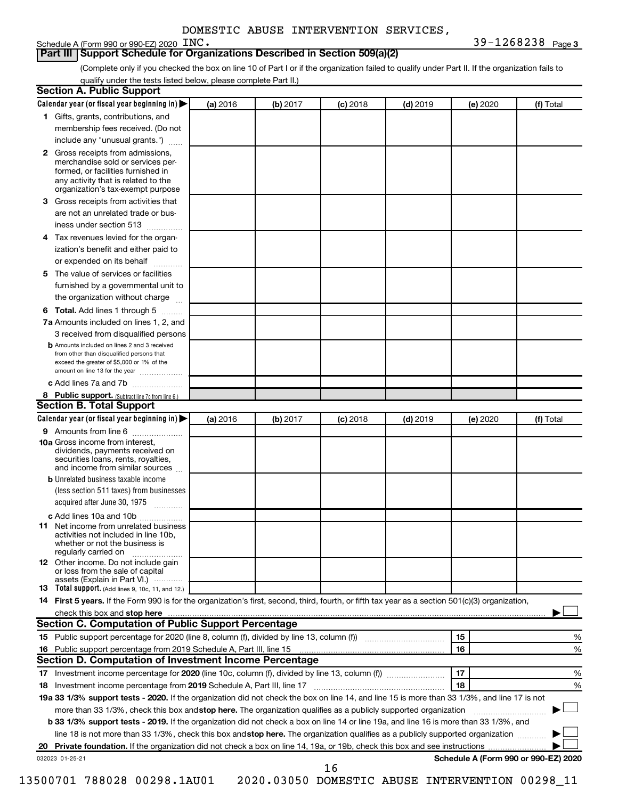# Schedule A (Form 990 or 990-EZ)  $2020$   $INC$ .

**Part III Support Schedule for Organizations Described in Section 509(a)(2)** 

(Complete only if you checked the box on line 10 of Part I or if the organization failed to qualify under Part II. If the organization fails to qualify under the tests listed below, please complete Part II.)

|    | Calendar year (or fiscal year beginning in)                                                                                                                                                                                                                                     | (a) 2016 | (b) 2017 | $(c)$ 2018                                      | $(d)$ 2019 |    | (e) 2020 | (f) Total                            |
|----|---------------------------------------------------------------------------------------------------------------------------------------------------------------------------------------------------------------------------------------------------------------------------------|----------|----------|-------------------------------------------------|------------|----|----------|--------------------------------------|
|    | 1 Gifts, grants, contributions, and                                                                                                                                                                                                                                             |          |          |                                                 |            |    |          |                                      |
|    | membership fees received. (Do not                                                                                                                                                                                                                                               |          |          |                                                 |            |    |          |                                      |
|    | include any "unusual grants.")                                                                                                                                                                                                                                                  |          |          |                                                 |            |    |          |                                      |
|    | 2 Gross receipts from admissions,<br>merchandise sold or services per-<br>formed, or facilities furnished in<br>any activity that is related to the<br>organization's tax-exempt purpose                                                                                        |          |          |                                                 |            |    |          |                                      |
| 3  | Gross receipts from activities that                                                                                                                                                                                                                                             |          |          |                                                 |            |    |          |                                      |
|    | are not an unrelated trade or bus-                                                                                                                                                                                                                                              |          |          |                                                 |            |    |          |                                      |
|    | iness under section 513                                                                                                                                                                                                                                                         |          |          |                                                 |            |    |          |                                      |
| 4  | Tax revenues levied for the organ-                                                                                                                                                                                                                                              |          |          |                                                 |            |    |          |                                      |
|    | ization's benefit and either paid to<br>or expended on its behalf<br>.                                                                                                                                                                                                          |          |          |                                                 |            |    |          |                                      |
| 5. | The value of services or facilities                                                                                                                                                                                                                                             |          |          |                                                 |            |    |          |                                      |
|    | furnished by a governmental unit to<br>the organization without charge                                                                                                                                                                                                          |          |          |                                                 |            |    |          |                                      |
| 6  | Total. Add lines 1 through 5                                                                                                                                                                                                                                                    |          |          |                                                 |            |    |          |                                      |
|    | 7a Amounts included on lines 1, 2, and                                                                                                                                                                                                                                          |          |          |                                                 |            |    |          |                                      |
|    | 3 received from disqualified persons                                                                                                                                                                                                                                            |          |          |                                                 |            |    |          |                                      |
|    | <b>b</b> Amounts included on lines 2 and 3 received                                                                                                                                                                                                                             |          |          |                                                 |            |    |          |                                      |
|    | from other than disqualified persons that<br>exceed the greater of \$5,000 or 1% of the<br>amount on line 13 for the year                                                                                                                                                       |          |          |                                                 |            |    |          |                                      |
|    | c Add lines 7a and 7b                                                                                                                                                                                                                                                           |          |          |                                                 |            |    |          |                                      |
|    | 8 Public support. (Subtract line 7c from line 6.)                                                                                                                                                                                                                               |          |          |                                                 |            |    |          |                                      |
|    | <b>Section B. Total Support</b>                                                                                                                                                                                                                                                 |          |          |                                                 |            |    |          |                                      |
|    | Calendar year (or fiscal year beginning in)                                                                                                                                                                                                                                     | (a) 2016 | (b) 2017 | $(c)$ 2018                                      | $(d)$ 2019 |    | (e) 2020 | (f) Total                            |
|    | 9 Amounts from line 6                                                                                                                                                                                                                                                           |          |          |                                                 |            |    |          |                                      |
|    | <b>10a</b> Gross income from interest,<br>dividends, payments received on<br>securities loans, rents, royalties,<br>and income from similar sources                                                                                                                             |          |          |                                                 |            |    |          |                                      |
|    | <b>b</b> Unrelated business taxable income                                                                                                                                                                                                                                      |          |          |                                                 |            |    |          |                                      |
|    | (less section 511 taxes) from businesses<br>acquired after June 30, 1975                                                                                                                                                                                                        |          |          |                                                 |            |    |          |                                      |
|    | c Add lines 10a and 10b                                                                                                                                                                                                                                                         |          |          |                                                 |            |    |          |                                      |
| 11 | Net income from unrelated business<br>activities not included in line 10b.<br>whether or not the business is<br>regularly carried on                                                                                                                                            |          |          |                                                 |            |    |          |                                      |
|    | <b>12</b> Other income. Do not include gain<br>or loss from the sale of capital<br>assets (Explain in Part VI.)                                                                                                                                                                 |          |          |                                                 |            |    |          |                                      |
|    | <b>13</b> Total support. (Add lines 9, 10c, 11, and 12.)                                                                                                                                                                                                                        |          |          |                                                 |            |    |          |                                      |
|    | 14 First 5 years. If the Form 990 is for the organization's first, second, third, fourth, or fifth tax year as a section 501(c)(3) organization,                                                                                                                                |          |          |                                                 |            |    |          |                                      |
|    | check this box and stop here measurements and stop here and stop here are all the substitutions of the state of the state of the state of the state of the state of the state of the state of the state of the state of the st                                                  |          |          |                                                 |            |    |          |                                      |
|    | <b>Section C. Computation of Public Support Percentage</b>                                                                                                                                                                                                                      |          |          |                                                 |            |    |          |                                      |
|    |                                                                                                                                                                                                                                                                                 |          |          |                                                 |            | 15 |          | %                                    |
|    |                                                                                                                                                                                                                                                                                 |          |          |                                                 |            | 16 |          | %                                    |
|    | Section D. Computation of Investment Income Percentage                                                                                                                                                                                                                          |          |          |                                                 |            |    |          |                                      |
|    |                                                                                                                                                                                                                                                                                 |          |          |                                                 |            | 17 |          | %                                    |
|    |                                                                                                                                                                                                                                                                                 |          |          |                                                 |            | 18 |          | %                                    |
|    | 19a 33 1/3% support tests - 2020. If the organization did not check the box on line 14, and line 15 is more than 33 1/3%, and line 17 is not                                                                                                                                    |          |          |                                                 |            |    |          |                                      |
|    | more than 33 1/3%, check this box and stop here. The organization qualifies as a publicly supported organization                                                                                                                                                                |          |          |                                                 |            |    |          |                                      |
|    | <b>b 33 1/3% support tests - 2019.</b> If the organization did not check a box on line 14 or line 19a, and line 16 is more than 33 1/3%, and<br>line 18 is not more than 33 1/3%, check this box and stop here. The organization qualifies as a publicly supported organization |          |          |                                                 |            |    |          |                                      |
|    |                                                                                                                                                                                                                                                                                 |          |          |                                                 |            |    |          |                                      |
|    |                                                                                                                                                                                                                                                                                 |          |          |                                                 |            |    |          | Schedule A (Form 990 or 990-EZ) 2020 |
|    | 032023 01-25-21                                                                                                                                                                                                                                                                 |          |          | 16                                              |            |    |          |                                      |
|    | 13500701 788028 00298.1AU01                                                                                                                                                                                                                                                     |          |          | 2020.03050 DOMESTIC ABUSE INTERVENTION 00298_11 |            |    |          |                                      |
|    |                                                                                                                                                                                                                                                                                 |          |          |                                                 |            |    |          |                                      |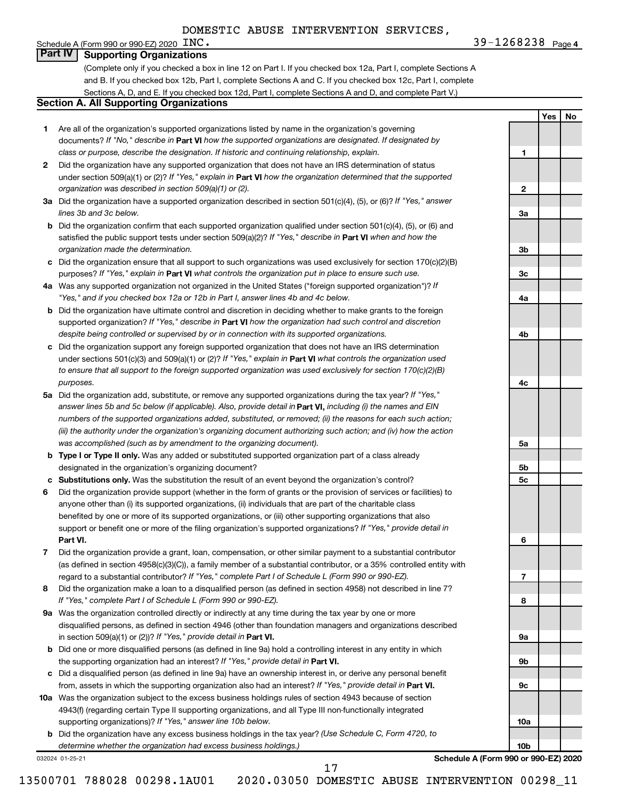**INC.** 39-1268238 Page 4

**1**

**2**

**3a**

**3b**

**3c**

**4a**

**4b**

**4c**

**5a**

**5b 5c**

**6**

**7**

**8**

**9a**

**9b**

**9c**

**10a**

**10b**

**Yes No**

## Schedule A (Form 990 or 990-EZ) 2020  $\text{INC.}$ **Part IV Supporting Organizations**

(Complete only if you checked a box in line 12 on Part I. If you checked box 12a, Part I, complete Sections A and B. If you checked box 12b, Part I, complete Sections A and C. If you checked box 12c, Part I, complete Sections A, D, and E. If you checked box 12d, Part I, complete Sections A and D, and complete Part V.)

# **Section A. All Supporting Organizations**

- **1** Are all of the organization's supported organizations listed by name in the organization's governing documents? If "No," describe in Part VI how the supported organizations are designated. If designated by *class or purpose, describe the designation. If historic and continuing relationship, explain.*
- **2** Did the organization have any supported organization that does not have an IRS determination of status under section 509(a)(1) or (2)? If "Yes," explain in Part **VI** how the organization determined that the supported *organization was described in section 509(a)(1) or (2).*
- **3a** Did the organization have a supported organization described in section 501(c)(4), (5), or (6)? If "Yes," answer *lines 3b and 3c below.*
- **b** Did the organization confirm that each supported organization qualified under section 501(c)(4), (5), or (6) and satisfied the public support tests under section 509(a)(2)? If "Yes," describe in Part VI when and how the *organization made the determination.*
- **c** Did the organization ensure that all support to such organizations was used exclusively for section 170(c)(2)(B) purposes? If "Yes," explain in Part VI what controls the organization put in place to ensure such use.
- **4 a** *If* Was any supported organization not organized in the United States ("foreign supported organization")? *"Yes," and if you checked box 12a or 12b in Part I, answer lines 4b and 4c below.*
- **b** Did the organization have ultimate control and discretion in deciding whether to make grants to the foreign supported organization? If "Yes," describe in Part VI how the organization had such control and discretion *despite being controlled or supervised by or in connection with its supported organizations.*
- **c** Did the organization support any foreign supported organization that does not have an IRS determination under sections 501(c)(3) and 509(a)(1) or (2)? If "Yes," explain in Part VI what controls the organization used *to ensure that all support to the foreign supported organization was used exclusively for section 170(c)(2)(B) purposes.*
- **5a** Did the organization add, substitute, or remove any supported organizations during the tax year? If "Yes," answer lines 5b and 5c below (if applicable). Also, provide detail in **Part VI,** including (i) the names and EIN *numbers of the supported organizations added, substituted, or removed; (ii) the reasons for each such action; (iii) the authority under the organization's organizing document authorizing such action; and (iv) how the action was accomplished (such as by amendment to the organizing document).*
- **b Type I or Type II only.** Was any added or substituted supported organization part of a class already designated in the organization's organizing document?
- **c Substitutions only.**  Was the substitution the result of an event beyond the organization's control?
- **6** Did the organization provide support (whether in the form of grants or the provision of services or facilities) to **Part VI.** support or benefit one or more of the filing organization's supported organizations? If "Yes," provide detail in anyone other than (i) its supported organizations, (ii) individuals that are part of the charitable class benefited by one or more of its supported organizations, or (iii) other supporting organizations that also
- **7** Did the organization provide a grant, loan, compensation, or other similar payment to a substantial contributor regard to a substantial contributor? If "Yes," complete Part I of Schedule L (Form 990 or 990-EZ). (as defined in section 4958(c)(3)(C)), a family member of a substantial contributor, or a 35% controlled entity with
- **8** Did the organization make a loan to a disqualified person (as defined in section 4958) not described in line 7? *If "Yes," complete Part I of Schedule L (Form 990 or 990-EZ).*
- **9 a** Was the organization controlled directly or indirectly at any time during the tax year by one or more in section 509(a)(1) or (2))? If "Yes," provide detail in **Part VI.** disqualified persons, as defined in section 4946 (other than foundation managers and organizations described
- **b** Did one or more disqualified persons (as defined in line 9a) hold a controlling interest in any entity in which the supporting organization had an interest? If "Yes," provide detail in Part VI.
- **c** Did a disqualified person (as defined in line 9a) have an ownership interest in, or derive any personal benefit from, assets in which the supporting organization also had an interest? If "Yes," provide detail in Part VI.
- **10 a** Was the organization subject to the excess business holdings rules of section 4943 because of section supporting organizations)? If "Yes," answer line 10b below. 4943(f) (regarding certain Type II supporting organizations, and all Type III non-functionally integrated
	- **b** Did the organization have any excess business holdings in the tax year? (Use Schedule C, Form 4720, to *determine whether the organization had excess business holdings.)*

032024 01-25-21

**Schedule A (Form 990 or 990-EZ) 2020**

17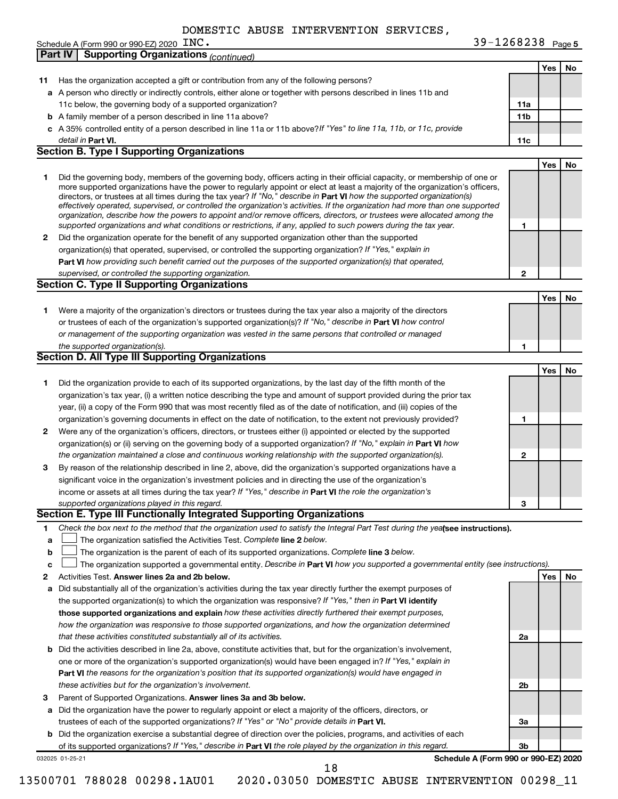|                | Schedule A (Form 990 or 990-EZ) 2020 $\text{INC}$ .                                                                                                                                                                                                       | 39-1268238 Page 5 |            |    |
|----------------|-----------------------------------------------------------------------------------------------------------------------------------------------------------------------------------------------------------------------------------------------------------|-------------------|------------|----|
| <b>Part IV</b> | <b>Supporting Organizations (continued)</b>                                                                                                                                                                                                               |                   |            |    |
|                |                                                                                                                                                                                                                                                           |                   | Yes        | No |
| 11             | Has the organization accepted a gift or contribution from any of the following persons?                                                                                                                                                                   |                   |            |    |
|                | a A person who directly or indirectly controls, either alone or together with persons described in lines 11b and                                                                                                                                          |                   |            |    |
|                | 11c below, the governing body of a supported organization?                                                                                                                                                                                                | 11a               |            |    |
|                | <b>b</b> A family member of a person described in line 11a above?                                                                                                                                                                                         | 11 <sub>b</sub>   |            |    |
|                |                                                                                                                                                                                                                                                           |                   |            |    |
|                | c A 35% controlled entity of a person described in line 11a or 11b above? If "Yes" to line 11a, 11b, or 11c, provide                                                                                                                                      |                   |            |    |
|                | detail in Part VI.                                                                                                                                                                                                                                        | 11c               |            |    |
|                | <b>Section B. Type I Supporting Organizations</b>                                                                                                                                                                                                         |                   |            |    |
|                |                                                                                                                                                                                                                                                           |                   | <b>Yes</b> | No |
| 1              | Did the governing body, members of the governing body, officers acting in their official capacity, or membership of one or                                                                                                                                |                   |            |    |
|                | more supported organizations have the power to regularly appoint or elect at least a majority of the organization's officers,                                                                                                                             |                   |            |    |
|                | directors, or trustees at all times during the tax year? If "No," describe in Part VI how the supported organization(s)<br>effectively operated, supervised, or controlled the organization's activities. If the organization had more than one supported |                   |            |    |
|                | organization, describe how the powers to appoint and/or remove officers, directors, or trustees were allocated among the                                                                                                                                  |                   |            |    |
|                | supported organizations and what conditions or restrictions, if any, applied to such powers during the tax year.                                                                                                                                          | 1                 |            |    |
| 2              | Did the organization operate for the benefit of any supported organization other than the supported                                                                                                                                                       |                   |            |    |
|                | organization(s) that operated, supervised, or controlled the supporting organization? If "Yes," explain in                                                                                                                                                |                   |            |    |
|                | Part VI how providing such benefit carried out the purposes of the supported organization(s) that operated,                                                                                                                                               |                   |            |    |
|                | supervised, or controlled the supporting organization.                                                                                                                                                                                                    | 2                 |            |    |
|                | <b>Section C. Type II Supporting Organizations</b>                                                                                                                                                                                                        |                   |            |    |
|                |                                                                                                                                                                                                                                                           |                   |            |    |
|                |                                                                                                                                                                                                                                                           |                   | Yes        | No |
| 1.             | Were a majority of the organization's directors or trustees during the tax year also a majority of the directors                                                                                                                                          |                   |            |    |
|                | or trustees of each of the organization's supported organization(s)? If "No," describe in Part VI how control                                                                                                                                             |                   |            |    |
|                | or management of the supporting organization was vested in the same persons that controlled or managed                                                                                                                                                    |                   |            |    |
|                | the supported organization(s).                                                                                                                                                                                                                            | 1                 |            |    |
|                | Section D. All Type III Supporting Organizations                                                                                                                                                                                                          |                   |            |    |
|                |                                                                                                                                                                                                                                                           |                   | Yes        | No |
| 1              | Did the organization provide to each of its supported organizations, by the last day of the fifth month of the                                                                                                                                            |                   |            |    |
|                | organization's tax year, (i) a written notice describing the type and amount of support provided during the prior tax                                                                                                                                     |                   |            |    |
|                | year, (ii) a copy of the Form 990 that was most recently filed as of the date of notification, and (iii) copies of the                                                                                                                                    |                   |            |    |
|                | organization's governing documents in effect on the date of notification, to the extent not previously provided?                                                                                                                                          | 1                 |            |    |
| 2              | Were any of the organization's officers, directors, or trustees either (i) appointed or elected by the supported                                                                                                                                          |                   |            |    |
|                |                                                                                                                                                                                                                                                           |                   |            |    |
|                | organization(s) or (ii) serving on the governing body of a supported organization? If "No," explain in Part VI how                                                                                                                                        |                   |            |    |
|                | the organization maintained a close and continuous working relationship with the supported organization(s).                                                                                                                                               | $\mathbf{2}$      |            |    |
| 3              | By reason of the relationship described in line 2, above, did the organization's supported organizations have a                                                                                                                                           |                   |            |    |
|                | significant voice in the organization's investment policies and in directing the use of the organization's                                                                                                                                                |                   |            |    |
|                | income or assets at all times during the tax year? If "Yes," describe in Part VI the role the organization's                                                                                                                                              |                   |            |    |
|                | supported organizations played in this regard.                                                                                                                                                                                                            | З                 |            |    |
|                | Section E. Type III Functionally Integrated Supporting Organizations                                                                                                                                                                                      |                   |            |    |
| 1.             | Check the box next to the method that the organization used to satisfy the Integral Part Test during the yealsee instructions).                                                                                                                           |                   |            |    |
| a              | The organization satisfied the Activities Test. Complete line 2 below.                                                                                                                                                                                    |                   |            |    |
| b              | The organization is the parent of each of its supported organizations. Complete line 3 below.                                                                                                                                                             |                   |            |    |
| c              | The organization supported a governmental entity. Describe in Part VI how you supported a governmental entity (see instructions).                                                                                                                         |                   |            |    |
| 2              | Activities Test. Answer lines 2a and 2b below.                                                                                                                                                                                                            |                   | Yes        | No |
| a              | Did substantially all of the organization's activities during the tax year directly further the exempt purposes of                                                                                                                                        |                   |            |    |
|                | the supported organization(s) to which the organization was responsive? If "Yes," then in Part VI identify                                                                                                                                                |                   |            |    |
|                | those supported organizations and explain how these activities directly furthered their exempt purposes,                                                                                                                                                  |                   |            |    |
|                |                                                                                                                                                                                                                                                           |                   |            |    |
|                | how the organization was responsive to those supported organizations, and how the organization determined                                                                                                                                                 |                   |            |    |
|                | that these activities constituted substantially all of its activities.                                                                                                                                                                                    | 2a                |            |    |
| b              | Did the activities described in line 2a, above, constitute activities that, but for the organization's involvement,                                                                                                                                       |                   |            |    |
|                | one or more of the organization's supported organization(s) would have been engaged in? If "Yes," explain in                                                                                                                                              |                   |            |    |
|                | Part VI the reasons for the organization's position that its supported organization(s) would have engaged in                                                                                                                                              |                   |            |    |
|                | these activities but for the organization's involvement.                                                                                                                                                                                                  | 2b                |            |    |
| 3              | Parent of Supported Organizations. Answer lines 3a and 3b below.                                                                                                                                                                                          |                   |            |    |
| а              | Did the organization have the power to regularly appoint or elect a majority of the officers, directors, or                                                                                                                                               |                   |            |    |
|                |                                                                                                                                                                                                                                                           |                   |            |    |
|                |                                                                                                                                                                                                                                                           | За                |            |    |
|                | trustees of each of the supported organizations? If "Yes" or "No" provide details in Part VI.                                                                                                                                                             |                   |            |    |
|                | b Did the organization exercise a substantial degree of direction over the policies, programs, and activities of each<br>of its supported organizations? If "Yes," describe in Part VI the role played by the organization in this regard.                | Зb                |            |    |

18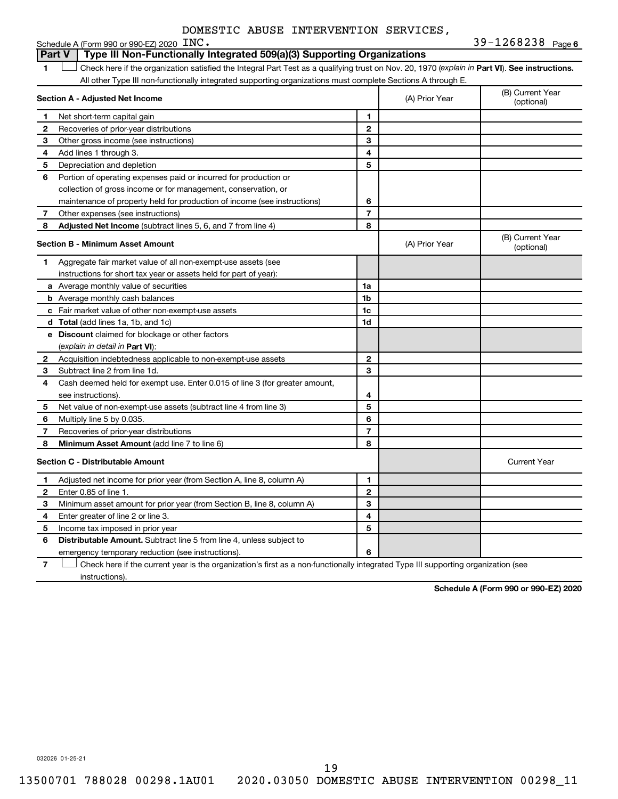|                | Schedule A (Form 990 or 990-EZ) 2020 INC.                                                                                                      |                          |                | 39-1268238 Page 6              |
|----------------|------------------------------------------------------------------------------------------------------------------------------------------------|--------------------------|----------------|--------------------------------|
|                | Type III Non-Functionally Integrated 509(a)(3) Supporting Organizations<br><b>Part V</b>                                                       |                          |                |                                |
| 1              | Check here if the organization satisfied the Integral Part Test as a qualifying trust on Nov. 20, 1970 (explain in Part VI). See instructions. |                          |                |                                |
|                | All other Type III non-functionally integrated supporting organizations must complete Sections A through E.                                    |                          |                |                                |
|                | Section A - Adjusted Net Income                                                                                                                |                          | (A) Prior Year | (B) Current Year<br>(optional) |
| 1              | Net short-term capital gain                                                                                                                    | 1                        |                |                                |
| 2              | Recoveries of prior-year distributions                                                                                                         | $\overline{2}$           |                |                                |
| 3              | Other gross income (see instructions)                                                                                                          | 3                        |                |                                |
| 4              | Add lines 1 through 3.                                                                                                                         | 4                        |                |                                |
| 5              | Depreciation and depletion                                                                                                                     | 5                        |                |                                |
| 6              | Portion of operating expenses paid or incurred for production or                                                                               |                          |                |                                |
|                | collection of gross income or for management, conservation, or                                                                                 |                          |                |                                |
|                | maintenance of property held for production of income (see instructions)                                                                       | 6                        |                |                                |
| 7              | Other expenses (see instructions)                                                                                                              | $\overline{7}$           |                |                                |
| 8              | Adjusted Net Income (subtract lines 5, 6, and 7 from line 4)                                                                                   | 8                        |                |                                |
|                | Section B - Minimum Asset Amount                                                                                                               |                          | (A) Prior Year | (B) Current Year<br>(optional) |
| 1              | Aggregate fair market value of all non-exempt-use assets (see                                                                                  |                          |                |                                |
|                | instructions for short tax year or assets held for part of year):                                                                              |                          |                |                                |
|                | a Average monthly value of securities                                                                                                          | 1a                       |                |                                |
|                | <b>b</b> Average monthly cash balances                                                                                                         | 1b                       |                |                                |
|                | c Fair market value of other non-exempt-use assets                                                                                             | 1c                       |                |                                |
|                | <b>d</b> Total (add lines 1a, 1b, and 1c)                                                                                                      | 1d                       |                |                                |
|                | e Discount claimed for blockage or other factors                                                                                               |                          |                |                                |
|                | (explain in detail in Part VI):                                                                                                                |                          |                |                                |
| 2              | Acquisition indebtedness applicable to non-exempt-use assets                                                                                   | $\mathbf{2}$             |                |                                |
| 3              | Subtract line 2 from line 1d.                                                                                                                  | 3                        |                |                                |
| 4              | Cash deemed held for exempt use. Enter 0.015 of line 3 (for greater amount,                                                                    |                          |                |                                |
|                | see instructions)                                                                                                                              | 4                        |                |                                |
| 5              | Net value of non-exempt-use assets (subtract line 4 from line 3)                                                                               | 5                        |                |                                |
| 6              | Multiply line 5 by 0.035.                                                                                                                      | 6                        |                |                                |
| $\overline{7}$ | Recoveries of prior-year distributions                                                                                                         | $\overline{\phantom{a}}$ |                |                                |
| 8              | <b>Minimum Asset Amount (add line 7 to line 6)</b>                                                                                             | 8                        |                |                                |
|                | <b>Section C - Distributable Amount</b>                                                                                                        |                          |                | <b>Current Year</b>            |
| 1              | Adjusted net income for prior year (from Section A, line 8, column A)                                                                          | 1                        |                |                                |
| $\mathbf{2}$   | Enter 0.85 of line 1.                                                                                                                          | $\mathbf{2}$             |                |                                |
| З              | Minimum asset amount for prior year (from Section B, line 8, column A)                                                                         | 3                        |                |                                |
| 4              | Enter greater of line 2 or line 3.                                                                                                             | 4                        |                |                                |
| 5              | Income tax imposed in prior year                                                                                                               | 5                        |                |                                |
| 6              | <b>Distributable Amount.</b> Subtract line 5 from line 4, unless subject to                                                                    |                          |                |                                |
|                | emergency temporary reduction (see instructions).                                                                                              | 6                        |                |                                |

**7** Let Check here if the current year is the organization's first as a non-functionally integrated Type III supporting organization (see instructions).

**Schedule A (Form 990 or 990-EZ) 2020**

032026 01-25-21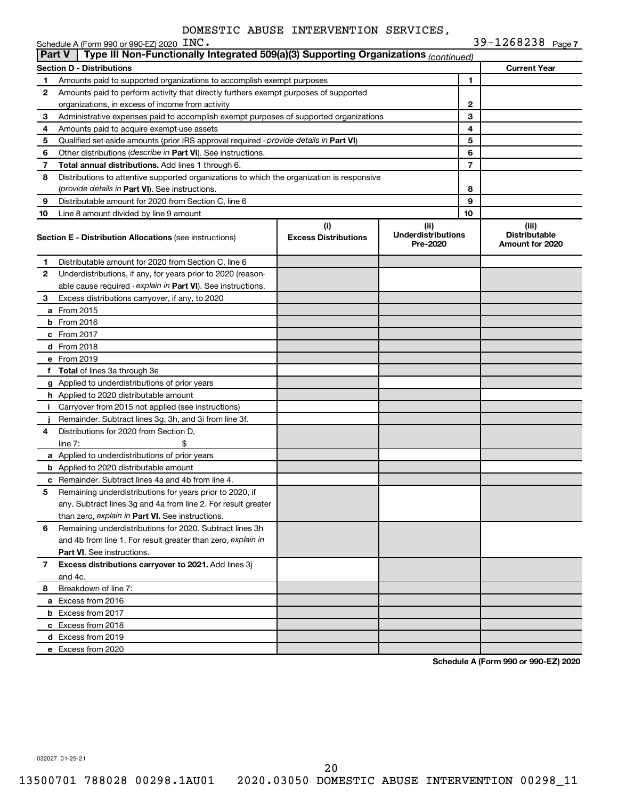|               | Schedule A (Form 990 or 990-EZ) 2020 INC.                                                  |                                    |                                               |    | 39-1268238 Page 7                                |
|---------------|--------------------------------------------------------------------------------------------|------------------------------------|-----------------------------------------------|----|--------------------------------------------------|
| <b>Part V</b> | Type III Non-Functionally Integrated 509(a)(3) Supporting Organizations (continued)        |                                    |                                               |    |                                                  |
|               | Section D - Distributions                                                                  |                                    |                                               |    | <b>Current Year</b>                              |
| 1             | Amounts paid to supported organizations to accomplish exempt purposes                      |                                    |                                               | 1  |                                                  |
| 2             | Amounts paid to perform activity that directly furthers exempt purposes of supported       |                                    |                                               |    |                                                  |
|               | organizations, in excess of income from activity                                           |                                    |                                               | 2  |                                                  |
| З             | Administrative expenses paid to accomplish exempt purposes of supported organizations      |                                    |                                               | 3  |                                                  |
| 4             | Amounts paid to acquire exempt-use assets                                                  |                                    |                                               | 4  |                                                  |
| 5             | Qualified set-aside amounts (prior IRS approval required - provide details in Part VI)     |                                    |                                               | 5  |                                                  |
| 6             | Other distributions (describe in Part VI). See instructions.                               |                                    |                                               | 6  |                                                  |
| 7             | Total annual distributions. Add lines 1 through 6.                                         |                                    |                                               | 7  |                                                  |
| 8             | Distributions to attentive supported organizations to which the organization is responsive |                                    |                                               |    |                                                  |
|               | (provide details in Part VI). See instructions.                                            |                                    |                                               | 8  |                                                  |
| 9             | Distributable amount for 2020 from Section C, line 6                                       |                                    |                                               | 9  |                                                  |
| 10            | Line 8 amount divided by line 9 amount                                                     |                                    |                                               | 10 |                                                  |
|               | <b>Section E - Distribution Allocations (see instructions)</b>                             | (i)<br><b>Excess Distributions</b> | (ii)<br><b>Underdistributions</b><br>Pre-2020 |    | (iii)<br><b>Distributable</b><br>Amount for 2020 |
| 1             | Distributable amount for 2020 from Section C, line 6                                       |                                    |                                               |    |                                                  |
| 2             | Underdistributions, if any, for years prior to 2020 (reason-                               |                                    |                                               |    |                                                  |
|               | able cause required - explain in Part VI). See instructions.                               |                                    |                                               |    |                                                  |
| З             | Excess distributions carryover, if any, to 2020                                            |                                    |                                               |    |                                                  |
|               | a From 2015                                                                                |                                    |                                               |    |                                                  |
|               | $b$ From 2016                                                                              |                                    |                                               |    |                                                  |
|               | c From 2017                                                                                |                                    |                                               |    |                                                  |
|               | <b>d</b> From 2018                                                                         |                                    |                                               |    |                                                  |
|               | e From 2019                                                                                |                                    |                                               |    |                                                  |
|               | f Total of lines 3a through 3e                                                             |                                    |                                               |    |                                                  |
|               | g Applied to underdistributions of prior years                                             |                                    |                                               |    |                                                  |
|               | h Applied to 2020 distributable amount                                                     |                                    |                                               |    |                                                  |
| Ť.            | Carryover from 2015 not applied (see instructions)                                         |                                    |                                               |    |                                                  |
|               | Remainder. Subtract lines 3g, 3h, and 3i from line 3f.                                     |                                    |                                               |    |                                                  |
| 4             | Distributions for 2020 from Section D.                                                     |                                    |                                               |    |                                                  |
|               | line $7:$                                                                                  |                                    |                                               |    |                                                  |
|               | a Applied to underdistributions of prior years                                             |                                    |                                               |    |                                                  |
|               | <b>b</b> Applied to 2020 distributable amount                                              |                                    |                                               |    |                                                  |
|               |                                                                                            |                                    |                                               |    |                                                  |
|               | c Remainder. Subtract lines 4a and 4b from line 4.                                         |                                    |                                               |    |                                                  |
|               | Remaining underdistributions for years prior to 2020, if                                   |                                    |                                               |    |                                                  |
|               | any. Subtract lines 3g and 4a from line 2. For result greater                              |                                    |                                               |    |                                                  |
|               | than zero, explain in Part VI. See instructions.                                           |                                    |                                               |    |                                                  |
| 6             | Remaining underdistributions for 2020. Subtract lines 3h                                   |                                    |                                               |    |                                                  |
|               | and 4b from line 1. For result greater than zero, explain in                               |                                    |                                               |    |                                                  |
|               | <b>Part VI.</b> See instructions.                                                          |                                    |                                               |    |                                                  |
| $\mathbf{7}$  | Excess distributions carryover to 2021. Add lines 3j                                       |                                    |                                               |    |                                                  |
|               | and 4c.                                                                                    |                                    |                                               |    |                                                  |
| 8             | Breakdown of line 7:                                                                       |                                    |                                               |    |                                                  |
|               | a Excess from 2016                                                                         |                                    |                                               |    |                                                  |
|               | <b>b</b> Excess from 2017                                                                  |                                    |                                               |    |                                                  |
|               | c Excess from 2018                                                                         |                                    |                                               |    |                                                  |
|               | d Excess from 2019                                                                         |                                    |                                               |    |                                                  |
|               | e Excess from 2020                                                                         |                                    |                                               |    |                                                  |

**Schedule A (Form 990 or 990-EZ) 2020**

032027 01-25-21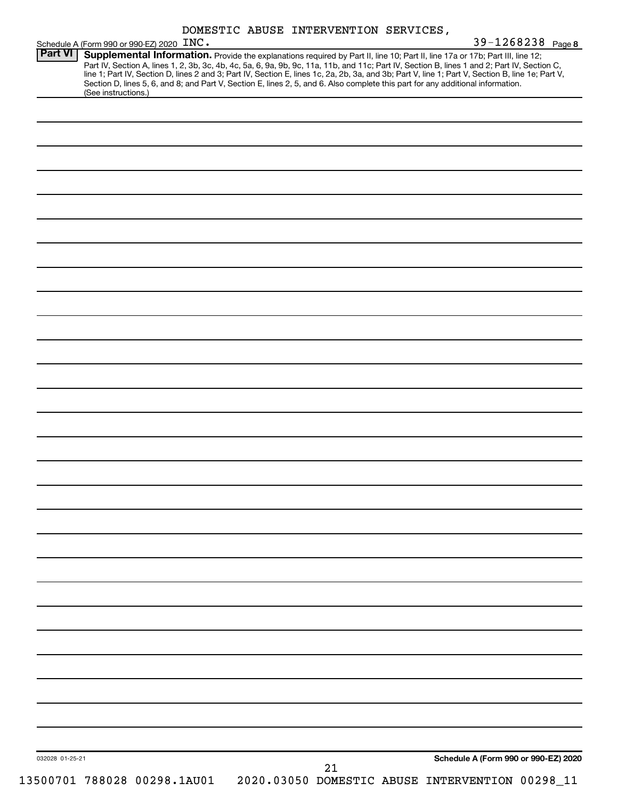|  |  | DOMESTIC ABUSE INTERVENTION SERVICES, |  |
|--|--|---------------------------------------|--|
|--|--|---------------------------------------|--|

|                 |                     | Schedule A (Form 990 or 990-EZ) 2020 INC.                                                                                                                                                                                                                                                                                                                                                                                                                                                                                                                            | LOMBUIL ADUDE INIERVENIIUN DERVICEU,            |    |  | 39-1268238 Page 8                    |  |
|-----------------|---------------------|----------------------------------------------------------------------------------------------------------------------------------------------------------------------------------------------------------------------------------------------------------------------------------------------------------------------------------------------------------------------------------------------------------------------------------------------------------------------------------------------------------------------------------------------------------------------|-------------------------------------------------|----|--|--------------------------------------|--|
| <b>Part VI</b>  |                     | Supplemental Information. Provide the explanations required by Part II, line 10; Part II, line 17a or 17b; Part III, line 12;<br>Part IV, Section A, lines 1, 2, 3b, 3c, 4b, 4c, 5a, 6, 9a, 9b, 9c, 11a, 11b, and 11c; Part IV, Section B, lines 1 and 2; Part IV, Section C,<br>line 1; Part IV, Section D, lines 2 and 3; Part IV, Section E, lines 1c, 2a, 2b, 3a, and 3b; Part V, line 1; Part V, Section B, line 1e; Part V,<br>Section D, lines 5, 6, and 8; and Part V, Section E, lines 2, 5, and 6. Also complete this part for any additional information. |                                                 |    |  |                                      |  |
|                 | (See instructions.) |                                                                                                                                                                                                                                                                                                                                                                                                                                                                                                                                                                      |                                                 |    |  |                                      |  |
|                 |                     |                                                                                                                                                                                                                                                                                                                                                                                                                                                                                                                                                                      |                                                 |    |  |                                      |  |
|                 |                     |                                                                                                                                                                                                                                                                                                                                                                                                                                                                                                                                                                      |                                                 |    |  |                                      |  |
|                 |                     |                                                                                                                                                                                                                                                                                                                                                                                                                                                                                                                                                                      |                                                 |    |  |                                      |  |
|                 |                     |                                                                                                                                                                                                                                                                                                                                                                                                                                                                                                                                                                      |                                                 |    |  |                                      |  |
|                 |                     |                                                                                                                                                                                                                                                                                                                                                                                                                                                                                                                                                                      |                                                 |    |  |                                      |  |
|                 |                     |                                                                                                                                                                                                                                                                                                                                                                                                                                                                                                                                                                      |                                                 |    |  |                                      |  |
|                 |                     |                                                                                                                                                                                                                                                                                                                                                                                                                                                                                                                                                                      |                                                 |    |  |                                      |  |
|                 |                     |                                                                                                                                                                                                                                                                                                                                                                                                                                                                                                                                                                      |                                                 |    |  |                                      |  |
|                 |                     |                                                                                                                                                                                                                                                                                                                                                                                                                                                                                                                                                                      |                                                 |    |  |                                      |  |
|                 |                     |                                                                                                                                                                                                                                                                                                                                                                                                                                                                                                                                                                      |                                                 |    |  |                                      |  |
|                 |                     |                                                                                                                                                                                                                                                                                                                                                                                                                                                                                                                                                                      |                                                 |    |  |                                      |  |
|                 |                     |                                                                                                                                                                                                                                                                                                                                                                                                                                                                                                                                                                      |                                                 |    |  |                                      |  |
|                 |                     |                                                                                                                                                                                                                                                                                                                                                                                                                                                                                                                                                                      |                                                 |    |  |                                      |  |
|                 |                     |                                                                                                                                                                                                                                                                                                                                                                                                                                                                                                                                                                      |                                                 |    |  |                                      |  |
|                 |                     |                                                                                                                                                                                                                                                                                                                                                                                                                                                                                                                                                                      |                                                 |    |  |                                      |  |
|                 |                     |                                                                                                                                                                                                                                                                                                                                                                                                                                                                                                                                                                      |                                                 |    |  |                                      |  |
|                 |                     |                                                                                                                                                                                                                                                                                                                                                                                                                                                                                                                                                                      |                                                 |    |  |                                      |  |
|                 |                     |                                                                                                                                                                                                                                                                                                                                                                                                                                                                                                                                                                      |                                                 |    |  |                                      |  |
|                 |                     |                                                                                                                                                                                                                                                                                                                                                                                                                                                                                                                                                                      |                                                 |    |  |                                      |  |
|                 |                     |                                                                                                                                                                                                                                                                                                                                                                                                                                                                                                                                                                      |                                                 |    |  |                                      |  |
|                 |                     |                                                                                                                                                                                                                                                                                                                                                                                                                                                                                                                                                                      |                                                 |    |  |                                      |  |
|                 |                     |                                                                                                                                                                                                                                                                                                                                                                                                                                                                                                                                                                      |                                                 |    |  |                                      |  |
|                 |                     |                                                                                                                                                                                                                                                                                                                                                                                                                                                                                                                                                                      |                                                 |    |  |                                      |  |
|                 |                     |                                                                                                                                                                                                                                                                                                                                                                                                                                                                                                                                                                      |                                                 |    |  |                                      |  |
|                 |                     |                                                                                                                                                                                                                                                                                                                                                                                                                                                                                                                                                                      |                                                 |    |  |                                      |  |
|                 |                     |                                                                                                                                                                                                                                                                                                                                                                                                                                                                                                                                                                      |                                                 |    |  |                                      |  |
|                 |                     |                                                                                                                                                                                                                                                                                                                                                                                                                                                                                                                                                                      |                                                 |    |  |                                      |  |
|                 |                     |                                                                                                                                                                                                                                                                                                                                                                                                                                                                                                                                                                      |                                                 |    |  |                                      |  |
|                 |                     |                                                                                                                                                                                                                                                                                                                                                                                                                                                                                                                                                                      |                                                 |    |  |                                      |  |
|                 |                     |                                                                                                                                                                                                                                                                                                                                                                                                                                                                                                                                                                      |                                                 |    |  |                                      |  |
|                 |                     |                                                                                                                                                                                                                                                                                                                                                                                                                                                                                                                                                                      |                                                 |    |  |                                      |  |
|                 |                     |                                                                                                                                                                                                                                                                                                                                                                                                                                                                                                                                                                      |                                                 |    |  |                                      |  |
|                 |                     |                                                                                                                                                                                                                                                                                                                                                                                                                                                                                                                                                                      |                                                 |    |  | Schedule A (Form 990 or 990-EZ) 2020 |  |
| 032028 01-25-21 |                     |                                                                                                                                                                                                                                                                                                                                                                                                                                                                                                                                                                      |                                                 | 21 |  |                                      |  |
|                 |                     | 13500701 788028 00298.1AU01                                                                                                                                                                                                                                                                                                                                                                                                                                                                                                                                          | 2020.03050 DOMESTIC ABUSE INTERVENTION 00298_11 |    |  |                                      |  |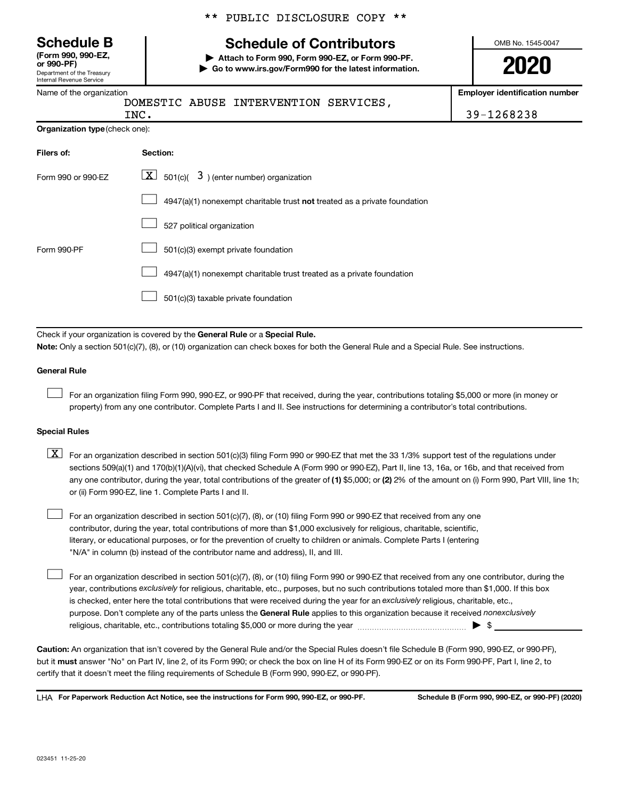Department of the Treasury Internal Revenue Service **(Form 990, 990-EZ,**

|  |  | ** PUBLIC DISCLOSURE COPY ** |  |  |
|--|--|------------------------------|--|--|
|--|--|------------------------------|--|--|

# **Schedule B Schedule of Contributors**

**or 990-PF) | Attach to Form 990, Form 990-EZ, or Form 990-PF. | Go to www.irs.gov/Form990 for the latest information.** OMB No. 1545-0047

**Employer identification number**

INC. 39-1268238

| Name of the organization |    |
|--------------------------|----|
|                          | DO |

MESTIC ABUSE INTERVENTION SERVICES,

| - -<br>$\ddot{\,}$<br>-- |
|--------------------------|
|                          |
|                          |

| <b>Organization type (check one):</b> |                                                                           |  |  |
|---------------------------------------|---------------------------------------------------------------------------|--|--|
| Filers of:                            | Section:                                                                  |  |  |
| Form 990 or 990-EZ                    | $\boxed{\textbf{X}}$ 501(c)( 3) (enter number) organization               |  |  |
|                                       | 4947(a)(1) nonexempt charitable trust not treated as a private foundation |  |  |

|  |  |  | 527 political organization |
|--|--|--|----------------------------|
|--|--|--|----------------------------|

|--|--|

4947(a)(1) nonexempt charitable trust treated as a private foundation  $\Box$ 

501(c)(3) taxable private foundation  $\Box$ 

Check if your organization is covered by the General Rule or a Special Rule.

**Note:**  Only a section 501(c)(7), (8), or (10) organization can check boxes for both the General Rule and a Special Rule. See instructions.

### **General Rule**

 $\Box$ 

 $\Box$ 

Form 990-PF

For an organization filing Form 990, 990-EZ, or 990-PF that received, during the year, contributions totaling \$5,000 or more (in money or property) from any one contributor. Complete Parts I and II. See instructions for determining a contributor's total contributions.

### **Special Rules**

- any one contributor, during the year, total contributions of the greater of (1) \$5,000; or (2) 2% of the amount on (i) Form 990, Part VIII, line 1h;  $\boxed{\text{X}}$  For an organization described in section 501(c)(3) filing Form 990 or 990-EZ that met the 33 1/3% support test of the regulations under sections 509(a)(1) and 170(b)(1)(A)(vi), that checked Schedule A (Form 990 or 990-EZ), Part II, line 13, 16a, or 16b, and that received from or (ii) Form 990-EZ, line 1. Complete Parts I and II.
- For an organization described in section 501(c)(7), (8), or (10) filing Form 990 or 990-EZ that received from any one contributor, during the year, total contributions of more than \$1,000 exclusively for religious, charitable, scientific, literary, or educational purposes, or for the prevention of cruelty to children or animals. Complete Parts I (entering "N/A" in column (b) instead of the contributor name and address), II, and III.  $\Box$

purpose. Don't complete any of the parts unless the General Rule applies to this organization because it received nonexclusively year, contributions exclusively for religious, charitable, etc., purposes, but no such contributions totaled more than \$1,000. If this box is checked, enter here the total contributions that were received during the year for an exclusively religious, charitable, etc., For an organization described in section 501(c)(7), (8), or (10) filing Form 990 or 990-EZ that received from any one contributor, during the religious, charitable, etc., contributions totaling \$5,000 or more during the year  $~\ldots\ldots\ldots\ldots\ldots\ldots\ldots\ldots\blacktriangleright~$ \$

**Caution:**  An organization that isn't covered by the General Rule and/or the Special Rules doesn't file Schedule B (Form 990, 990-EZ, or 990-PF),  **must** but it answer "No" on Part IV, line 2, of its Form 990; or check the box on line H of its Form 990-EZ or on its Form 990-PF, Part I, line 2, to certify that it doesn't meet the filing requirements of Schedule B (Form 990, 990-EZ, or 990-PF).

**For Paperwork Reduction Act Notice, see the instructions for Form 990, 990-EZ, or 990-PF. Schedule B (Form 990, 990-EZ, or 990-PF) (2020)** LHA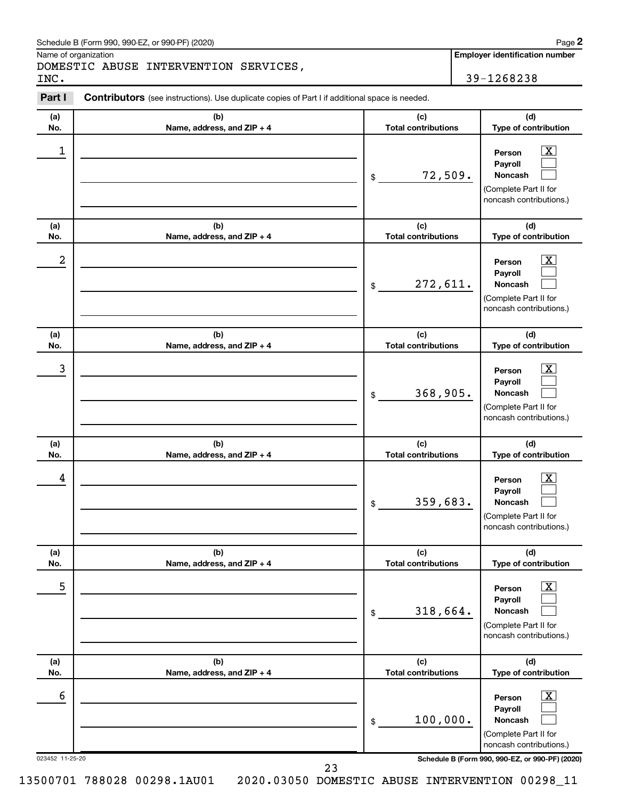#### Schedule B (Form 990, 990-EZ, or 990-PF) (2020)

Name of organization

DOMESTIC ABUSE INTERVENTION SERVICES, INC. 39-1268238

**Employer identification number**

**Part I** Contributors (see instructions). Use duplicate copies of Part I if additional space is needed.

| (a)<br>No.      | (b)<br>Name, address, and ZIP + 4 | (c)<br><b>Total contributions</b>            | (d)<br>Type of contribution                                                                                                       |
|-----------------|-----------------------------------|----------------------------------------------|-----------------------------------------------------------------------------------------------------------------------------------|
| 1               |                                   | 72,509.<br>\$                                | $\overline{\mathbf{X}}$<br>Person<br>Payroll<br>Noncash<br>(Complete Part II for<br>noncash contributions.)                       |
| (a)<br>No.      | (b)<br>Name, address, and ZIP + 4 | (c)<br><b>Total contributions</b>            | (d)<br>Type of contribution                                                                                                       |
| 2               |                                   | 272,611.<br>\$                               | $\overline{\mathbf{X}}$<br>Person<br>Payroll<br>Noncash<br>(Complete Part II for<br>noncash contributions.)                       |
| (a)<br>No.      | (b)<br>Name, address, and ZIP + 4 | (c)<br><b>Total contributions</b>            | (d)<br>Type of contribution                                                                                                       |
| 3               |                                   | 368,905.<br>\$                               | $\overline{\text{X}}$<br>Person<br>Payroll<br><b>Noncash</b><br>(Complete Part II for<br>noncash contributions.)                  |
| (a)             | (b)                               | (c)                                          | (d)                                                                                                                               |
| No.<br>4        | Name, address, and ZIP + 4        | <b>Total contributions</b><br>359,683.<br>\$ | Type of contribution<br>$\overline{\text{X}}$<br>Person<br>Payroll<br>Noncash<br>(Complete Part II for<br>noncash contributions.) |
| (a)<br>No.      | (b)<br>Name, address, and ZIP + 4 | (c)<br><b>Total contributions</b>            | (d)<br>Type of contribution                                                                                                       |
| 5               |                                   | 318,664.<br>\$                               | $\overline{\mathbf{x}}$<br>Person<br>Payroll<br>Noncash<br>(Complete Part II for<br>noncash contributions.)                       |
| (a)<br>No.      | (b)<br>Name, address, and ZIP + 4 | (c)<br><b>Total contributions</b>            | (d)<br>Type of contribution                                                                                                       |
| 6               |                                   | 100,000.<br>\$                               | $\overline{\mathbf{x}}$<br>Person<br>Payroll<br>Noncash<br>(Complete Part II for<br>noncash contributions.)                       |
| 023452 11-25-20 |                                   |                                              | Schedule B (Form 990, 990-EZ, or 990-PF) (2020)                                                                                   |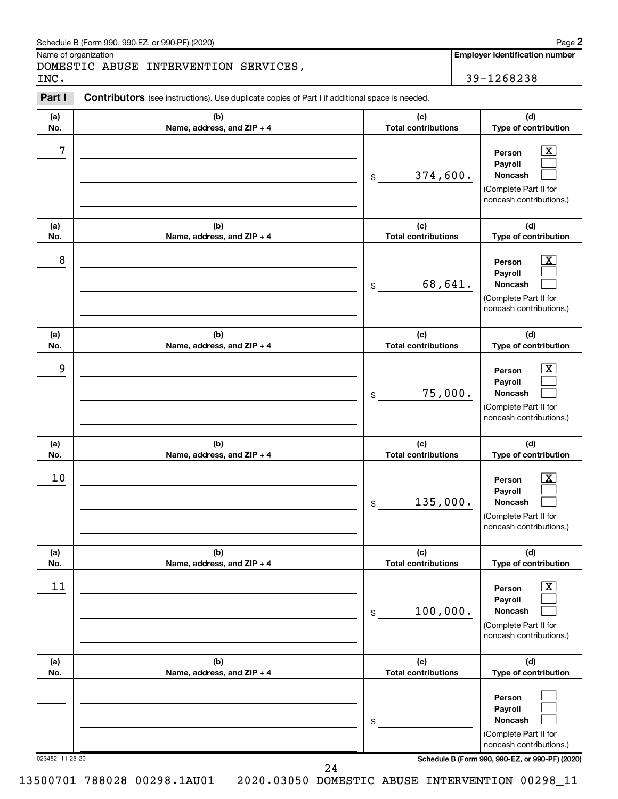#### Schedule B (Form 990, 990-EZ, or 990-PF) (2020)

Name of organization

DOMESTIC ABUSE INTERVENTION SERVICES, INC. 39-1268238

**Employer identification number**

**Part I** Contributors (see instructions). Use duplicate copies of Part I if additional space is needed.

| (b)<br>Name, address, and ZIP + 4 | (c)<br><b>Total contributions</b>                                                      | (d)<br>Type of contribution                                                                                 |
|-----------------------------------|----------------------------------------------------------------------------------------|-------------------------------------------------------------------------------------------------------------|
|                                   | 374,600.<br>\$                                                                         | $\overline{\mathbf{X}}$<br>Person<br>Payroll<br>Noncash<br>(Complete Part II for<br>noncash contributions.) |
| (b)<br>Name, address, and ZIP + 4 | (c)<br><b>Total contributions</b>                                                      | (d)<br>Type of contribution                                                                                 |
|                                   | 68,641.<br>\$                                                                          | $\overline{\mathbf{X}}$<br>Person<br>Payroll<br>Noncash<br>(Complete Part II for<br>noncash contributions.) |
| (b)                               | (c)<br><b>Total contributions</b>                                                      | (d)<br>Type of contribution                                                                                 |
|                                   | 75,000.<br>\$                                                                          | $\overline{\text{X}}$<br>Person<br>Payroll<br>Noncash<br>(Complete Part II for<br>noncash contributions.)   |
| (b)                               | (c)                                                                                    | (d)<br>Type of contribution                                                                                 |
|                                   | 135,000.<br>\$                                                                         | $\overline{\text{X}}$<br>Person<br>Payroll<br>Noncash<br>(Complete Part II for<br>noncash contributions.)   |
| (b)                               | (c)<br><b>Total contributions</b>                                                      | (d)<br>Type of contribution                                                                                 |
|                                   | 100,000.<br>\$                                                                         | $\overline{\text{X}}$<br>Person<br>Payroll<br>Noncash<br>(Complete Part II for<br>noncash contributions.)   |
| (b)<br>Name, address, and ZIP + 4 | (c)<br><b>Total contributions</b>                                                      | (d)<br>Type of contribution                                                                                 |
|                                   | \$                                                                                     | Person<br>Payroll<br>Noncash<br>(Complete Part II for                                                       |
|                                   | Name, address, and ZIP + 4<br>Name, address, and ZIP + 4<br>Name, address, and ZIP + 4 | <b>Total contributions</b>                                                                                  |

13500701 788028 00298.1AU01 2020.03050 DOMESTIC ABUSE INTERVENTION 00298\_11

24

**2**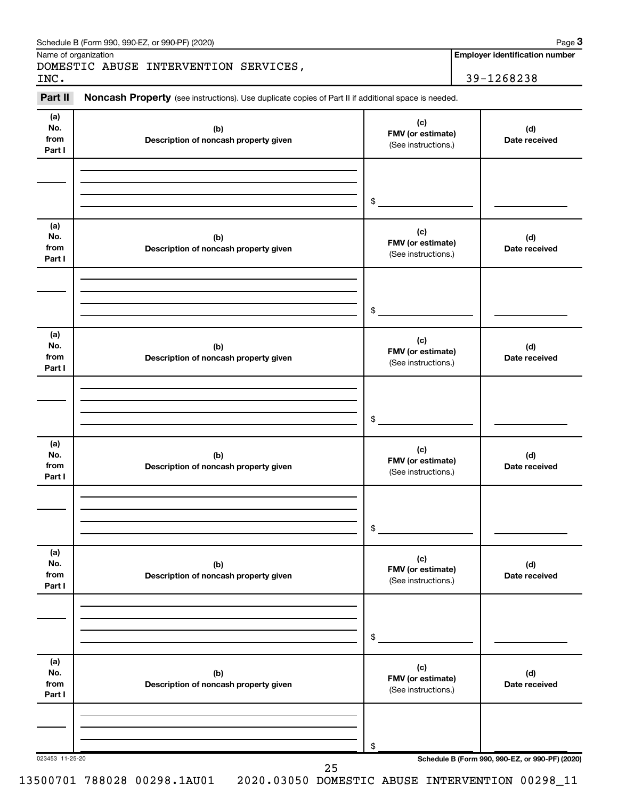|                              | Name of organization                                                                                |                                                 | <b>Employer identification number</b>           |
|------------------------------|-----------------------------------------------------------------------------------------------------|-------------------------------------------------|-------------------------------------------------|
| INC.                         | DOMESTIC ABUSE INTERVENTION SERVICES,                                                               |                                                 | 39-1268238                                      |
| Part II                      | Noncash Property (see instructions). Use duplicate copies of Part II if additional space is needed. |                                                 |                                                 |
| (a)<br>No.<br>from<br>Part I | (b)<br>Description of noncash property given                                                        | (c)<br>FMV (or estimate)<br>(See instructions.) | (d)<br>Date received                            |
|                              |                                                                                                     | \$                                              |                                                 |
| (a)<br>No.<br>from<br>Part I | (b)<br>Description of noncash property given                                                        | (c)<br>FMV (or estimate)<br>(See instructions.) | (d)<br>Date received                            |
|                              |                                                                                                     | \$                                              |                                                 |
| (a)<br>No.<br>from<br>Part I | (b)<br>Description of noncash property given                                                        | (c)<br>FMV (or estimate)<br>(See instructions.) | (d)<br>Date received                            |
|                              |                                                                                                     | \$                                              |                                                 |
| (a)<br>No.<br>from<br>Part I | (b)<br>Description of noncash property given                                                        | (c)<br>FMV (or estimate)<br>(See instructions.) | (d)<br>Date received                            |
|                              |                                                                                                     | \$                                              |                                                 |
| (a)<br>No.<br>from<br>Part I | (b)<br>Description of noncash property given                                                        | (c)<br>FMV (or estimate)<br>(See instructions.) | (d)<br>Date received                            |
|                              |                                                                                                     | \$                                              |                                                 |
| (a)<br>No.<br>from<br>Part I | (b)<br>Description of noncash property given                                                        | (c)<br>FMV (or estimate)<br>(See instructions.) | (d)<br>Date received                            |
|                              |                                                                                                     | \$                                              |                                                 |
| 023453 11-25-20              | 25                                                                                                  |                                                 | Schedule B (Form 990, 990-EZ, or 990-PF) (2020) |

Schedule B (Form 990, 990-EZ, or 990-PF) (2020)

**3**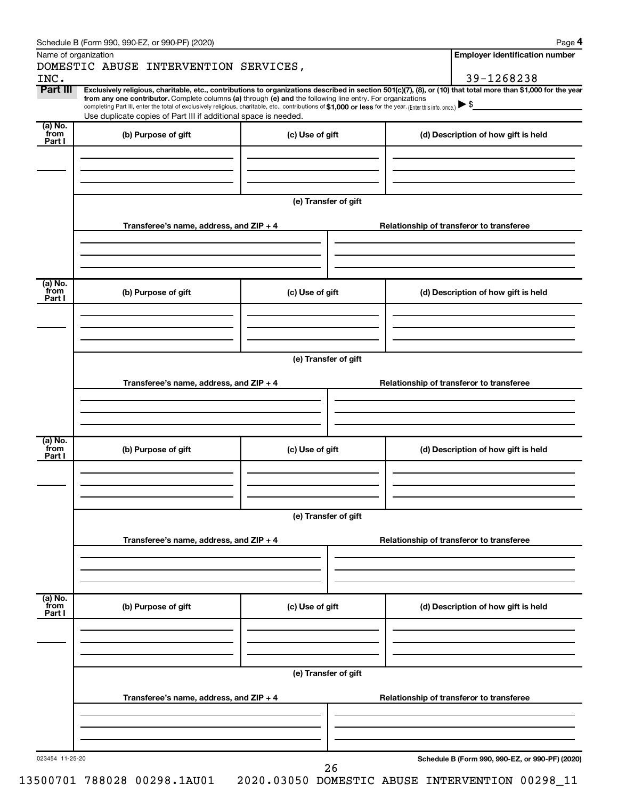|                           | Schedule B (Form 990, 990-EZ, or 990-PF) (2020)                                                                                                          |                      |                                                                                                                                                                | Page 4 |  |  |  |
|---------------------------|----------------------------------------------------------------------------------------------------------------------------------------------------------|----------------------|----------------------------------------------------------------------------------------------------------------------------------------------------------------|--------|--|--|--|
| Name of organization      |                                                                                                                                                          |                      | <b>Employer identification number</b>                                                                                                                          |        |  |  |  |
|                           | DOMESTIC ABUSE INTERVENTION SERVICES,                                                                                                                    |                      |                                                                                                                                                                |        |  |  |  |
| INC.<br>Part III          |                                                                                                                                                          |                      | 39-1268238                                                                                                                                                     |        |  |  |  |
|                           | from any one contributor. Complete columns (a) through (e) and the following line entry. For organizations                                               |                      | Exclusively religious, charitable, etc., contributions to organizations described in section 501(c)(7), (8), or (10) that total more than \$1,000 for the year |        |  |  |  |
|                           | completing Part III, enter the total of exclusively religious, charitable, etc., contributions of \$1,000 or less for the year. (Enter this info. once.) |                      |                                                                                                                                                                |        |  |  |  |
| $(a)$ No.                 | Use duplicate copies of Part III if additional space is needed.                                                                                          |                      |                                                                                                                                                                |        |  |  |  |
| from<br>Part I            | (b) Purpose of gift                                                                                                                                      | (c) Use of gift      | (d) Description of how gift is held                                                                                                                            |        |  |  |  |
|                           |                                                                                                                                                          |                      |                                                                                                                                                                |        |  |  |  |
|                           |                                                                                                                                                          |                      |                                                                                                                                                                |        |  |  |  |
|                           |                                                                                                                                                          |                      |                                                                                                                                                                |        |  |  |  |
|                           |                                                                                                                                                          |                      |                                                                                                                                                                |        |  |  |  |
|                           |                                                                                                                                                          | (e) Transfer of gift |                                                                                                                                                                |        |  |  |  |
|                           |                                                                                                                                                          |                      |                                                                                                                                                                |        |  |  |  |
|                           | Transferee's name, address, and ZIP + 4                                                                                                                  |                      | Relationship of transferor to transferee                                                                                                                       |        |  |  |  |
|                           |                                                                                                                                                          |                      |                                                                                                                                                                |        |  |  |  |
|                           |                                                                                                                                                          |                      |                                                                                                                                                                |        |  |  |  |
|                           |                                                                                                                                                          |                      |                                                                                                                                                                |        |  |  |  |
|                           |                                                                                                                                                          |                      |                                                                                                                                                                |        |  |  |  |
| (a) No.<br>from           | (b) Purpose of gift                                                                                                                                      | (c) Use of gift      | (d) Description of how gift is held                                                                                                                            |        |  |  |  |
| Part I                    |                                                                                                                                                          |                      |                                                                                                                                                                |        |  |  |  |
|                           |                                                                                                                                                          |                      |                                                                                                                                                                |        |  |  |  |
|                           |                                                                                                                                                          |                      |                                                                                                                                                                |        |  |  |  |
|                           |                                                                                                                                                          |                      |                                                                                                                                                                |        |  |  |  |
|                           |                                                                                                                                                          | (e) Transfer of gift |                                                                                                                                                                |        |  |  |  |
|                           |                                                                                                                                                          |                      |                                                                                                                                                                |        |  |  |  |
|                           | Transferee's name, address, and $ZIP + 4$                                                                                                                |                      | Relationship of transferor to transferee                                                                                                                       |        |  |  |  |
|                           |                                                                                                                                                          |                      |                                                                                                                                                                |        |  |  |  |
|                           |                                                                                                                                                          |                      |                                                                                                                                                                |        |  |  |  |
|                           |                                                                                                                                                          |                      |                                                                                                                                                                |        |  |  |  |
| (a) No.                   |                                                                                                                                                          |                      |                                                                                                                                                                |        |  |  |  |
| from                      | (b) Purpose of gift                                                                                                                                      | (c) Use of gift      | (d) Description of how gift is held                                                                                                                            |        |  |  |  |
| Part I                    |                                                                                                                                                          |                      |                                                                                                                                                                |        |  |  |  |
|                           |                                                                                                                                                          |                      |                                                                                                                                                                |        |  |  |  |
|                           |                                                                                                                                                          |                      |                                                                                                                                                                |        |  |  |  |
|                           |                                                                                                                                                          |                      |                                                                                                                                                                |        |  |  |  |
|                           | (e) Transfer of gift                                                                                                                                     |                      |                                                                                                                                                                |        |  |  |  |
|                           |                                                                                                                                                          |                      |                                                                                                                                                                |        |  |  |  |
|                           | Transferee's name, address, and ZIP + 4                                                                                                                  |                      | Relationship of transferor to transferee                                                                                                                       |        |  |  |  |
|                           |                                                                                                                                                          |                      |                                                                                                                                                                |        |  |  |  |
|                           |                                                                                                                                                          |                      |                                                                                                                                                                |        |  |  |  |
|                           |                                                                                                                                                          |                      |                                                                                                                                                                |        |  |  |  |
|                           |                                                                                                                                                          |                      |                                                                                                                                                                |        |  |  |  |
| (a) No.<br>from<br>Part I | (b) Purpose of gift                                                                                                                                      | (c) Use of gift      | (d) Description of how gift is held                                                                                                                            |        |  |  |  |
|                           |                                                                                                                                                          |                      |                                                                                                                                                                |        |  |  |  |
|                           |                                                                                                                                                          |                      |                                                                                                                                                                |        |  |  |  |
|                           |                                                                                                                                                          |                      |                                                                                                                                                                |        |  |  |  |
|                           |                                                                                                                                                          |                      |                                                                                                                                                                |        |  |  |  |
|                           | (e) Transfer of gift                                                                                                                                     |                      |                                                                                                                                                                |        |  |  |  |
|                           |                                                                                                                                                          |                      |                                                                                                                                                                |        |  |  |  |
|                           | Transferee's name, address, and ZIP + 4                                                                                                                  |                      | Relationship of transferor to transferee                                                                                                                       |        |  |  |  |
|                           |                                                                                                                                                          |                      |                                                                                                                                                                |        |  |  |  |
|                           |                                                                                                                                                          |                      |                                                                                                                                                                |        |  |  |  |
|                           |                                                                                                                                                          |                      |                                                                                                                                                                |        |  |  |  |
|                           |                                                                                                                                                          |                      |                                                                                                                                                                |        |  |  |  |
| 023454 11-25-20           |                                                                                                                                                          | 26                   | Schedule B (Form 990, 990-EZ, or 990-PF) (2020)                                                                                                                |        |  |  |  |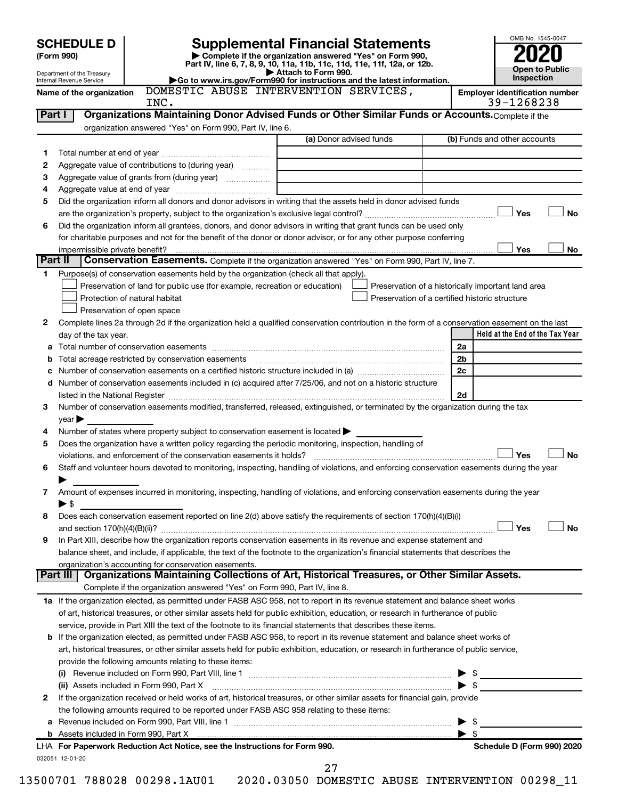|                                                                                                                    | <b>SCHEDULE D</b>                                      |                                                                                                   |                                                                                                                                                |  |                         | OMB No. 1545-0047                                   |           |
|--------------------------------------------------------------------------------------------------------------------|--------------------------------------------------------|---------------------------------------------------------------------------------------------------|------------------------------------------------------------------------------------------------------------------------------------------------|--|-------------------------|-----------------------------------------------------|-----------|
| <b>Supplemental Financial Statements</b><br>Complete if the organization answered "Yes" on Form 990,<br>(Form 990) |                                                        |                                                                                                   |                                                                                                                                                |  |                         |                                                     |           |
|                                                                                                                    |                                                        |                                                                                                   | Part IV, line 6, 7, 8, 9, 10, 11a, 11b, 11c, 11d, 11e, 11f, 12a, or 12b.<br>Attach to Form 990.                                                |  |                         | <b>Open to Public</b>                               |           |
|                                                                                                                    | Department of the Treasury<br>Internal Revenue Service |                                                                                                   | Inspection                                                                                                                                     |  |                         |                                                     |           |
|                                                                                                                    | Name of the organization                               | INC.                                                                                              | DOMESTIC ABUSE INTERVENTION SERVICES,                                                                                                          |  |                         | <b>Employer identification number</b><br>39-1268238 |           |
| Part I                                                                                                             |                                                        |                                                                                                   | Organizations Maintaining Donor Advised Funds or Other Similar Funds or Accounts. Complete if the                                              |  |                         |                                                     |           |
|                                                                                                                    |                                                        | organization answered "Yes" on Form 990, Part IV, line 6.                                         |                                                                                                                                                |  |                         |                                                     |           |
|                                                                                                                    |                                                        |                                                                                                   | (a) Donor advised funds                                                                                                                        |  |                         | (b) Funds and other accounts                        |           |
| 1                                                                                                                  |                                                        |                                                                                                   |                                                                                                                                                |  |                         |                                                     |           |
| 2                                                                                                                  |                                                        | Aggregate value of contributions to (during year)                                                 |                                                                                                                                                |  |                         |                                                     |           |
| З                                                                                                                  |                                                        |                                                                                                   | <u> 1989 - Johann Harry Barn, mars and de Branch and de Branch and de Branch and de Branch and de Branch and de B</u>                          |  |                         |                                                     |           |
| 4                                                                                                                  |                                                        |                                                                                                   |                                                                                                                                                |  |                         |                                                     |           |
| 5                                                                                                                  |                                                        |                                                                                                   | Did the organization inform all donors and donor advisors in writing that the assets held in donor advised funds                               |  |                         | Yes                                                 | No        |
| 6                                                                                                                  |                                                        |                                                                                                   | Did the organization inform all grantees, donors, and donor advisors in writing that grant funds can be used only                              |  |                         |                                                     |           |
|                                                                                                                    |                                                        |                                                                                                   | for charitable purposes and not for the benefit of the donor or donor advisor, or for any other purpose conferring                             |  |                         |                                                     |           |
|                                                                                                                    | impermissible private benefit?                         |                                                                                                   |                                                                                                                                                |  |                         | Yes                                                 | No        |
| Part II                                                                                                            |                                                        |                                                                                                   | Conservation Easements. Complete if the organization answered "Yes" on Form 990, Part IV, line 7.                                              |  |                         |                                                     |           |
| 1.                                                                                                                 |                                                        | Purpose(s) of conservation easements held by the organization (check all that apply).             |                                                                                                                                                |  |                         |                                                     |           |
|                                                                                                                    |                                                        | Preservation of land for public use (for example, recreation or education)                        | Preservation of a historically important land area                                                                                             |  |                         |                                                     |           |
|                                                                                                                    | Protection of natural habitat                          |                                                                                                   | Preservation of a certified historic structure                                                                                                 |  |                         |                                                     |           |
|                                                                                                                    | Preservation of open space                             |                                                                                                   |                                                                                                                                                |  |                         |                                                     |           |
| 2                                                                                                                  |                                                        |                                                                                                   | Complete lines 2a through 2d if the organization held a qualified conservation contribution in the form of a conservation easement on the last |  |                         |                                                     |           |
|                                                                                                                    | day of the tax year.                                   |                                                                                                   |                                                                                                                                                |  |                         | Held at the End of the Tax Year                     |           |
| а                                                                                                                  |                                                        |                                                                                                   |                                                                                                                                                |  | 2a                      |                                                     |           |
| b                                                                                                                  |                                                        |                                                                                                   |                                                                                                                                                |  | 2 <sub>b</sub>          |                                                     |           |
| с                                                                                                                  |                                                        |                                                                                                   | Number of conservation easements included in (c) acquired after 7/25/06, and not on a historic structure                                       |  | 2c                      |                                                     |           |
| d                                                                                                                  |                                                        |                                                                                                   |                                                                                                                                                |  | 2d                      |                                                     |           |
| 3                                                                                                                  |                                                        |                                                                                                   | Number of conservation easements modified, transferred, released, extinguished, or terminated by the organization during the tax               |  |                         |                                                     |           |
|                                                                                                                    | $\vee$ ear $\blacktriangleright$                       |                                                                                                   |                                                                                                                                                |  |                         |                                                     |           |
| 4                                                                                                                  |                                                        | Number of states where property subject to conservation easement is located $\blacktriangleright$ |                                                                                                                                                |  |                         |                                                     |           |
| 5                                                                                                                  |                                                        |                                                                                                   | Does the organization have a written policy regarding the periodic monitoring, inspection, handling of                                         |  |                         |                                                     |           |
|                                                                                                                    |                                                        | violations, and enforcement of the conservation easements it holds?                               |                                                                                                                                                |  |                         | Yes                                                 | <b>No</b> |
| 6                                                                                                                  |                                                        |                                                                                                   | Staff and volunteer hours devoted to monitoring, inspecting, handling of violations, and enforcing conservation easements during the year      |  |                         |                                                     |           |
|                                                                                                                    |                                                        |                                                                                                   |                                                                                                                                                |  |                         |                                                     |           |
| 7                                                                                                                  |                                                        |                                                                                                   | Amount of expenses incurred in monitoring, inspecting, handling of violations, and enforcing conservation easements during the year            |  |                         |                                                     |           |
|                                                                                                                    | $\blacktriangleright$ \$                               |                                                                                                   |                                                                                                                                                |  |                         |                                                     |           |
| 8                                                                                                                  |                                                        |                                                                                                   | Does each conservation easement reported on line 2(d) above satisfy the requirements of section 170(h)(4)(B)(i)                                |  |                         |                                                     |           |
|                                                                                                                    |                                                        |                                                                                                   |                                                                                                                                                |  |                         | Yes                                                 | No        |
| 9                                                                                                                  |                                                        |                                                                                                   | In Part XIII, describe how the organization reports conservation easements in its revenue and expense statement and                            |  |                         |                                                     |           |
|                                                                                                                    |                                                        |                                                                                                   | balance sheet, and include, if applicable, the text of the footnote to the organization's financial statements that describes the              |  |                         |                                                     |           |
|                                                                                                                    | Part III                                               | organization's accounting for conservation easements.                                             | Organizations Maintaining Collections of Art, Historical Treasures, or Other Similar Assets.                                                   |  |                         |                                                     |           |
|                                                                                                                    |                                                        | Complete if the organization answered "Yes" on Form 990, Part IV, line 8.                         |                                                                                                                                                |  |                         |                                                     |           |
|                                                                                                                    |                                                        |                                                                                                   | 1a If the organization elected, as permitted under FASB ASC 958, not to report in its revenue statement and balance sheet works                |  |                         |                                                     |           |
|                                                                                                                    |                                                        |                                                                                                   | of art, historical treasures, or other similar assets held for public exhibition, education, or research in furtherance of public              |  |                         |                                                     |           |
|                                                                                                                    |                                                        |                                                                                                   | service, provide in Part XIII the text of the footnote to its financial statements that describes these items.                                 |  |                         |                                                     |           |
|                                                                                                                    |                                                        |                                                                                                   | <b>b</b> If the organization elected, as permitted under FASB ASC 958, to report in its revenue statement and balance sheet works of           |  |                         |                                                     |           |
|                                                                                                                    |                                                        |                                                                                                   | art, historical treasures, or other similar assets held for public exhibition, education, or research in furtherance of public service,        |  |                         |                                                     |           |
|                                                                                                                    |                                                        | provide the following amounts relating to these items:                                            |                                                                                                                                                |  |                         |                                                     |           |
|                                                                                                                    |                                                        |                                                                                                   |                                                                                                                                                |  |                         |                                                     |           |
|                                                                                                                    | (ii) Assets included in Form 990, Part X               |                                                                                                   |                                                                                                                                                |  |                         | $\blacktriangleright$ \$                            |           |
| 2                                                                                                                  |                                                        |                                                                                                   | If the organization received or held works of art, historical treasures, or other similar assets for financial gain, provide                   |  |                         |                                                     |           |
|                                                                                                                    |                                                        | the following amounts required to be reported under FASB ASC 958 relating to these items:         |                                                                                                                                                |  |                         |                                                     |           |
| а                                                                                                                  |                                                        |                                                                                                   |                                                                                                                                                |  | - \$<br>▶               |                                                     |           |
|                                                                                                                    |                                                        |                                                                                                   |                                                                                                                                                |  | $\blacktriangleright$ s |                                                     |           |
|                                                                                                                    |                                                        | LHA For Paperwork Reduction Act Notice, see the Instructions for Form 990.                        |                                                                                                                                                |  |                         | Schedule D (Form 990) 2020                          |           |
|                                                                                                                    | 032051 12-01-20                                        |                                                                                                   | 27                                                                                                                                             |  |                         |                                                     |           |

| . . |  |
|-----|--|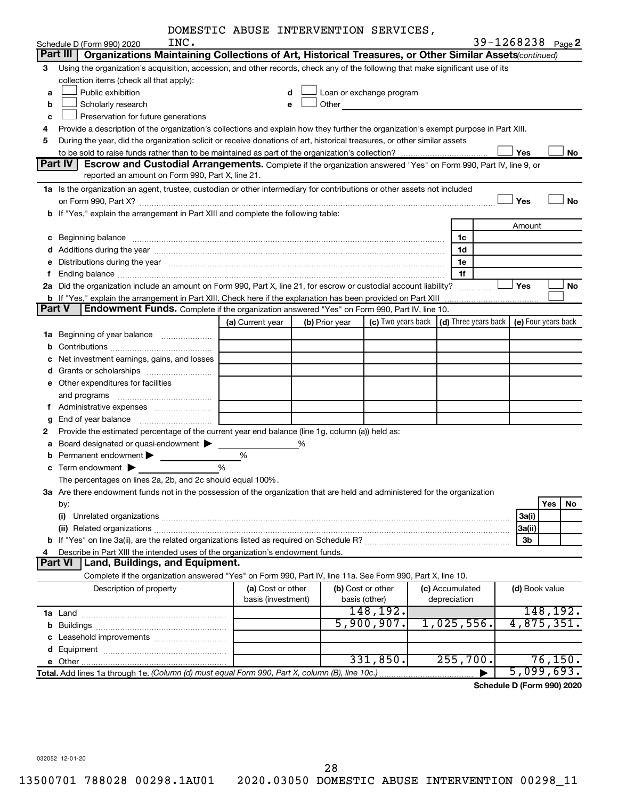|  |  | DOMESTIC ABUSE INTERVENTION SERVICES, |  |
|--|--|---------------------------------------|--|
|--|--|---------------------------------------|--|

|    | INC.                                                                                                                                                                                                                           |                    |   |                | DOMESIIC ABUSE INIERVENIION SERVICES, |  |                                                         |                | 39-1268238 Page 2   |  |
|----|--------------------------------------------------------------------------------------------------------------------------------------------------------------------------------------------------------------------------------|--------------------|---|----------------|---------------------------------------|--|---------------------------------------------------------|----------------|---------------------|--|
|    | Schedule D (Form 990) 2020<br>Part III   Organizations Maintaining Collections of Art, Historical Treasures, or Other Similar Assets (continued)                                                                               |                    |   |                |                                       |  |                                                         |                |                     |  |
| 3  | Using the organization's acquisition, accession, and other records, check any of the following that make significant use of its                                                                                                |                    |   |                |                                       |  |                                                         |                |                     |  |
|    | collection items (check all that apply):                                                                                                                                                                                       |                    |   |                |                                       |  |                                                         |                |                     |  |
| a  | Public exhibition                                                                                                                                                                                                              |                    |   |                |                                       |  |                                                         |                |                     |  |
| b  | Loan or exchange program<br>d<br>Scholarly research<br>Other<br>e                                                                                                                                                              |                    |   |                |                                       |  |                                                         |                |                     |  |
| c  | Preservation for future generations                                                                                                                                                                                            |                    |   |                |                                       |  |                                                         |                |                     |  |
| 4  | Provide a description of the organization's collections and explain how they further the organization's exempt purpose in Part XIII.                                                                                           |                    |   |                |                                       |  |                                                         |                |                     |  |
| 5  | During the year, did the organization solicit or receive donations of art, historical treasures, or other similar assets                                                                                                       |                    |   |                |                                       |  |                                                         |                |                     |  |
|    |                                                                                                                                                                                                                                |                    |   |                |                                       |  |                                                         | Yes            | No                  |  |
|    | Part IV<br>Escrow and Custodial Arrangements. Complete if the organization answered "Yes" on Form 990, Part IV, line 9, or                                                                                                     |                    |   |                |                                       |  |                                                         |                |                     |  |
|    | reported an amount on Form 990, Part X, line 21.                                                                                                                                                                               |                    |   |                |                                       |  |                                                         |                |                     |  |
|    | 1a Is the organization an agent, trustee, custodian or other intermediary for contributions or other assets not included                                                                                                       |                    |   |                |                                       |  |                                                         |                |                     |  |
|    |                                                                                                                                                                                                                                |                    |   |                |                                       |  |                                                         | Yes            | <b>No</b>           |  |
|    | b If "Yes," explain the arrangement in Part XIII and complete the following table:                                                                                                                                             |                    |   |                |                                       |  |                                                         |                |                     |  |
|    |                                                                                                                                                                                                                                |                    |   |                |                                       |  |                                                         | Amount         |                     |  |
|    | Beginning balance measurements and the contract measurement of the contract measurement of the contract measurement of the contract measurement of the contract measurement of the contract measurement of the contract measur |                    |   |                |                                       |  | 1c                                                      |                |                     |  |
|    |                                                                                                                                                                                                                                |                    |   |                |                                       |  | 1d                                                      |                |                     |  |
| е  | Distributions during the year manufactured and continuum control of the state of the control of the year manufactured and the year and the year and the year and the year and the state of the state of the state of the state |                    |   |                |                                       |  | 1е                                                      |                |                     |  |
| f  |                                                                                                                                                                                                                                |                    |   |                |                                       |  | 1f                                                      |                |                     |  |
|    | 2a Did the organization include an amount on Form 990, Part X, line 21, for escrow or custodial account liability?                                                                                                             |                    |   |                |                                       |  | .                                                       | Yes            | No                  |  |
|    |                                                                                                                                                                                                                                |                    |   |                |                                       |  |                                                         |                |                     |  |
|    | <b>Part V</b><br>Endowment Funds. Complete if the organization answered "Yes" on Form 990, Part IV, line 10.                                                                                                                   |                    |   |                |                                       |  |                                                         |                |                     |  |
|    |                                                                                                                                                                                                                                | (a) Current year   |   | (b) Prior year |                                       |  | (c) Two years back $\vert$ (d) Three years back $\vert$ |                | (e) Four years back |  |
| 1a | Beginning of year balance                                                                                                                                                                                                      |                    |   |                |                                       |  |                                                         |                |                     |  |
|    |                                                                                                                                                                                                                                |                    |   |                |                                       |  |                                                         |                |                     |  |
|    | Net investment earnings, gains, and losses                                                                                                                                                                                     |                    |   |                |                                       |  |                                                         |                |                     |  |
|    |                                                                                                                                                                                                                                |                    |   |                |                                       |  |                                                         |                |                     |  |
|    | <b>e</b> Other expenditures for facilities                                                                                                                                                                                     |                    |   |                |                                       |  |                                                         |                |                     |  |
|    | and programs                                                                                                                                                                                                                   |                    |   |                |                                       |  |                                                         |                |                     |  |
|    |                                                                                                                                                                                                                                |                    |   |                |                                       |  |                                                         |                |                     |  |
| g  |                                                                                                                                                                                                                                |                    |   |                |                                       |  |                                                         |                |                     |  |
| 2  | Provide the estimated percentage of the current year end balance (line 1g, column (a)) held as:                                                                                                                                |                    |   |                |                                       |  |                                                         |                |                     |  |
|    | Board designated or quasi-endowment                                                                                                                                                                                            |                    | % |                |                                       |  |                                                         |                |                     |  |
|    | Permanent endowment >                                                                                                                                                                                                          | %                  |   |                |                                       |  |                                                         |                |                     |  |
|    | Term endowment $\blacktriangleright$                                                                                                                                                                                           | %                  |   |                |                                       |  |                                                         |                |                     |  |
|    | The percentages on lines 2a, 2b, and 2c should equal 100%.                                                                                                                                                                     |                    |   |                |                                       |  |                                                         |                |                     |  |
|    | 3a Are there endowment funds not in the possession of the organization that are held and administered for the organization                                                                                                     |                    |   |                |                                       |  |                                                         |                |                     |  |
|    | by:                                                                                                                                                                                                                            |                    |   |                |                                       |  |                                                         |                | Yes<br>No           |  |
|    |                                                                                                                                                                                                                                |                    |   |                |                                       |  |                                                         | 3a(i)          |                     |  |
|    |                                                                                                                                                                                                                                |                    |   |                |                                       |  |                                                         | 3a(ii)         |                     |  |
| 4  | Describe in Part XIII the intended uses of the organization's endowment funds.                                                                                                                                                 |                    |   |                |                                       |  |                                                         | 3b             |                     |  |
|    | <b>Part VI</b><br>Land, Buildings, and Equipment.                                                                                                                                                                              |                    |   |                |                                       |  |                                                         |                |                     |  |
|    | Complete if the organization answered "Yes" on Form 990, Part IV, line 11a. See Form 990, Part X, line 10.                                                                                                                     |                    |   |                |                                       |  |                                                         |                |                     |  |
|    | Description of property                                                                                                                                                                                                        | (a) Cost or other  |   |                | (b) Cost or other                     |  | (c) Accumulated                                         | (d) Book value |                     |  |
|    |                                                                                                                                                                                                                                | basis (investment) |   |                | basis (other)                         |  | depreciation                                            |                |                     |  |
|    |                                                                                                                                                                                                                                |                    |   |                | 148,192.                              |  |                                                         |                | 148,192.            |  |
| b  |                                                                                                                                                                                                                                |                    |   |                | 5,900,907.                            |  | 1,025,556.                                              |                | 4,875,351.          |  |
|    |                                                                                                                                                                                                                                |                    |   |                |                                       |  |                                                         |                |                     |  |
|    |                                                                                                                                                                                                                                |                    |   |                |                                       |  |                                                         |                |                     |  |
|    |                                                                                                                                                                                                                                |                    |   |                | 331,850.                              |  | 255,700.                                                |                | 76, 150.            |  |
|    |                                                                                                                                                                                                                                |                    |   |                |                                       |  |                                                         |                | 5,099,693.          |  |

**Schedule D (Form 990) 2020**

032052 12-01-20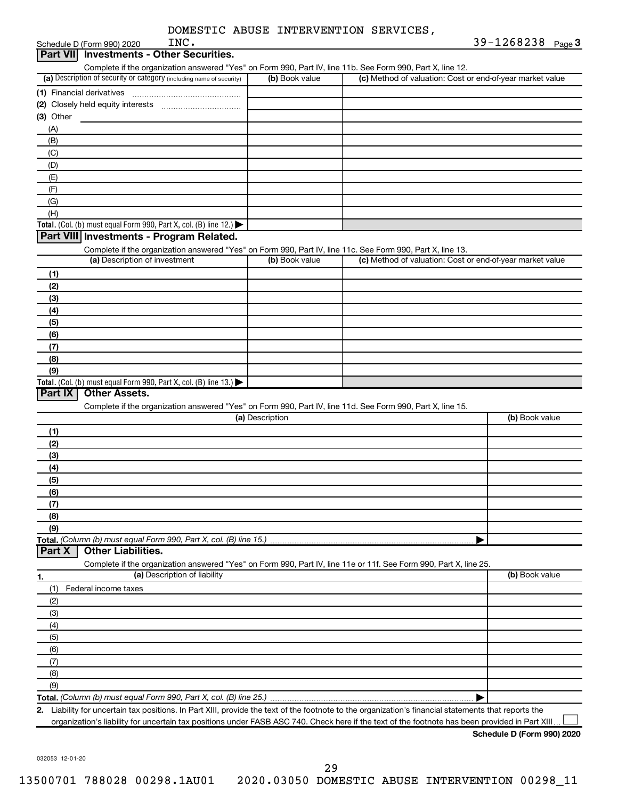| DOMESTIC ABUSE INTERVENTION SERVICES, |  |  |
|---------------------------------------|--|--|
|---------------------------------------|--|--|

Schedule D (Form 990) 2020  $P^2$ 

|                  | Schedule D (Form 990) 2020    | INC.                                                                 |                 |                |                                                                                                                   | $39 - 1268238$ Page 3 |  |
|------------------|-------------------------------|----------------------------------------------------------------------|-----------------|----------------|-------------------------------------------------------------------------------------------------------------------|-----------------------|--|
| <b>Part VIII</b> |                               | <b>Investments - Other Securities.</b>                               |                 |                |                                                                                                                   |                       |  |
|                  |                               |                                                                      |                 |                | Complete if the organization answered "Yes" on Form 990, Part IV, line 11b. See Form 990, Part X, line 12.        |                       |  |
|                  |                               | (a) Description of security or category (including name of security) |                 | (b) Book value | (c) Method of valuation: Cost or end-of-year market value                                                         |                       |  |
|                  | (1) Financial derivatives     |                                                                      |                 |                |                                                                                                                   |                       |  |
|                  |                               |                                                                      |                 |                |                                                                                                                   |                       |  |
| $(3)$ Other      |                               |                                                                      |                 |                |                                                                                                                   |                       |  |
| (A)              |                               |                                                                      |                 |                |                                                                                                                   |                       |  |
| (B)              |                               |                                                                      |                 |                |                                                                                                                   |                       |  |
| (C)              |                               |                                                                      |                 |                |                                                                                                                   |                       |  |
| (D)              |                               |                                                                      |                 |                |                                                                                                                   |                       |  |
|                  |                               |                                                                      |                 |                |                                                                                                                   |                       |  |
| (E)              |                               |                                                                      |                 |                |                                                                                                                   |                       |  |
| (F)              |                               |                                                                      |                 |                |                                                                                                                   |                       |  |
| (G)              |                               |                                                                      |                 |                |                                                                                                                   |                       |  |
| (H)              |                               |                                                                      |                 |                |                                                                                                                   |                       |  |
|                  |                               | Total. (Col. (b) must equal Form 990, Part X, col. (B) line 12.)     |                 |                |                                                                                                                   |                       |  |
|                  |                               | Part VIII Investments - Program Related.                             |                 |                |                                                                                                                   |                       |  |
|                  |                               |                                                                      |                 |                | Complete if the organization answered "Yes" on Form 990, Part IV, line 11c. See Form 990, Part X, line 13.        |                       |  |
|                  | (a) Description of investment |                                                                      |                 | (b) Book value | (c) Method of valuation: Cost or end-of-year market value                                                         |                       |  |
| (1)              |                               |                                                                      |                 |                |                                                                                                                   |                       |  |
| (2)              |                               |                                                                      |                 |                |                                                                                                                   |                       |  |
| (3)              |                               |                                                                      |                 |                |                                                                                                                   |                       |  |
| (4)              |                               |                                                                      |                 |                |                                                                                                                   |                       |  |
| (5)              |                               |                                                                      |                 |                |                                                                                                                   |                       |  |
| (6)              |                               |                                                                      |                 |                |                                                                                                                   |                       |  |
| (7)              |                               |                                                                      |                 |                |                                                                                                                   |                       |  |
| (8)              |                               |                                                                      |                 |                |                                                                                                                   |                       |  |
| (9)              |                               |                                                                      |                 |                |                                                                                                                   |                       |  |
|                  |                               | Total. (Col. (b) must equal Form 990, Part X, col. (B) line 13.)     |                 |                |                                                                                                                   |                       |  |
| Part IX          | <b>Other Assets.</b>          |                                                                      |                 |                |                                                                                                                   |                       |  |
|                  |                               |                                                                      |                 |                | Complete if the organization answered "Yes" on Form 990, Part IV, line 11d. See Form 990, Part X, line 15.        |                       |  |
|                  |                               |                                                                      | (a) Description |                |                                                                                                                   | (b) Book value        |  |
| (1)              |                               |                                                                      |                 |                |                                                                                                                   |                       |  |
| (2)              |                               |                                                                      |                 |                |                                                                                                                   |                       |  |
| (3)              |                               |                                                                      |                 |                |                                                                                                                   |                       |  |
| (4)              |                               |                                                                      |                 |                |                                                                                                                   |                       |  |
| (5)              |                               |                                                                      |                 |                |                                                                                                                   |                       |  |
| (6)              |                               |                                                                      |                 |                |                                                                                                                   |                       |  |
| (7)              |                               |                                                                      |                 |                |                                                                                                                   |                       |  |
| (8)              |                               |                                                                      |                 |                |                                                                                                                   |                       |  |
| (9)              |                               |                                                                      |                 |                |                                                                                                                   |                       |  |
|                  |                               | Total. (Column (b) must equal Form 990, Part X, col. (B) line 15.)   |                 |                |                                                                                                                   |                       |  |
| Part X           | <b>Other Liabilities.</b>     |                                                                      |                 |                |                                                                                                                   |                       |  |
|                  |                               |                                                                      |                 |                | Complete if the organization answered "Yes" on Form 990, Part IV, line 11e or 11f. See Form 990, Part X, line 25. |                       |  |
| 1.               |                               | (a) Description of liability                                         |                 |                |                                                                                                                   | (b) Book value        |  |
| (1)              | Federal income taxes          |                                                                      |                 |                |                                                                                                                   |                       |  |
| (2)              |                               |                                                                      |                 |                |                                                                                                                   |                       |  |
| (3)              |                               |                                                                      |                 |                |                                                                                                                   |                       |  |
| (4)              |                               |                                                                      |                 |                |                                                                                                                   |                       |  |
| (5)              |                               |                                                                      |                 |                |                                                                                                                   |                       |  |
|                  |                               |                                                                      |                 |                |                                                                                                                   |                       |  |
| (6)              |                               |                                                                      |                 |                |                                                                                                                   |                       |  |
| (7)              |                               |                                                                      |                 |                |                                                                                                                   |                       |  |
| (8)              |                               |                                                                      |                 |                |                                                                                                                   |                       |  |
| (9)              |                               |                                                                      |                 |                |                                                                                                                   |                       |  |
|                  |                               | Total. (Column (b) must equal Form 990, Part X, col. (B) line 25.)   |                 |                |                                                                                                                   |                       |  |

**2.** Liability for uncertain tax positions. In Part XIII, provide the text of the footnote to the organization's financial statements that reports the organization's liability for uncertain tax positions under FASB ASC 740. Check here if the text of the footnote has been provided in Part XIII  $\perp$ 

**Schedule D (Form 990) 2020**

032053 12-01-20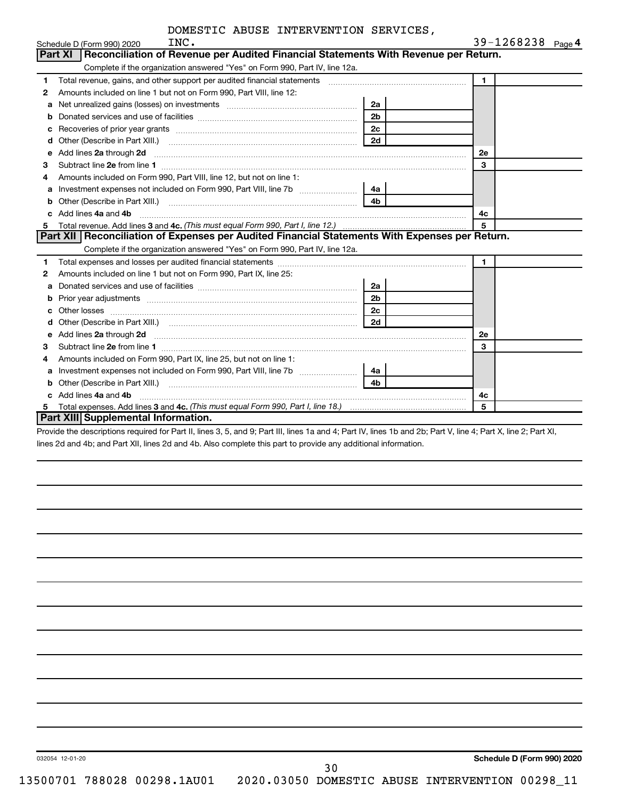|              | INC.<br>Schedule D (Form 990) 2020                                                                                                                                                                                                  |                | 39-1268238 Page 4 |  |
|--------------|-------------------------------------------------------------------------------------------------------------------------------------------------------------------------------------------------------------------------------------|----------------|-------------------|--|
|              | Reconciliation of Revenue per Audited Financial Statements With Revenue per Return.<br><b>Part XI</b>                                                                                                                               |                |                   |  |
|              | Complete if the organization answered "Yes" on Form 990, Part IV, line 12a.                                                                                                                                                         |                |                   |  |
| 1            | Total revenue, gains, and other support per audited financial statements [111] [11] Total revenue, gains, and other support per audited financial statements                                                                        |                | $\mathbf{1}$      |  |
| 2            | Amounts included on line 1 but not on Form 990, Part VIII, line 12:                                                                                                                                                                 |                |                   |  |
| a            | Net unrealized gains (losses) on investments [111] [12] matter contracts and a set of the set of the set of the                                                                                                                     | 2a             |                   |  |
| b            |                                                                                                                                                                                                                                     | 2 <sub>b</sub> |                   |  |
| c            |                                                                                                                                                                                                                                     | 2 <sub>c</sub> |                   |  |
| d            |                                                                                                                                                                                                                                     | 2d             |                   |  |
| e            | Add lines 2a through 2d                                                                                                                                                                                                             |                | 2е                |  |
| 3            |                                                                                                                                                                                                                                     |                | 3                 |  |
| 4            | Amounts included on Form 990, Part VIII, line 12, but not on line 1:                                                                                                                                                                |                |                   |  |
| a            |                                                                                                                                                                                                                                     | 4a             |                   |  |
| b            |                                                                                                                                                                                                                                     | 4 <sub>b</sub> |                   |  |
| $\mathbf{c}$ | Add lines 4a and 4b                                                                                                                                                                                                                 | 4c             |                   |  |
| 5            |                                                                                                                                                                                                                                     | 5              |                   |  |
|              | Part XII   Reconciliation of Expenses per Audited Financial Statements With Expenses per Return.                                                                                                                                    |                |                   |  |
|              | Complete if the organization answered "Yes" on Form 990, Part IV, line 12a.                                                                                                                                                         |                |                   |  |
| 1            |                                                                                                                                                                                                                                     |                | 1.                |  |
| 2            | Amounts included on line 1 but not on Form 990, Part IX, line 25:                                                                                                                                                                   |                |                   |  |
| a            |                                                                                                                                                                                                                                     | 2a             |                   |  |
| b            |                                                                                                                                                                                                                                     | 2 <sub>b</sub> |                   |  |
| с            |                                                                                                                                                                                                                                     | 2 <sub>c</sub> |                   |  |
| d            |                                                                                                                                                                                                                                     | 2d             |                   |  |
| е            | Add lines 2a through 2d <b>[10]</b> University of the state of the state of the state of the state of the state of the state of the state of the state of the state of the state of the state of the state of the state of the stat |                | <b>2e</b>         |  |
| З            |                                                                                                                                                                                                                                     |                | 3                 |  |
| 4            | Amounts included on Form 990, Part IX, line 25, but not on line 1:                                                                                                                                                                  |                |                   |  |
| а            |                                                                                                                                                                                                                                     | 4a l           |                   |  |
| b            |                                                                                                                                                                                                                                     | 4 <sub>b</sub> |                   |  |
|              | c Add lines 4a and 4b                                                                                                                                                                                                               |                | 4с                |  |
| 5            |                                                                                                                                                                                                                                     |                | 5                 |  |
|              | <b>Part XIII Supplemental Information.</b>                                                                                                                                                                                          |                |                   |  |

Provide the descriptions required for Part II, lines 3, 5, and 9; Part III, lines 1a and 4; Part IV, lines 1b and 2b; Part V, line 4; Part X, line 2; Part XI, lines 2d and 4b; and Part XII, lines 2d and 4b. Also complete this part to provide any additional information.

032054 12-01-20

**Schedule D (Form 990) 2020**

30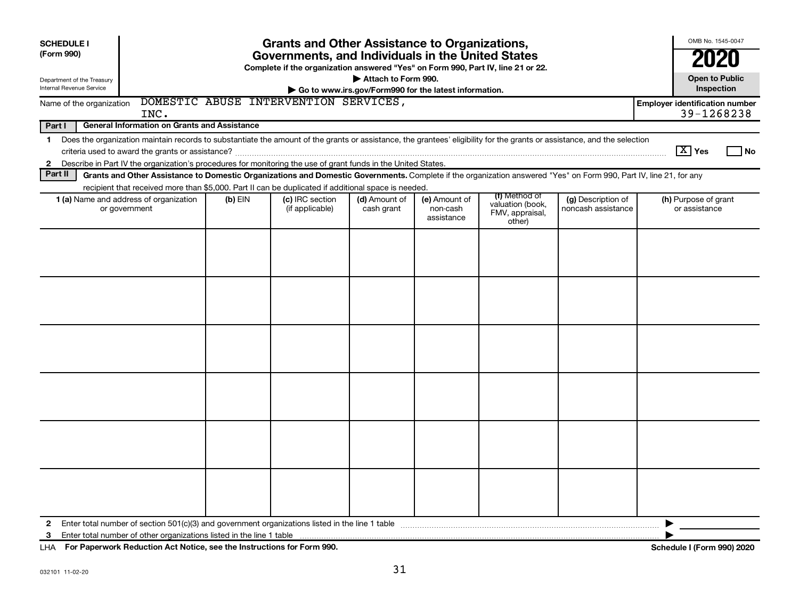| <b>SCHEDULE I</b><br>(Form 990)<br>Department of the Treasury                                                                    | <b>Grants and Other Assistance to Organizations,</b><br>Governments, and Individuals in the United States<br>Complete if the organization answered "Yes" on Form 990, Part IV, line 21 or 22.<br>Attach to Form 990.                                                                      |           |                                    |                                                       |                                         |                                                                |                                          |   |                                       |                             |  |  |
|----------------------------------------------------------------------------------------------------------------------------------|-------------------------------------------------------------------------------------------------------------------------------------------------------------------------------------------------------------------------------------------------------------------------------------------|-----------|------------------------------------|-------------------------------------------------------|-----------------------------------------|----------------------------------------------------------------|------------------------------------------|---|---------------------------------------|-----------------------------|--|--|
| Internal Revenue Service                                                                                                         |                                                                                                                                                                                                                                                                                           |           |                                    | Go to www.irs.gov/Form990 for the latest information. |                                         |                                                                |                                          |   | Inspection                            |                             |  |  |
| DOMESTIC ABUSE INTERVENTION SERVICES,<br><b>Employer identification number</b><br>Name of the organization<br>39-1268238<br>INC. |                                                                                                                                                                                                                                                                                           |           |                                    |                                                       |                                         |                                                                |                                          |   |                                       |                             |  |  |
| Part I                                                                                                                           | <b>General Information on Grants and Assistance</b>                                                                                                                                                                                                                                       |           |                                    |                                                       |                                         |                                                                |                                          |   |                                       |                             |  |  |
| 1<br>$\mathbf{2}$                                                                                                                | Does the organization maintain records to substantiate the amount of the grants or assistance, the grantees' eligibility for the grants or assistance, and the selection<br>Describe in Part IV the organization's procedures for monitoring the use of grant funds in the United States. |           |                                    |                                                       |                                         |                                                                |                                          |   | $\boxed{\text{X}}$ Yes                | $\overline{\phantom{a}}$ No |  |  |
| Part II                                                                                                                          | Grants and Other Assistance to Domestic Organizations and Domestic Governments. Complete if the organization answered "Yes" on Form 990, Part IV, line 21, for any                                                                                                                        |           |                                    |                                                       |                                         |                                                                |                                          |   |                                       |                             |  |  |
|                                                                                                                                  | recipient that received more than \$5,000. Part II can be duplicated if additional space is needed.                                                                                                                                                                                       |           |                                    |                                                       |                                         |                                                                |                                          |   |                                       |                             |  |  |
|                                                                                                                                  | 1 (a) Name and address of organization<br>or government                                                                                                                                                                                                                                   | $(b)$ EIN | (c) IRC section<br>(if applicable) | (d) Amount of<br>cash grant                           | (e) Amount of<br>non-cash<br>assistance | (f) Method of<br>valuation (book,<br>FMV, appraisal,<br>other) | (g) Description of<br>noncash assistance |   | (h) Purpose of grant<br>or assistance |                             |  |  |
|                                                                                                                                  |                                                                                                                                                                                                                                                                                           |           |                                    |                                                       |                                         |                                                                |                                          |   |                                       |                             |  |  |
|                                                                                                                                  |                                                                                                                                                                                                                                                                                           |           |                                    |                                                       |                                         |                                                                |                                          |   |                                       |                             |  |  |
|                                                                                                                                  |                                                                                                                                                                                                                                                                                           |           |                                    |                                                       |                                         |                                                                |                                          |   |                                       |                             |  |  |
|                                                                                                                                  |                                                                                                                                                                                                                                                                                           |           |                                    |                                                       |                                         |                                                                |                                          |   |                                       |                             |  |  |
| $\mathbf{2}$<br>3                                                                                                                | Enter total number of section 501(c)(3) and government organizations listed in the line 1 table manufable manufactured in the manufactured in the line 1 table                                                                                                                            |           |                                    |                                                       |                                         |                                                                |                                          | ▶ |                                       |                             |  |  |

**For Paperwork Reduction Act Notice, see the Instructions for Form 990. Schedule I (Form 990) 2020** LHA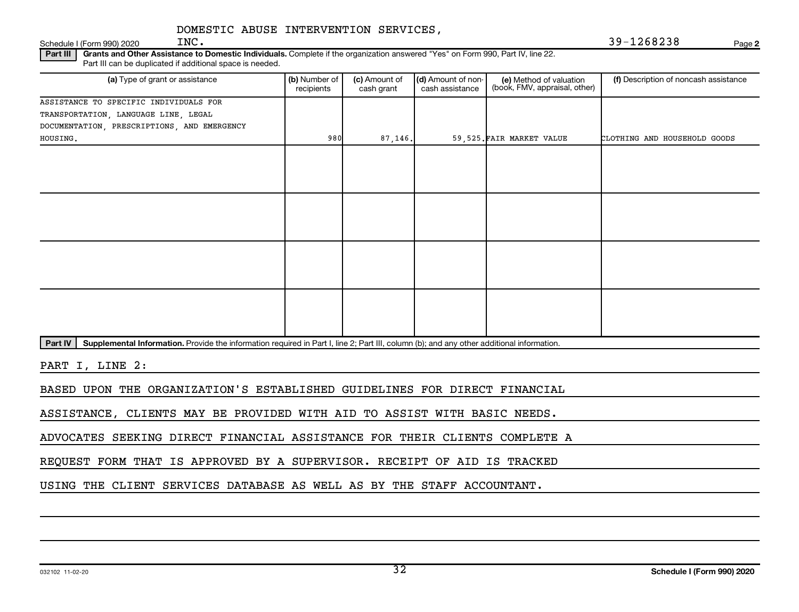### Schedule I (Form 990) 2020  $INC$ . DOMESTIC ABUSE INTERVENTION SERVICES,

INC. 39-1268238

**2**

Part III | Grants and Other Assistance to Domestic Individuals. Complete if the organization answered "Yes" on Form 990, Part IV, line 22. Part III can be duplicated if additional space is needed.

| (a) Type of grant or assistance             | (b) Number of<br>recipients | (c) Amount of<br>cash grant | (d) Amount of non-<br>cash assistance | (e) Method of valuation<br>(book, FMV, appraisal, other) | (f) Description of noncash assistance |
|---------------------------------------------|-----------------------------|-----------------------------|---------------------------------------|----------------------------------------------------------|---------------------------------------|
| ASSISTANCE TO SPECIFIC INDIVIDUALS FOR      |                             |                             |                                       |                                                          |                                       |
| TRANSPORTATION, LANGUAGE LINE, LEGAL        |                             |                             |                                       |                                                          |                                       |
| DOCUMENTATION, PRESCRIPTIONS, AND EMERGENCY |                             |                             |                                       |                                                          |                                       |
| HOUSING.                                    | 980                         | 87, 146.                    |                                       | 59,525. FAIR MARKET VALUE                                | CLOTHING AND HOUSEHOLD GOODS          |
|                                             |                             |                             |                                       |                                                          |                                       |
|                                             |                             |                             |                                       |                                                          |                                       |
|                                             |                             |                             |                                       |                                                          |                                       |
|                                             |                             |                             |                                       |                                                          |                                       |
|                                             |                             |                             |                                       |                                                          |                                       |
|                                             |                             |                             |                                       |                                                          |                                       |
|                                             |                             |                             |                                       |                                                          |                                       |
|                                             |                             |                             |                                       |                                                          |                                       |
|                                             |                             |                             |                                       |                                                          |                                       |
|                                             |                             |                             |                                       |                                                          |                                       |
|                                             |                             |                             |                                       |                                                          |                                       |

Part IV | Supplemental Information. Provide the information required in Part I, line 2; Part III, column (b); and any other additional information.

PART I, LINE 2:

BASED UPON THE ORGANIZATION'S ESTABLISHED GUIDELINES FOR DIRECT FINANCIAL

ASSISTANCE, CLIENTS MAY BE PROVIDED WITH AID TO ASSIST WITH BASIC NEEDS.

ADVOCATES SEEKING DIRECT FINANCIAL ASSISTANCE FOR THEIR CLIENTS COMPLETE A

REQUEST FORM THAT IS APPROVED BY A SUPERVISOR. RECEIPT OF AID IS TRACKED

USING THE CLIENT SERVICES DATABASE AS WELL AS BY THE STAFF ACCOUNTANT.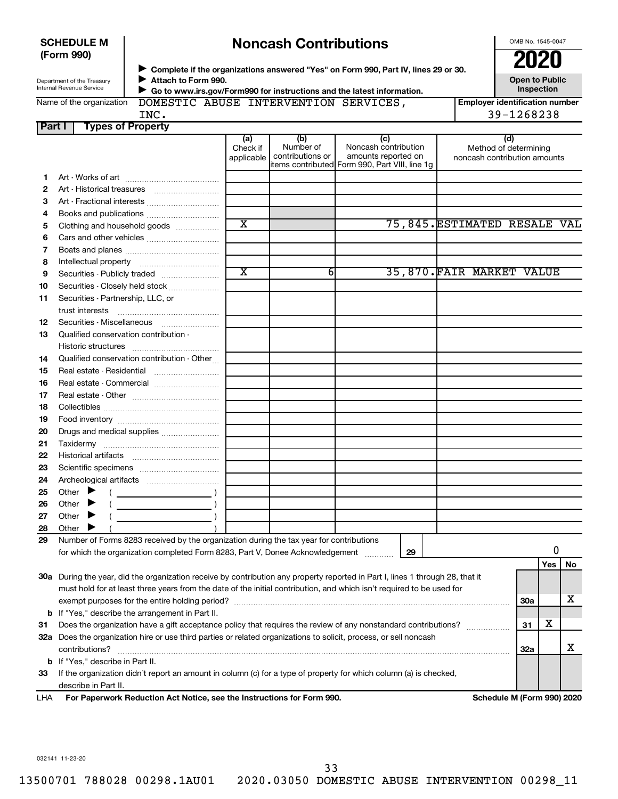| <b>SCHEDULE M</b> |  |
|-------------------|--|
| (Form 990)        |  |

# **Noncash Contributions**

OMB No. 1545-0047

| (Form 990)                 |                                                                                    | 2020              |
|----------------------------|------------------------------------------------------------------------------------|-------------------|
|                            | Complete if the organizations answered "Yes" on Form 990, Part IV, lines 29 or 30. |                   |
| Department of the Treasury | Attach to Form 990.                                                                | Open to Publi     |
| Internal Revenue Service   | Go to www.irs.gov/Form990 for instructions and the latest information.             | <b>Inspection</b> |

**Open to Public Inspection**

| Name of the organization |  |  |  |
|--------------------------|--|--|--|
|                          |  |  |  |

**Form990 for instructions and the latest information.** 

DOMESTIC ABUSE INTERVENTION SERVICES,

**Employer identification number** INC. 39-1268238

| Part I | <b>Types of Property</b>                                                                                                                  |                               |                                      |                                                                                                      |                                                              |            |     |    |
|--------|-------------------------------------------------------------------------------------------------------------------------------------------|-------------------------------|--------------------------------------|------------------------------------------------------------------------------------------------------|--------------------------------------------------------------|------------|-----|----|
|        |                                                                                                                                           | (a)<br>Check if<br>applicable | (b)<br>Number of<br>contributions or | (c)<br>Noncash contribution<br>amounts reported on<br>items contributed Form 990, Part VIII, line 1g | (d)<br>Method of determining<br>noncash contribution amounts |            |     |    |
| 1.     |                                                                                                                                           |                               |                                      |                                                                                                      |                                                              |            |     |    |
| 2      |                                                                                                                                           |                               |                                      |                                                                                                      |                                                              |            |     |    |
| 3      | Art - Fractional interests                                                                                                                |                               |                                      |                                                                                                      |                                                              |            |     |    |
| 4      | Books and publications                                                                                                                    |                               |                                      |                                                                                                      |                                                              |            |     |    |
| 5      | Clothing and household goods                                                                                                              | $\overline{\text{x}}$         |                                      |                                                                                                      | 75,845. ESTIMATED RESALE VAL                                 |            |     |    |
| 6      | Cars and other vehicles                                                                                                                   |                               |                                      |                                                                                                      |                                                              |            |     |    |
| 7      |                                                                                                                                           |                               |                                      |                                                                                                      |                                                              |            |     |    |
| 8      |                                                                                                                                           |                               |                                      |                                                                                                      |                                                              |            |     |    |
| 9      | Securities - Publicly traded                                                                                                              | $\overline{\text{x}}$         | 6                                    |                                                                                                      | 35,870.FAIR MARKET VALUE                                     |            |     |    |
| 10     | Securities - Closely held stock                                                                                                           |                               |                                      |                                                                                                      |                                                              |            |     |    |
| 11     | Securities - Partnership, LLC, or<br>trust interests                                                                                      |                               |                                      |                                                                                                      |                                                              |            |     |    |
| 12     |                                                                                                                                           |                               |                                      |                                                                                                      |                                                              |            |     |    |
| 13     | Qualified conservation contribution -                                                                                                     |                               |                                      |                                                                                                      |                                                              |            |     |    |
| 14     | Qualified conservation contribution - Other                                                                                               |                               |                                      |                                                                                                      |                                                              |            |     |    |
| 15     | Real estate - Residential                                                                                                                 |                               |                                      |                                                                                                      |                                                              |            |     |    |
| 16     | Real estate - Commercial                                                                                                                  |                               |                                      |                                                                                                      |                                                              |            |     |    |
| 17     |                                                                                                                                           |                               |                                      |                                                                                                      |                                                              |            |     |    |
| 18     |                                                                                                                                           |                               |                                      |                                                                                                      |                                                              |            |     |    |
| 19     |                                                                                                                                           |                               |                                      |                                                                                                      |                                                              |            |     |    |
| 20     | Drugs and medical supplies                                                                                                                |                               |                                      |                                                                                                      |                                                              |            |     |    |
| 21     |                                                                                                                                           |                               |                                      |                                                                                                      |                                                              |            |     |    |
| 22     |                                                                                                                                           |                               |                                      |                                                                                                      |                                                              |            |     |    |
| 23     |                                                                                                                                           |                               |                                      |                                                                                                      |                                                              |            |     |    |
| 24     |                                                                                                                                           |                               |                                      |                                                                                                      |                                                              |            |     |    |
| 25     | Other $\blacktriangleright$                                                                                                               |                               |                                      |                                                                                                      |                                                              |            |     |    |
| 26     | Other $\blacktriangleright$                                                                                                               |                               |                                      |                                                                                                      |                                                              |            |     |    |
| 27     | Other $\blacktriangleright$                                                                                                               |                               |                                      |                                                                                                      |                                                              |            |     |    |
| 28     | Other $\blacktriangleright$                                                                                                               |                               |                                      |                                                                                                      |                                                              |            |     |    |
| 29     | Number of Forms 8283 received by the organization during the tax year for contributions                                                   |                               |                                      |                                                                                                      |                                                              |            |     |    |
|        | for which the organization completed Form 8283, Part V, Donee Acknowledgement                                                             |                               |                                      | 29                                                                                                   |                                                              |            | 0   |    |
|        |                                                                                                                                           |                               |                                      |                                                                                                      |                                                              |            | Yes | No |
|        | 30a During the year, did the organization receive by contribution any property reported in Part I, lines 1 through 28, that it            |                               |                                      |                                                                                                      |                                                              |            |     |    |
|        | must hold for at least three years from the date of the initial contribution, and which isn't required to be used for                     |                               |                                      |                                                                                                      |                                                              |            |     |    |
|        |                                                                                                                                           |                               |                                      |                                                                                                      |                                                              | <b>30a</b> |     | x  |
|        | <b>b</b> If "Yes," describe the arrangement in Part II.                                                                                   |                               |                                      |                                                                                                      |                                                              |            |     |    |
| 31     | Does the organization have a gift acceptance policy that requires the review of any nonstandard contributions?                            |                               |                                      |                                                                                                      |                                                              | 31         | х   |    |
|        | 32a Does the organization hire or use third parties or related organizations to solicit, process, or sell noncash<br>contributions?       |                               |                                      |                                                                                                      |                                                              | 32a        |     | х  |
|        | <b>b</b> If "Yes," describe in Part II.                                                                                                   |                               |                                      |                                                                                                      |                                                              |            |     |    |
| 33     | If the organization didn't report an amount in column (c) for a type of property for which column (a) is checked,<br>describe in Part II. |                               |                                      |                                                                                                      |                                                              |            |     |    |
| ∣⊔∧    | For Department: Deduction Act Notice, nee the Instructions for Form 000                                                                   |                               |                                      |                                                                                                      | Schodule M (Form 000) 2020                                   |            |     |    |

032141 11-23-20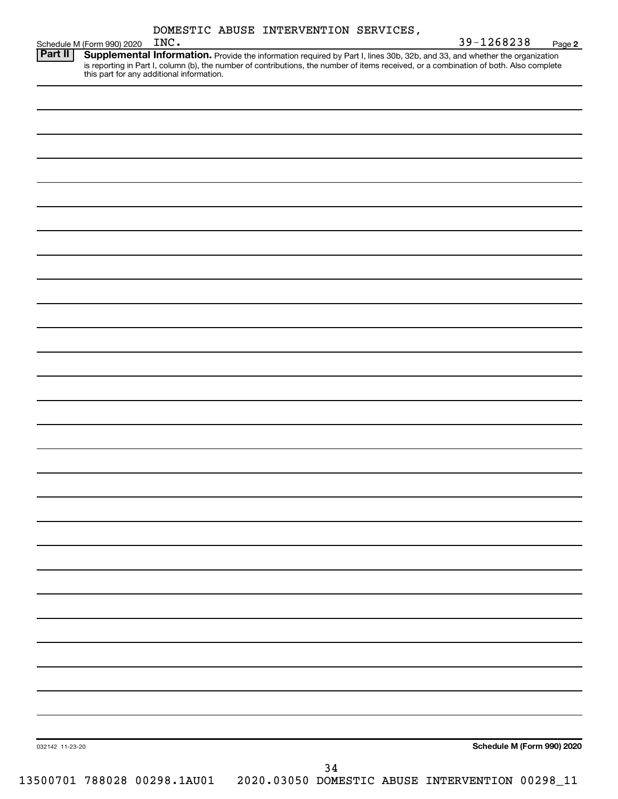| DOMESTIC ABUSE INTERVENTION SERVICES, |  |  |  |
|---------------------------------------|--|--|--|
|---------------------------------------|--|--|--|

|                 | Schedule M (Form 990) 2020 | INC. |    | 39-1268238                                                                                                                                                                                                                                                                                                     | Page 2 |
|-----------------|----------------------------|------|----|----------------------------------------------------------------------------------------------------------------------------------------------------------------------------------------------------------------------------------------------------------------------------------------------------------------|--------|
| Part II         |                            |      |    | Supplemental Information. Provide the information required by Part I, lines 30b, 32b, and 33, and whether the organization<br>is reporting in Part I, column (b), the number of contributions, the number of items received, or a combination of both. Also complete this part for any additional information. |        |
|                 |                            |      |    |                                                                                                                                                                                                                                                                                                                |        |
|                 |                            |      |    |                                                                                                                                                                                                                                                                                                                |        |
|                 |                            |      |    |                                                                                                                                                                                                                                                                                                                |        |
|                 |                            |      |    |                                                                                                                                                                                                                                                                                                                |        |
|                 |                            |      |    |                                                                                                                                                                                                                                                                                                                |        |
|                 |                            |      |    |                                                                                                                                                                                                                                                                                                                |        |
|                 |                            |      |    |                                                                                                                                                                                                                                                                                                                |        |
|                 |                            |      |    |                                                                                                                                                                                                                                                                                                                |        |
|                 |                            |      |    |                                                                                                                                                                                                                                                                                                                |        |
|                 |                            |      |    |                                                                                                                                                                                                                                                                                                                |        |
|                 |                            |      |    |                                                                                                                                                                                                                                                                                                                |        |
|                 |                            |      |    |                                                                                                                                                                                                                                                                                                                |        |
|                 |                            |      |    |                                                                                                                                                                                                                                                                                                                |        |
|                 |                            |      |    |                                                                                                                                                                                                                                                                                                                |        |
|                 |                            |      |    |                                                                                                                                                                                                                                                                                                                |        |
|                 |                            |      |    |                                                                                                                                                                                                                                                                                                                |        |
|                 |                            |      |    |                                                                                                                                                                                                                                                                                                                |        |
|                 |                            |      |    |                                                                                                                                                                                                                                                                                                                |        |
|                 |                            |      |    |                                                                                                                                                                                                                                                                                                                |        |
|                 |                            |      |    |                                                                                                                                                                                                                                                                                                                |        |
|                 |                            |      |    |                                                                                                                                                                                                                                                                                                                |        |
|                 |                            |      |    |                                                                                                                                                                                                                                                                                                                |        |
|                 |                            |      |    |                                                                                                                                                                                                                                                                                                                |        |
|                 |                            |      |    |                                                                                                                                                                                                                                                                                                                |        |
|                 |                            |      |    |                                                                                                                                                                                                                                                                                                                |        |
|                 |                            |      |    |                                                                                                                                                                                                                                                                                                                |        |
|                 |                            |      |    |                                                                                                                                                                                                                                                                                                                |        |
|                 |                            |      |    |                                                                                                                                                                                                                                                                                                                |        |
|                 |                            |      |    |                                                                                                                                                                                                                                                                                                                |        |
|                 |                            |      |    |                                                                                                                                                                                                                                                                                                                |        |
|                 |                            |      |    |                                                                                                                                                                                                                                                                                                                |        |
|                 |                            |      |    |                                                                                                                                                                                                                                                                                                                |        |
|                 |                            |      |    |                                                                                                                                                                                                                                                                                                                |        |
| 032142 11-23-20 |                            |      |    | Schedule M (Form 990) 2020                                                                                                                                                                                                                                                                                     |        |
|                 |                            |      |    |                                                                                                                                                                                                                                                                                                                |        |
|                 |                            |      | 34 | 13500701 788028 00298.1AU01 2020.03050 DOMESTIC ABUSE INTERVENTION 00298_11                                                                                                                                                                                                                                    |        |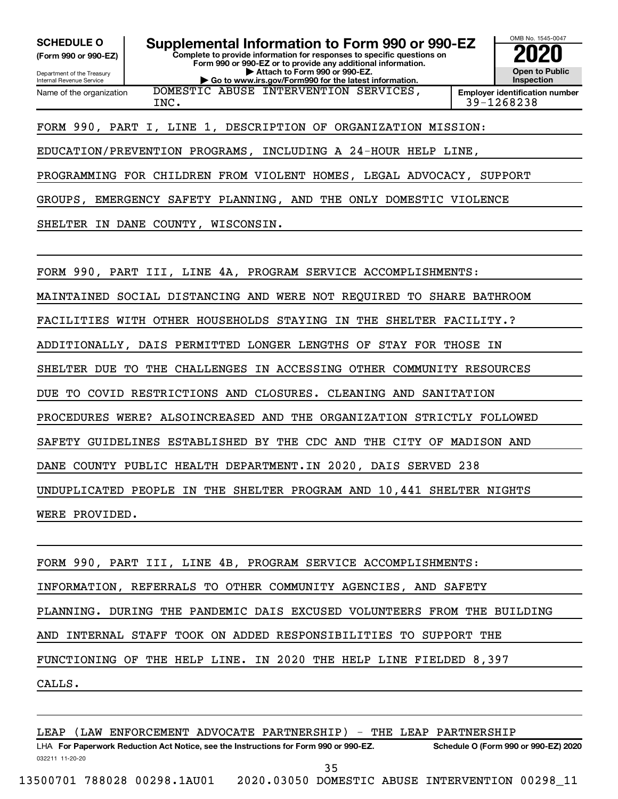**(Form 990 or 990-EZ)**

Department of the Treasury Internal Revenue Service

**Complete to provide information for responses to specific questions on Form 990 or 990-EZ or to provide any additional information. | Attach to Form 990 or 990-EZ. SCHEDULE O Supplemental Information to Form 990 or 990-EZ 2020**<br>(Form 990 or 990-EZ) Complete to provide information for responses to specific questions on

**| Go to www.irs.gov/Form990 for the latest information.**



Name of the organization DOMESTIC ABUSE INTERVENTION SERVICES, INC. 39-1268238

FORM 990, PART I, LINE 1, DESCRIPTION OF ORGANIZATION MISSION:

EDUCATION/PREVENTION PROGRAMS, INCLUDING A 24-HOUR HELP LINE,

PROGRAMMING FOR CHILDREN FROM VIOLENT HOMES, LEGAL ADVOCACY, SUPPORT

GROUPS, EMERGENCY SAFETY PLANNING, AND THE ONLY DOMESTIC VIOLENCE

SHELTER IN DANE COUNTY, WISCONSIN.

FORM 990, PART III, LINE 4A, PROGRAM SERVICE ACCOMPLISHMENTS:

MAINTAINED SOCIAL DISTANCING AND WERE NOT REQUIRED TO SHARE BATHROOM

FACILITIES WITH OTHER HOUSEHOLDS STAYING IN THE SHELTER FACILITY.?

ADDITIONALLY, DAIS PERMITTED LONGER LENGTHS OF STAY FOR THOSE IN

SHELTER DUE TO THE CHALLENGES IN ACCESSING OTHER COMMUNITY RESOURCES

DUE TO COVID RESTRICTIONS AND CLOSURES. CLEANING AND SANITATION

PROCEDURES WERE? ALSOINCREASED AND THE ORGANIZATION STRICTLY FOLLOWED

SAFETY GUIDELINES ESTABLISHED BY THE CDC AND THE CITY OF MADISON AND

DANE COUNTY PUBLIC HEALTH DEPARTMENT.IN 2020, DAIS SERVED 238

UNDUPLICATED PEOPLE IN THE SHELTER PROGRAM AND 10,441 SHELTER NIGHTS

WERE PROVIDED.

FORM 990, PART III, LINE 4B, PROGRAM SERVICE ACCOMPLISHMENTS: INFORMATION, REFERRALS TO OTHER COMMUNITY AGENCIES, AND SAFETY PLANNING. DURING THE PANDEMIC DAIS EXCUSED VOLUNTEERS FROM THE BUILDING AND INTERNAL STAFF TOOK ON ADDED RESPONSIBILITIES TO SUPPORT THE FUNCTIONING OF THE HELP LINE. IN 2020 THE HELP LINE FIELDED 8,397 CALLS.

032211 11-20-20 **For Paperwork Reduction Act Notice, see the Instructions for Form 990 or 990-EZ. Schedule O (Form 990 or 990-EZ) 2020** LHA LEAP (LAW ENFORCEMENT ADVOCATE PARTNERSHIP) - THE LEAP PARTNERSHIP 35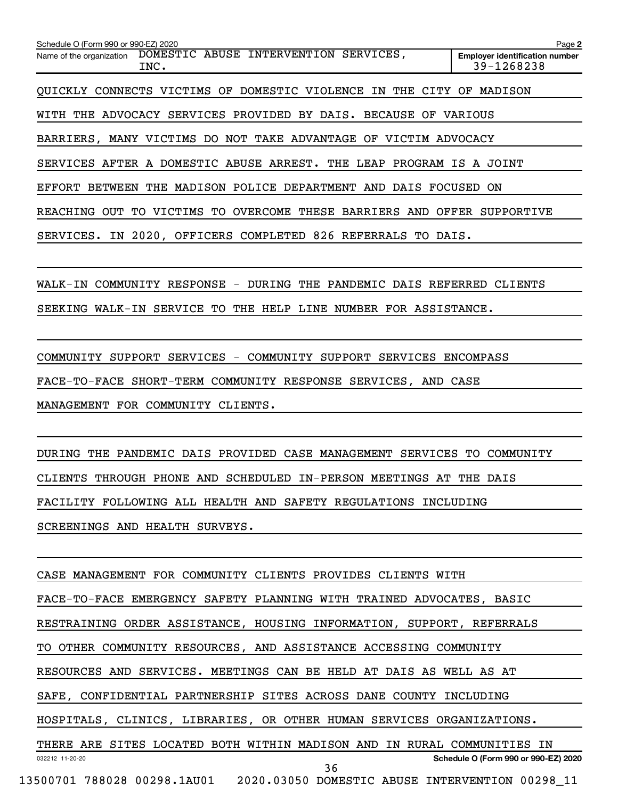| Schedule O (Form 990 or 990-EZ) 2020                                                          | Page 2                                              |
|-----------------------------------------------------------------------------------------------|-----------------------------------------------------|
| DOMESTIC ABUSE INTERVENTION SERVICES,<br>Name of the organization<br>INC.                     | <b>Employer identification number</b><br>39-1268238 |
| QUICKLY CONNECTS VICTIMS OF DOMESTIC VIOLENCE IN<br>THE CITY                                  | OF<br>MADISON                                       |
| WITH THE ADVOCACY SERVICES PROVIDED BY DAIS. BECAUSE OF                                       | VARIOUS                                             |
| BARRIERS, MANY VICTIMS DO NOT TAKE ADVANTAGE OF                                               | VICTIM ADVOCACY                                     |
| SERVICES AFTER A DOMESTIC ABUSE ARREST. THE LEAP PROGRAM IS A JOINT                           |                                                     |
| MADISON POLICE DEPARTMENT<br>EFFORT<br>THE<br>BETWEEN<br>AND DAIS FOCUSED ON                  |                                                     |
| <b>OVERCOME</b><br>VICTIMS<br>TO.<br>THESE<br><b>BARRIERS</b><br>REACHING<br>OUT<br>TО<br>AND | OFFER<br>SUPPORTIVE                                 |
| SERVICES. IN 2020, OFFICERS COMPLETED 826 REFERRALS TO DAIS.                                  |                                                     |
|                                                                                               |                                                     |
| WALK-IN COMMUNITY RESPONSE - DURING THE PANDEMIC DAIS REFERRED                                | CLIENTS                                             |

SEEKING WALK-IN SERVICE TO THE HELP LINE NUMBER FOR ASSISTANCE.

COMMUNITY SUPPORT SERVICES - COMMUNITY SUPPORT SERVICES ENCOMPASS

FACE-TO-FACE SHORT-TERM COMMUNITY RESPONSE SERVICES, AND CASE

MANAGEMENT FOR COMMUNITY CLIENTS.

DURING THE PANDEMIC DAIS PROVIDED CASE MANAGEMENT SERVICES TO COMMUNITY CLIENTS THROUGH PHONE AND SCHEDULED IN-PERSON MEETINGS AT THE DAIS FACILITY FOLLOWING ALL HEALTH AND SAFETY REGULATIONS INCLUDING SCREENINGS AND HEALTH SURVEYS.

032212 11-20-20 **Schedule O (Form 990 or 990-EZ) 2020** CASE MANAGEMENT FOR COMMUNITY CLIENTS PROVIDES CLIENTS WITH FACE-TO-FACE EMERGENCY SAFETY PLANNING WITH TRAINED ADVOCATES, BASIC RESTRAINING ORDER ASSISTANCE, HOUSING INFORMATION, SUPPORT, REFERRALS TO OTHER COMMUNITY RESOURCES, AND ASSISTANCE ACCESSING COMMUNITY RESOURCES AND SERVICES. MEETINGS CAN BE HELD AT DAIS AS WELL AS AT SAFE, CONFIDENTIAL PARTNERSHIP SITES ACROSS DANE COUNTY INCLUDING HOSPITALS, CLINICS, LIBRARIES, OR OTHER HUMAN SERVICES ORGANIZATIONS. THERE ARE SITES LOCATED BOTH WITHIN MADISON AND IN RURAL COMMUNITIES IN 36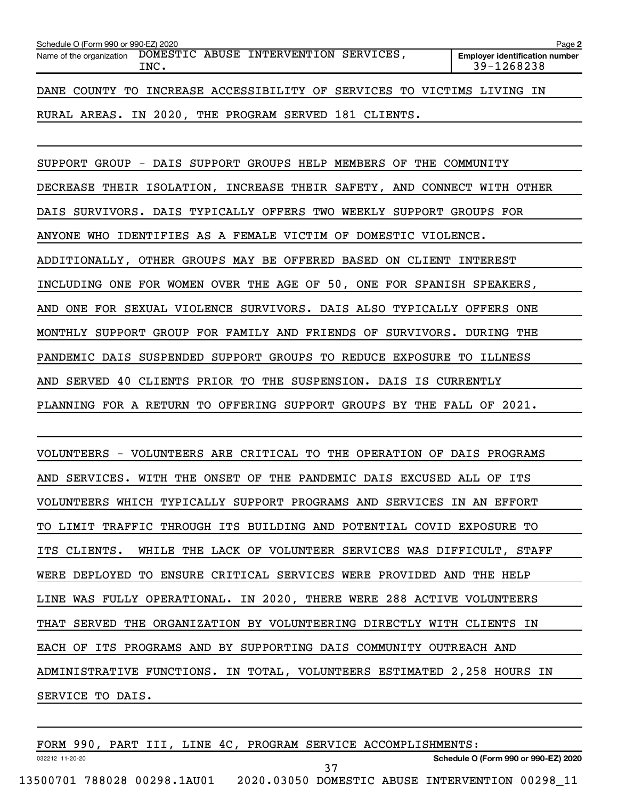| Schedule O (Form 990 or 990-EZ) 2020                           |  |  |      |  |                                                                        |  |  |  |  | Page 2 |                                                     |  |  |
|----------------------------------------------------------------|--|--|------|--|------------------------------------------------------------------------|--|--|--|--|--------|-----------------------------------------------------|--|--|
| Name of the organization DOMESTIC ABUSE INTERVENTION SERVICES, |  |  | INC. |  |                                                                        |  |  |  |  |        | <b>Employer identification number</b><br>39-1268238 |  |  |
|                                                                |  |  |      |  | DANE COUNTY TO INCREASE ACCESSIBILITY OF SERVICES TO VICTIMS LIVING IN |  |  |  |  |        |                                                     |  |  |
|                                                                |  |  |      |  | RURAL AREAS. IN 2020, THE PROGRAM SERVED 181 CLIENTS.                  |  |  |  |  |        |                                                     |  |  |

SUPPORT GROUP - DAIS SUPPORT GROUPS HELP MEMBERS OF THE COMMUNITY DECREASE THEIR ISOLATION, INCREASE THEIR SAFETY, AND CONNECT WITH OTHER DAIS SURVIVORS. DAIS TYPICALLY OFFERS TWO WEEKLY SUPPORT GROUPS FOR ANYONE WHO IDENTIFIES AS A FEMALE VICTIM OF DOMESTIC VIOLENCE. ADDITIONALLY, OTHER GROUPS MAY BE OFFERED BASED ON CLIENT INTEREST INCLUDING ONE FOR WOMEN OVER THE AGE OF 50, ONE FOR SPANISH SPEAKERS, AND ONE FOR SEXUAL VIOLENCE SURVIVORS. DAIS ALSO TYPICALLY OFFERS ONE MONTHLY SUPPORT GROUP FOR FAMILY AND FRIENDS OF SURVIVORS. DURING THE PANDEMIC DAIS SUSPENDED SUPPORT GROUPS TO REDUCE EXPOSURE TO ILLNESS AND SERVED 40 CLIENTS PRIOR TO THE SUSPENSION. DAIS IS CURRENTLY PLANNING FOR A RETURN TO OFFERING SUPPORT GROUPS BY THE FALL OF 2021.

VOLUNTEERS - VOLUNTEERS ARE CRITICAL TO THE OPERATION OF DAIS PROGRAMS AND SERVICES. WITH THE ONSET OF THE PANDEMIC DAIS EXCUSED ALL OF ITS VOLUNTEERS WHICH TYPICALLY SUPPORT PROGRAMS AND SERVICES IN AN EFFORT TO LIMIT TRAFFIC THROUGH ITS BUILDING AND POTENTIAL COVID EXPOSURE TO ITS CLIENTS. WHILE THE LACK OF VOLUNTEER SERVICES WAS DIFFICULT, STAFF WERE DEPLOYED TO ENSURE CRITICAL SERVICES WERE PROVIDED AND THE HELP LINE WAS FULLY OPERATIONAL. IN 2020, THERE WERE 288 ACTIVE VOLUNTEERS THAT SERVED THE ORGANIZATION BY VOLUNTEERING DIRECTLY WITH CLIENTS IN EACH OF ITS PROGRAMS AND BY SUPPORTING DAIS COMMUNITY OUTREACH AND ADMINISTRATIVE FUNCTIONS. IN TOTAL, VOLUNTEERS ESTIMATED 2,258 HOURS IN SERVICE TO DAIS.

FORM 990, PART III, LINE 4C, PROGRAM SERVICE ACCOMPLISHMENTS:

032212 11-20-20

**Schedule O (Form 990 or 990-EZ) 2020**

37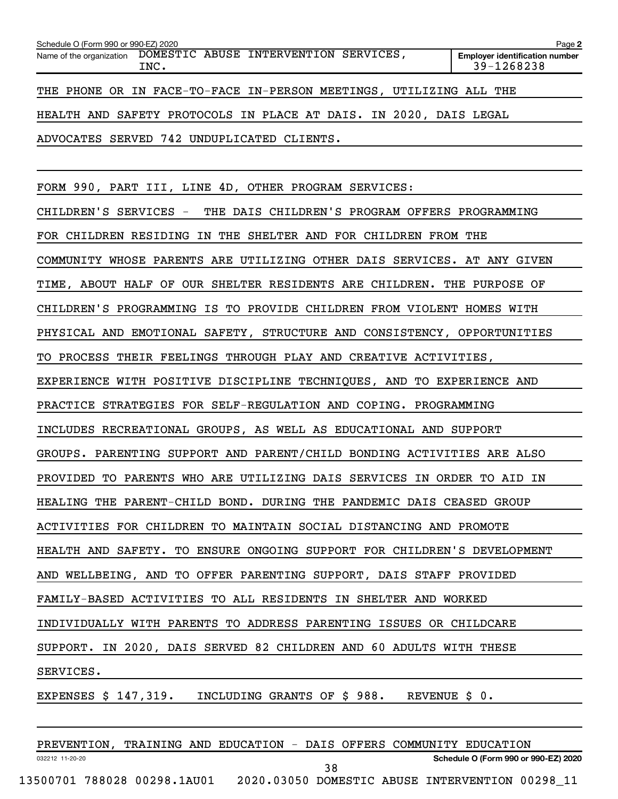| Schedule O (Form 990 or 990-EZ) 2020                                    | Page 2                                              |
|-------------------------------------------------------------------------|-----------------------------------------------------|
| Name of the organization DOMESTIC ABUSE INTERVENTION SERVICES,<br>INC.  | <b>Employer identification number</b><br>39-1268238 |
| THE PHONE OR IN FACE-TO-FACE IN-PERSON MEETINGS, UTILIZING ALL THE      |                                                     |
| HEALTH AND SAFETY PROTOCOLS IN PLACE AT DAIS. IN 2020, DAIS LEGAL       |                                                     |
| ADVOCATES SERVED 742 UNDUPLICATED CLIENTS.                              |                                                     |
|                                                                         |                                                     |
| FORM 990, PART III, LINE 4D, OTHER PROGRAM SERVICES:                    |                                                     |
| CHILDREN'S SERVICES - THE DAIS CHILDREN'S PROGRAM OFFERS PROGRAMMING    |                                                     |
| FOR CHILDREN RESIDING IN THE SHELTER AND FOR CHILDREN FROM THE          |                                                     |
| COMMUNITY WHOSE PARENTS ARE UTILIZING OTHER DAIS SERVICES. AT ANY GIVEN |                                                     |
| TIME, ABOUT HALF OF OUR SHELTER RESIDENTS ARE CHILDREN. THE PURPOSE OF  |                                                     |
| CHILDREN'S PROGRAMMING IS TO PROVIDE CHILDREN FROM VIOLENT HOMES WITH   |                                                     |
| PHYSICAL AND EMOTIONAL SAFETY, STRUCTURE AND CONSISTENCY, OPPORTUNITIES |                                                     |
| TO PROCESS THEIR FEELINGS THROUGH PLAY AND CREATIVE ACTIVITIES,         |                                                     |
| EXPERIENCE WITH POSITIVE DISCIPLINE TECHNIQUES, AND TO EXPERIENCE AND   |                                                     |
| PRACTICE STRATEGIES FOR SELF-REGULATION AND COPING. PROGRAMMING         |                                                     |
| INCLUDES RECREATIONAL GROUPS, AS WELL AS EDUCATIONAL AND SUPPORT        |                                                     |
| GROUPS. PARENTING SUPPORT AND PARENT/CHILD BONDING ACTIVITIES ARE ALSO  |                                                     |
| PROVIDED TO PARENTS WHO ARE UTILIZING DAIS SERVICES IN ORDER TO AID IN  |                                                     |
| HEALING THE PARENT-CHILD BOND. DURING THE PANDEMIC DAIS CEASED GROUP    |                                                     |
| ACTIVITIES FOR CHILDREN TO MAINTAIN SOCIAL DISTANCING AND PROMOTE       |                                                     |
| HEALTH AND SAFETY. TO ENSURE ONGOING SUPPORT FOR CHILDREN'S DEVELOPMENT |                                                     |
| AND WELLBEING, AND TO OFFER PARENTING SUPPORT, DAIS STAFF PROVIDED      |                                                     |
| FAMILY-BASED ACTIVITIES TO ALL RESIDENTS IN SHELTER AND WORKED          |                                                     |
| INDIVIDUALLY WITH PARENTS TO ADDRESS PARENTING ISSUES OR CHILDCARE      |                                                     |
| SUPPORT. IN 2020, DAIS SERVED 82 CHILDREN AND 60 ADULTS WITH THESE      |                                                     |
| SERVICES.                                                               |                                                     |
| EXPENSES $$147,319$ . INCLUDING GRANTS OF $$988$ . REVENUE $$0$ .       |                                                     |

032212 11-20-20 **Schedule O (Form 990 or 990-EZ) 2020** PREVENTION, TRAINING AND EDUCATION - DAIS OFFERS COMMUNITY EDUCATION 13500701 788028 00298.1AU01 2020.03050 DOMESTIC ABUSE INTERVENTION 00298\_11 38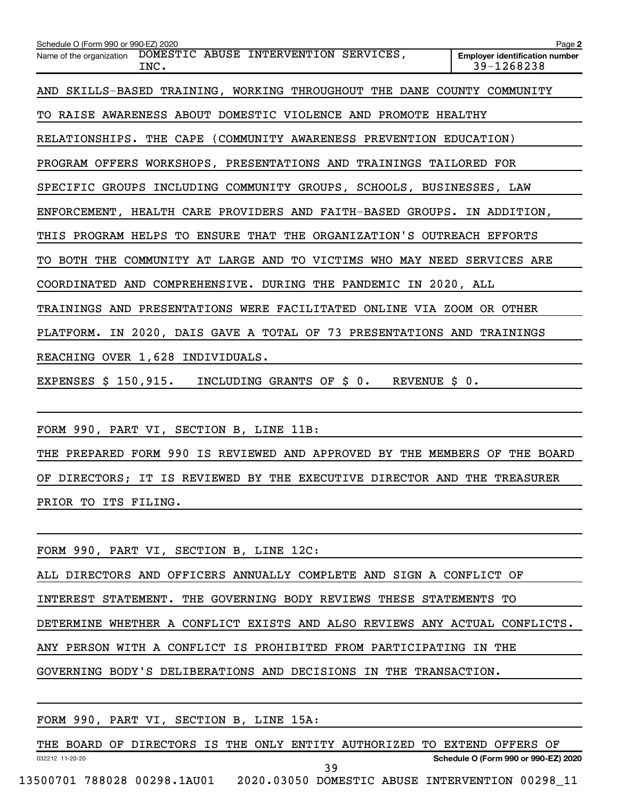| Schedule O (Form 990 or 990-EZ) 2020                                       | Page 2                                              |
|----------------------------------------------------------------------------|-----------------------------------------------------|
| Name of the organization DOMESTIC ABUSE INTERVENTION SERVICES,<br>INC.     | <b>Employer identification number</b><br>39-1268238 |
| AND SKILLS-BASED TRAINING, WORKING THROUGHOUT THE DANE COUNTY COMMUNITY    |                                                     |
| TO RAISE AWARENESS ABOUT DOMESTIC VIOLENCE AND PROMOTE HEALTHY             |                                                     |
| RELATIONSHIPS. THE CAPE (COMMUNITY AWARENESS PREVENTION EDUCATION)         |                                                     |
| PROGRAM OFFERS WORKSHOPS, PRESENTATIONS AND TRAININGS TAILORED FOR         |                                                     |
| SPECIFIC GROUPS INCLUDING COMMUNITY GROUPS, SCHOOLS, BUSINESSES, LAW       |                                                     |
| ENFORCEMENT, HEALTH CARE PROVIDERS AND FAITH-BASED GROUPS. IN ADDITION,    |                                                     |
| THIS PROGRAM HELPS TO ENSURE THAT THE ORGANIZATION'S OUTREACH EFFORTS      |                                                     |
| TO BOTH THE COMMUNITY AT LARGE AND TO VICTIMS WHO MAY NEED SERVICES ARE    |                                                     |
| COORDINATED AND COMPREHENSIVE. DURING THE PANDEMIC IN 2020, ALL            |                                                     |
| TRAININGS AND PRESENTATIONS WERE FACILITATED ONLINE VIA ZOOM OR OTHER      |                                                     |
| PLATFORM. IN 2020, DAIS GAVE A TOTAL OF 73 PRESENTATIONS AND TRAININGS     |                                                     |
| REACHING OVER 1,628 INDIVIDUALS.                                           |                                                     |
| EXPENSES \$ 150,915. INCLUDING GRANTS OF \$ 0. REVENUE \$ 0.               |                                                     |
|                                                                            |                                                     |
| FORM 990, PART VI, SECTION B, LINE 11B:                                    |                                                     |
| THE PREPARED FORM 990 IS REVIEWED AND APPROVED BY THE MEMBERS OF THE BOARD |                                                     |

PRIOR TO ITS FILING.

FORM 990, PART VI, SECTION B, LINE 12C:

ALL DIRECTORS AND OFFICERS ANNUALLY COMPLETE AND SIGN A CONFLICT OF

INTEREST STATEMENT. THE GOVERNING BODY REVIEWS THESE STATEMENTS TO

DETERMINE WHETHER A CONFLICT EXISTS AND ALSO REVIEWS ANY ACTUAL CONFLICTS.

OF DIRECTORS; IT IS REVIEWED BY THE EXECUTIVE DIRECTOR AND THE TREASURER

ANY PERSON WITH A CONFLICT IS PROHIBITED FROM PARTICIPATING IN THE

GOVERNING BODY'S DELIBERATIONS AND DECISIONS IN THE TRANSACTION.

|  |  |  |  | FORM 990, PART VI, SECTION B, LINE 15A: |  |  |  |
|--|--|--|--|-----------------------------------------|--|--|--|
|--|--|--|--|-----------------------------------------|--|--|--|

032212 11-20-20 **Schedule O (Form 990 or 990-EZ) 2020** THE BOARD OF DIRECTORS IS THE ONLY ENTITY AUTHORIZED TO EXTEND OFFERS OF 13500701 788028 00298.1AU01 2020.03050 DOMESTIC ABUSE INTERVENTION 00298\_11 39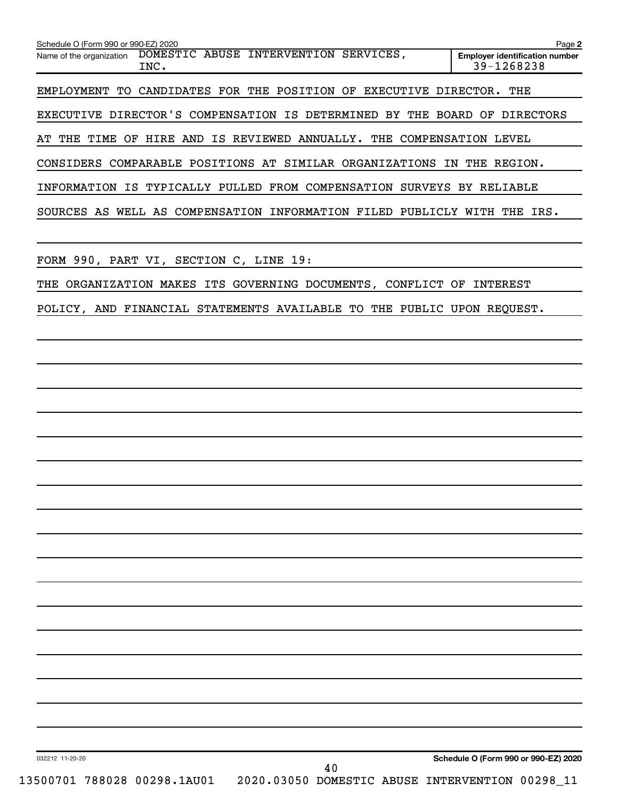| Schedule O (Form 990 or 990-EZ) 2020                                                                    | Page 2                                              |
|---------------------------------------------------------------------------------------------------------|-----------------------------------------------------|
| Name of the organization DOMESTIC ABUSE INTERVENTION SERVICES,<br>INC.                                  | <b>Employer identification number</b><br>39-1268238 |
| EMPLOYMENT TO CANDIDATES FOR THE POSITION OF EXECUTIVE DIRECTOR. THE                                    |                                                     |
| EXECUTIVE DIRECTOR'S COMPENSATION IS DETERMINED BY THE BOARD OF DIRECTORS                               |                                                     |
| AT THE TIME OF HIRE AND IS REVIEWED ANNUALLY. THE COMPENSATION LEVEL                                    |                                                     |
| CONSIDERS COMPARABLE POSITIONS AT SIMILAR ORGANIZATIONS IN THE REGION.                                  |                                                     |
| INFORMATION IS TYPICALLY PULLED FROM COMPENSATION SURVEYS BY RELIABLE                                   |                                                     |
| SOURCES AS WELL AS COMPENSATION INFORMATION FILED PUBLICLY WITH THE IRS.                                |                                                     |
| FORM 990, PART VI, SECTION C, LINE 19:                                                                  |                                                     |
| THE ORGANIZATION MAKES ITS GOVERNING DOCUMENTS, CONFLICT OF INTEREST                                    |                                                     |
| POLICY, AND FINANCIAL STATEMENTS AVAILABLE TO THE PUBLIC UPON REQUEST.                                  |                                                     |
|                                                                                                         |                                                     |
|                                                                                                         |                                                     |
|                                                                                                         |                                                     |
|                                                                                                         |                                                     |
|                                                                                                         |                                                     |
|                                                                                                         |                                                     |
|                                                                                                         |                                                     |
|                                                                                                         |                                                     |
|                                                                                                         |                                                     |
|                                                                                                         |                                                     |
|                                                                                                         |                                                     |
|                                                                                                         |                                                     |
|                                                                                                         |                                                     |
|                                                                                                         |                                                     |
|                                                                                                         |                                                     |
|                                                                                                         |                                                     |
|                                                                                                         |                                                     |
|                                                                                                         |                                                     |
| 032212 11-20-20<br>40<br>13500701 788028 00298.1AU01<br>2020.03050 DOMESTIC ABUSE INTERVENTION 00298_11 | Schedule O (Form 990 or 990-EZ) 2020                |
|                                                                                                         |                                                     |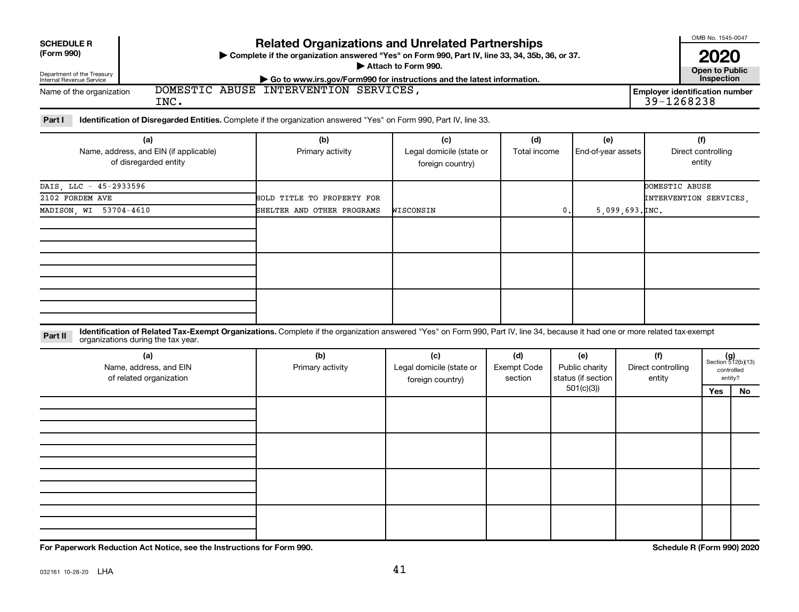| <b>SCHEDULE R</b>                                      | <b>Related Organizations and Unrelated Partnerships</b>                                                                 | OMB No. 1545-0047                   |
|--------------------------------------------------------|-------------------------------------------------------------------------------------------------------------------------|-------------------------------------|
| (Form 990)                                             | ► Complete if the organization answered "Yes" on Form 990, Part IV, line 33, 34, 35b, 36, or 37.<br>Attach to Form 990. | 2020                                |
| Department of the Treasury<br>Internal Revenue Service | $\triangleright$ Go to www.irs.gov/Form990 for instructions and the latest information.                                 | Open to Public<br><b>Inspection</b> |
| Name of the organization                               | DOMESTIC ABUSE INTERVENTION SERVICES.                                                                                   | Employer identification number      |
|                                                        | INC.                                                                                                                    | 39-1268238                          |

Part I ldentification of Disregarded Entities. Complete if the organization answered "Yes" on Form 990, Part IV, line 33.

| (a)                                    | (b)                        | (c)                      | (d)            | (e)                       | (f)                    |
|----------------------------------------|----------------------------|--------------------------|----------------|---------------------------|------------------------|
| Name, address, and EIN (if applicable) | Primary activity           | Legal domicile (state or | Total income   | End-of-year assets        | Direct controlling     |
| of disregarded entity                  |                            | foreign country)         |                |                           | entity                 |
|                                        |                            |                          |                |                           |                        |
| DAIS, LLC - 45-2933596                 |                            |                          |                |                           | DOMESTIC ABUSE         |
| 2102 FORDEM AVE                        | HOLD TITLE TO PROPERTY FOR |                          |                |                           | INTERVENTION SERVICES, |
| MADISON, WI 53704-4610                 | SHELTER AND OTHER PROGRAMS | WISCONSIN                | $\mathbf{0}$ . | $5,099,693.\texttt{INC.}$ |                        |
|                                        |                            |                          |                |                           |                        |
|                                        |                            |                          |                |                           |                        |
|                                        |                            |                          |                |                           |                        |
|                                        |                            |                          |                |                           |                        |
|                                        |                            |                          |                |                           |                        |
|                                        |                            |                          |                |                           |                        |
|                                        |                            |                          |                |                           |                        |
|                                        |                            |                          |                |                           |                        |
|                                        |                            |                          |                |                           |                        |
|                                        |                            |                          |                |                           |                        |

**Part II** Identification of Related Tax-Exempt Organizations. Complete if the organization answered "Yes" on Form 990, Part IV, line 34, because it had one or more related tax-exempt<br>Part II acconizations during the tax ye organizations during the tax year.

| (a)<br>Name, address, and EIN<br>of related organization | (b)<br>Primary activity | (c)<br>Legal domicile (state or<br>foreign country) | (d)<br>Exempt Code<br>section | (e)<br>Public charity<br>status (if section | (f)<br>Direct controlling<br>entity |     | $(g)$<br>Section 512(b)(13)<br>controlled<br>entity? |
|----------------------------------------------------------|-------------------------|-----------------------------------------------------|-------------------------------|---------------------------------------------|-------------------------------------|-----|------------------------------------------------------|
|                                                          |                         |                                                     |                               | 501(c)(3))                                  |                                     | Yes | No                                                   |
|                                                          |                         |                                                     |                               |                                             |                                     |     |                                                      |
|                                                          |                         |                                                     |                               |                                             |                                     |     |                                                      |
|                                                          |                         |                                                     |                               |                                             |                                     |     |                                                      |
|                                                          |                         |                                                     |                               |                                             |                                     |     |                                                      |

**For Paperwork Reduction Act Notice, see the Instructions for Form 990. Schedule R (Form 990) 2020**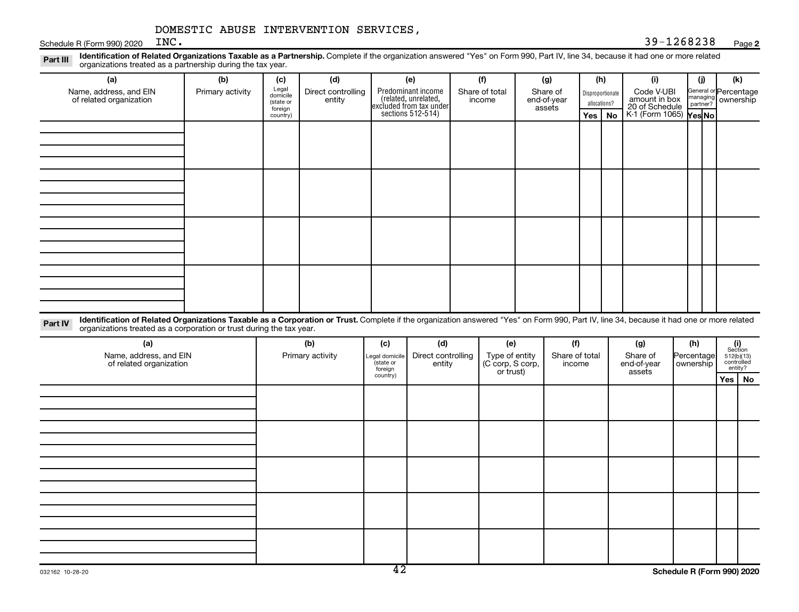Schedule R (Form 990) 2020  $INC$ .

#### **2** INC. 39-1268238

Part III Identification of Related Organizations Taxable as a Partnership. Complete if the organization answered "Yes" on Form 990, Part IV, line 34, because it had one or more related<br>Read to the organizations tracted as organizations treated as a partnership during the tax year.

| (a)                                                                                                                                                                                                                                                                         | (b)              | (c)                                       | (d)                          |                                        | (e)                                                                   | (f)                                                    | (g)                               |                          | (h)                              |    | (i)                                           |                         | (i)      | (k)                                 |
|-----------------------------------------------------------------------------------------------------------------------------------------------------------------------------------------------------------------------------------------------------------------------------|------------------|-------------------------------------------|------------------------------|----------------------------------------|-----------------------------------------------------------------------|--------------------------------------------------------|-----------------------------------|--------------------------|----------------------------------|----|-----------------------------------------------|-------------------------|----------|-------------------------------------|
| Name, address, and EIN<br>of related organization                                                                                                                                                                                                                           | Primary activity | Legal<br>domicile<br>(state or<br>foreign | Direct controlling<br>entity |                                        | Predominant income<br>(related, unrelated,<br>excluded from tax under | Share of total<br>income                               | Share of<br>end-of-year<br>assets |                          | Disproportionate<br>allocations? |    | Code V-UBI<br>amount in box<br>20 of Schedule |                         | managing | General or Percentage<br>ownership  |
|                                                                                                                                                                                                                                                                             |                  | country)                                  |                              |                                        | sections 512-514)                                                     |                                                        |                                   |                          | Yes                              | No | K-1 (Form 1065) Yes No                        |                         |          |                                     |
|                                                                                                                                                                                                                                                                             |                  |                                           |                              |                                        |                                                                       |                                                        |                                   |                          |                                  |    |                                               |                         |          |                                     |
|                                                                                                                                                                                                                                                                             |                  |                                           |                              |                                        |                                                                       |                                                        |                                   |                          |                                  |    |                                               |                         |          |                                     |
|                                                                                                                                                                                                                                                                             |                  |                                           |                              |                                        |                                                                       |                                                        |                                   |                          |                                  |    |                                               |                         |          |                                     |
|                                                                                                                                                                                                                                                                             |                  |                                           |                              |                                        |                                                                       |                                                        |                                   |                          |                                  |    |                                               |                         |          |                                     |
|                                                                                                                                                                                                                                                                             |                  |                                           |                              |                                        |                                                                       |                                                        |                                   |                          |                                  |    |                                               |                         |          |                                     |
|                                                                                                                                                                                                                                                                             |                  |                                           |                              |                                        |                                                                       |                                                        |                                   |                          |                                  |    |                                               |                         |          |                                     |
|                                                                                                                                                                                                                                                                             |                  |                                           |                              |                                        |                                                                       |                                                        |                                   |                          |                                  |    |                                               |                         |          |                                     |
|                                                                                                                                                                                                                                                                             |                  |                                           |                              |                                        |                                                                       |                                                        |                                   |                          |                                  |    |                                               |                         |          |                                     |
|                                                                                                                                                                                                                                                                             |                  |                                           |                              |                                        |                                                                       |                                                        |                                   |                          |                                  |    |                                               |                         |          |                                     |
|                                                                                                                                                                                                                                                                             |                  |                                           |                              |                                        |                                                                       |                                                        |                                   |                          |                                  |    |                                               |                         |          |                                     |
|                                                                                                                                                                                                                                                                             |                  |                                           |                              |                                        |                                                                       |                                                        |                                   |                          |                                  |    |                                               |                         |          |                                     |
|                                                                                                                                                                                                                                                                             |                  |                                           |                              |                                        |                                                                       |                                                        |                                   |                          |                                  |    |                                               |                         |          |                                     |
|                                                                                                                                                                                                                                                                             |                  |                                           |                              |                                        |                                                                       |                                                        |                                   |                          |                                  |    |                                               |                         |          |                                     |
|                                                                                                                                                                                                                                                                             |                  |                                           |                              |                                        |                                                                       |                                                        |                                   |                          |                                  |    |                                               |                         |          |                                     |
|                                                                                                                                                                                                                                                                             |                  |                                           |                              |                                        |                                                                       |                                                        |                                   |                          |                                  |    |                                               |                         |          |                                     |
|                                                                                                                                                                                                                                                                             |                  |                                           |                              |                                        |                                                                       |                                                        |                                   |                          |                                  |    |                                               |                         |          |                                     |
| Identification of Related Organizations Taxable as a Corporation or Trust. Complete if the organization answered "Yes" on Form 990, Part IV, line 34, because it had one or more related<br>Part IV<br>organizations treated as a corporation or trust during the tax year. |                  |                                           |                              |                                        |                                                                       |                                                        |                                   |                          |                                  |    |                                               |                         |          |                                     |
| (a)                                                                                                                                                                                                                                                                         |                  |                                           | (b)                          | (c)                                    | (d)                                                                   | (e)                                                    |                                   | (f)                      |                                  |    | (g)                                           | (h)                     |          | (i)<br>Section                      |
| Name, address, and EIN<br>of related organization                                                                                                                                                                                                                           |                  |                                           | Primary activity             | Legal domicile<br>(state or<br>foreian | Direct controlling<br>entity                                          | Type of entity<br>(C corp, S corp,<br>القصارينية براسا |                                   | Share of total<br>income |                                  |    | Share of<br>end-of-year                       | Percentage<br>ownership |          | 512(b)(13)<br>controlled<br>entity? |

entity? foreign country) **Yes No** or trust) assets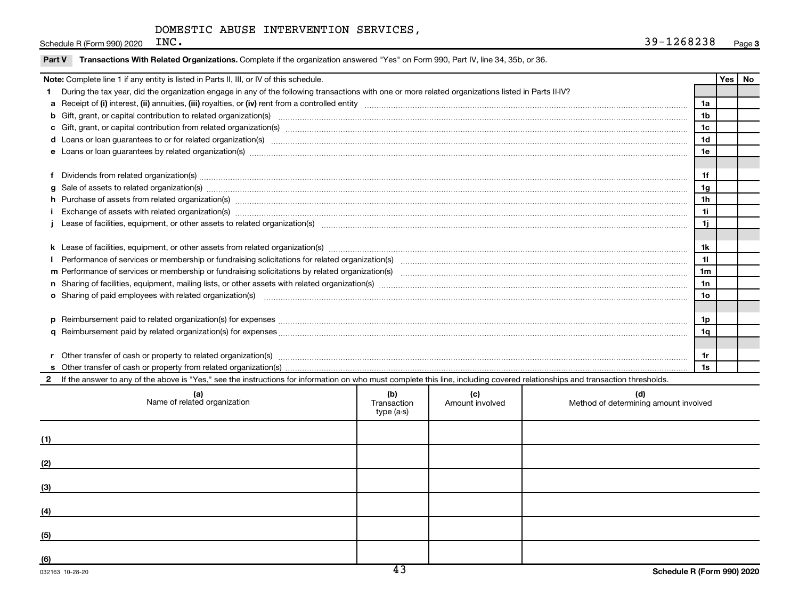Schedule R (Form 990) 2020  $INC$ .

|               | Note: Complete line 1 if any entity is listed in Parts II, III, or IV of this schedule.                                                                                                                                        |                 | <b>Yes</b> | No |
|---------------|--------------------------------------------------------------------------------------------------------------------------------------------------------------------------------------------------------------------------------|-----------------|------------|----|
|               | During the tax year, did the organization engage in any of the following transactions with one or more related organizations listed in Parts II-IV?                                                                            |                 |            |    |
|               |                                                                                                                                                                                                                                | 1a              |            |    |
|               |                                                                                                                                                                                                                                | 1 <sub>b</sub>  |            |    |
|               |                                                                                                                                                                                                                                | 1c              |            |    |
|               | d Loans or loan guarantees to or for related organization(s) www.communities.com/www.communities.com/www.communities.com/www.communities.com/www.communities.com/www.communities.com/www.communities.com/www.communities.com/w | 1 <sub>d</sub>  |            |    |
|               | e Loans or loan guarantees by related organization(s) material contents and content to content the content of the content of the content of the content of the content of the content of the content of the content of the con | 1e              |            |    |
|               |                                                                                                                                                                                                                                |                 |            |    |
|               |                                                                                                                                                                                                                                | 1f              |            |    |
| a             | Sale of assets to related organization(s) www.array.com/www.array.com/www.array.com/www.array.com/www.array.com/www.array.com/www.array.com/www.array.com/www.array.com/www.array.com/www.array.com/www.array.com/www.array.co | 1 <sub>g</sub>  |            |    |
|               |                                                                                                                                                                                                                                | 1 <sub>h</sub>  |            |    |
|               | Exchange of assets with related organization(s) macrocommutation control and account of the set of assets with related organization(s) macrocommutation and account of the set of the set of the set of the set of the set of  | 11              |            |    |
|               |                                                                                                                                                                                                                                | 1j              |            |    |
|               |                                                                                                                                                                                                                                |                 |            |    |
|               |                                                                                                                                                                                                                                | 1k              |            |    |
|               |                                                                                                                                                                                                                                | 11              |            |    |
|               |                                                                                                                                                                                                                                | 1 <sub>m</sub>  |            |    |
|               |                                                                                                                                                                                                                                | 1n              |            |    |
|               | o Sharing of paid employees with related organization(s) manufactured content to the state of the state of the state organization(s) manufactured content of the state organization(s) manufactured content of the state of th | 10 <sub>o</sub> |            |    |
|               |                                                                                                                                                                                                                                |                 |            |    |
|               |                                                                                                                                                                                                                                | 1p              |            |    |
|               |                                                                                                                                                                                                                                | 1q              |            |    |
|               |                                                                                                                                                                                                                                |                 |            |    |
|               | Other transfer of cash or property to related organization(s) www.communities.com/www.communities/communities/                                                                                                                 | 1r              |            |    |
|               |                                                                                                                                                                                                                                | 1s              |            |    |
| $\mathcal{P}$ | If the answer to any of the above is "Yes," see the instructions for information on who must complete this line, including covered relationships and transaction thresholds.                                                   |                 |            |    |

| (a)<br>Name of related organization | (b)<br>Transaction<br>type (a-s) | (c)<br>Amount involved | (d)<br>Method of determining amount involved |
|-------------------------------------|----------------------------------|------------------------|----------------------------------------------|
| (1)                                 |                                  |                        |                                              |
| (2)                                 |                                  |                        |                                              |
| (3)                                 |                                  |                        |                                              |
| (4)                                 |                                  |                        |                                              |
| (5)                                 |                                  |                        |                                              |
| (6)                                 | $\overline{12}$                  |                        |                                              |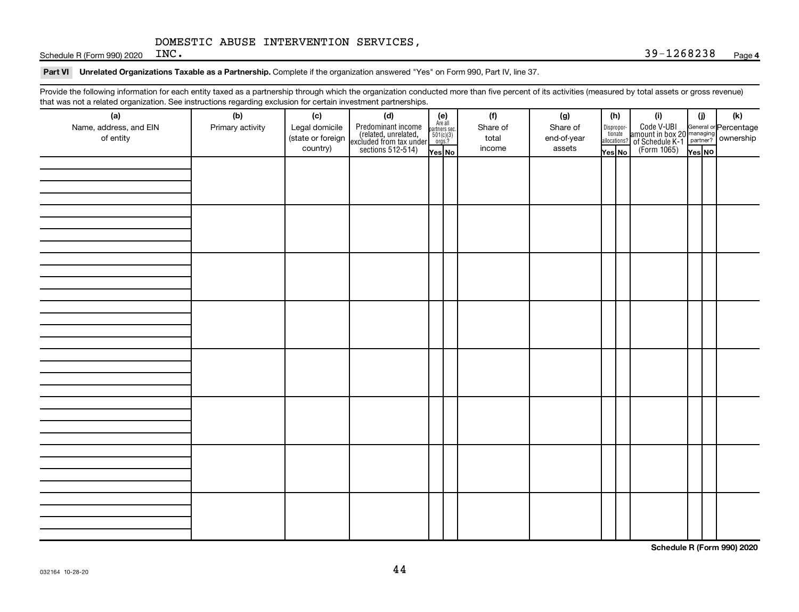Schedule R (Form 990) 2020  $INC$ .

#### Part VI Unrelated Organizations Taxable as a Partnership. Complete if the organization answered "Yes" on Form 990, Part IV, line 37.

Provide the following information for each entity taxed as a partnership through which the organization conducted more than five percent of its activities (measured by total assets or gross revenue) that was not a related organization. See instructions regarding exclusion for certain investment partnerships.

| that was not a related erganization. Occupations regarding exclusion for cortain investment partnerships.<br>(a) | (b)              | (c)                                 |                                                                                                                                                                                                                                                                                                                         |  |  | (f)               | (g)                     |                       | (h)          | (i)                                                                                          | (i)    | $(\mathsf{k})$ |
|------------------------------------------------------------------------------------------------------------------|------------------|-------------------------------------|-------------------------------------------------------------------------------------------------------------------------------------------------------------------------------------------------------------------------------------------------------------------------------------------------------------------------|--|--|-------------------|-------------------------|-----------------------|--------------|----------------------------------------------------------------------------------------------|--------|----------------|
| Name, address, and EIN<br>of entity                                                                              | Primary activity | Legal domicile<br>(state or foreign | ( <b>c)</b><br>Predominant income<br>(related, unrelated, $\begin{bmatrix} \mathbf{e} \\ \text{Areaall} \\ \text{reculated} \\ \text{exculated from tax under} \\ \text{sections 512-514} \end{bmatrix}$<br>$\begin{bmatrix} \mathbf{e} \\ \text{faill} \\ \text{parameters} \\ \text{for} \\ \text{res} \end{bmatrix}$ |  |  | Share of<br>total | Share of<br>end-of-year | Dispropor-<br>tionate | allocations? | Code V-UBI<br>amount in box 20 managing<br>of Schedule K-1 partner?<br>(Form 1065)<br>ves No |        |                |
|                                                                                                                  |                  | country)                            |                                                                                                                                                                                                                                                                                                                         |  |  | income            | assets                  | Yes No                |              |                                                                                              | Yes NO |                |
|                                                                                                                  |                  |                                     |                                                                                                                                                                                                                                                                                                                         |  |  |                   |                         |                       |              |                                                                                              |        |                |
|                                                                                                                  |                  |                                     |                                                                                                                                                                                                                                                                                                                         |  |  |                   |                         |                       |              |                                                                                              |        |                |
|                                                                                                                  |                  |                                     |                                                                                                                                                                                                                                                                                                                         |  |  |                   |                         |                       |              |                                                                                              |        |                |
|                                                                                                                  |                  |                                     |                                                                                                                                                                                                                                                                                                                         |  |  |                   |                         |                       |              |                                                                                              |        |                |
|                                                                                                                  |                  |                                     |                                                                                                                                                                                                                                                                                                                         |  |  |                   |                         |                       |              |                                                                                              |        |                |
|                                                                                                                  |                  |                                     |                                                                                                                                                                                                                                                                                                                         |  |  |                   |                         |                       |              |                                                                                              |        |                |
|                                                                                                                  |                  |                                     |                                                                                                                                                                                                                                                                                                                         |  |  |                   |                         |                       |              |                                                                                              |        |                |
|                                                                                                                  |                  |                                     |                                                                                                                                                                                                                                                                                                                         |  |  |                   |                         |                       |              |                                                                                              |        |                |
|                                                                                                                  |                  |                                     |                                                                                                                                                                                                                                                                                                                         |  |  |                   |                         |                       |              |                                                                                              |        |                |
|                                                                                                                  |                  |                                     |                                                                                                                                                                                                                                                                                                                         |  |  |                   |                         |                       |              |                                                                                              |        |                |
|                                                                                                                  |                  |                                     |                                                                                                                                                                                                                                                                                                                         |  |  |                   |                         |                       |              |                                                                                              |        |                |
|                                                                                                                  |                  |                                     |                                                                                                                                                                                                                                                                                                                         |  |  |                   |                         |                       |              |                                                                                              |        |                |
|                                                                                                                  |                  |                                     |                                                                                                                                                                                                                                                                                                                         |  |  |                   |                         |                       |              |                                                                                              |        |                |
|                                                                                                                  |                  |                                     |                                                                                                                                                                                                                                                                                                                         |  |  |                   |                         |                       |              |                                                                                              |        |                |
|                                                                                                                  |                  |                                     |                                                                                                                                                                                                                                                                                                                         |  |  |                   |                         |                       |              |                                                                                              |        |                |
|                                                                                                                  |                  |                                     |                                                                                                                                                                                                                                                                                                                         |  |  |                   |                         |                       |              |                                                                                              |        |                |
|                                                                                                                  |                  |                                     |                                                                                                                                                                                                                                                                                                                         |  |  |                   |                         |                       |              |                                                                                              |        |                |
|                                                                                                                  |                  |                                     |                                                                                                                                                                                                                                                                                                                         |  |  |                   |                         |                       |              |                                                                                              |        |                |
|                                                                                                                  |                  |                                     |                                                                                                                                                                                                                                                                                                                         |  |  |                   |                         |                       |              |                                                                                              |        |                |
|                                                                                                                  |                  |                                     |                                                                                                                                                                                                                                                                                                                         |  |  |                   |                         |                       |              |                                                                                              |        |                |
|                                                                                                                  |                  |                                     |                                                                                                                                                                                                                                                                                                                         |  |  |                   |                         |                       |              |                                                                                              |        |                |
|                                                                                                                  |                  |                                     |                                                                                                                                                                                                                                                                                                                         |  |  |                   |                         |                       |              |                                                                                              |        |                |
|                                                                                                                  |                  |                                     |                                                                                                                                                                                                                                                                                                                         |  |  |                   |                         |                       |              |                                                                                              |        |                |
|                                                                                                                  |                  |                                     |                                                                                                                                                                                                                                                                                                                         |  |  |                   |                         |                       |              |                                                                                              |        |                |
|                                                                                                                  |                  |                                     |                                                                                                                                                                                                                                                                                                                         |  |  |                   |                         |                       |              |                                                                                              |        |                |
|                                                                                                                  |                  |                                     |                                                                                                                                                                                                                                                                                                                         |  |  |                   |                         |                       |              |                                                                                              |        |                |
|                                                                                                                  |                  |                                     |                                                                                                                                                                                                                                                                                                                         |  |  |                   |                         |                       |              |                                                                                              |        |                |
|                                                                                                                  |                  |                                     |                                                                                                                                                                                                                                                                                                                         |  |  |                   |                         |                       |              |                                                                                              |        |                |
|                                                                                                                  |                  |                                     |                                                                                                                                                                                                                                                                                                                         |  |  |                   |                         |                       |              |                                                                                              |        |                |
|                                                                                                                  |                  |                                     |                                                                                                                                                                                                                                                                                                                         |  |  |                   |                         |                       |              |                                                                                              |        |                |
|                                                                                                                  |                  |                                     |                                                                                                                                                                                                                                                                                                                         |  |  |                   |                         |                       |              |                                                                                              |        |                |
|                                                                                                                  |                  |                                     |                                                                                                                                                                                                                                                                                                                         |  |  |                   |                         |                       |              |                                                                                              |        |                |
|                                                                                                                  |                  |                                     |                                                                                                                                                                                                                                                                                                                         |  |  |                   |                         |                       |              |                                                                                              |        |                |
|                                                                                                                  |                  |                                     |                                                                                                                                                                                                                                                                                                                         |  |  |                   |                         |                       |              |                                                                                              |        |                |

**Schedule R (Form 990) 2020**